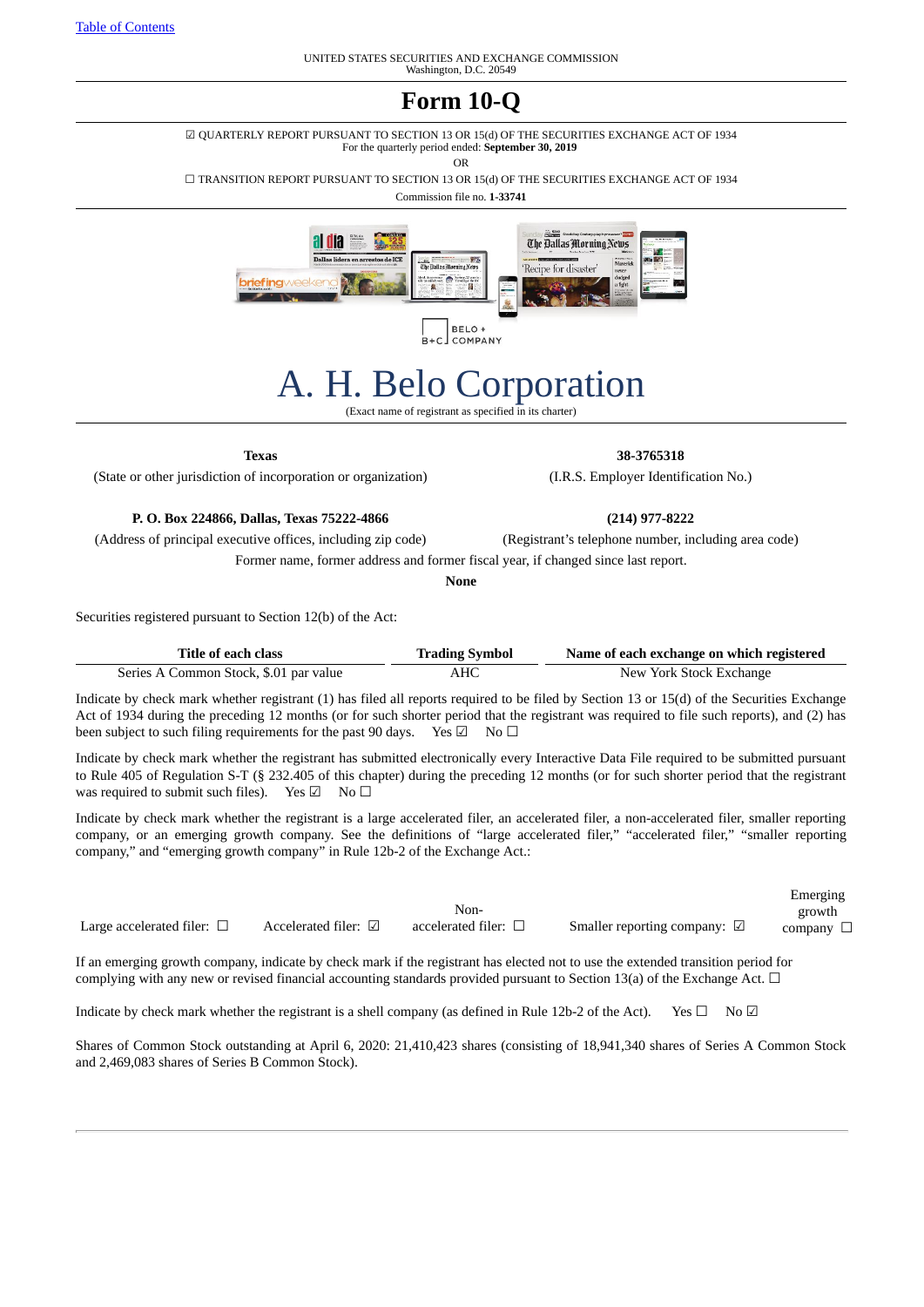## **Form 10-Q**

☑ QUARTERLY REPORT PURSUANT TO SECTION 13 OR 15(d) OF THE SECURITIES EXCHANGE ACT OF 1934 For the quarterly period ended: **September 30, 2019**

OR

☐ TRANSITION REPORT PURSUANT TO SECTION 13 OR 15(d) OF THE SECURITIES EXCHANGE ACT OF 1934

Commission file no. **1-33741**



# A. H. Belo Corporation

(Exact name of registrant as specified in its charter)

(State or other jurisdiction of incorporation or organization) (I.R.S. Employer Identification No.)

#### **P. O. Box 224866, Dallas, Texas 75222-4866 (214) 977-8222**

**None**

Securities registered pursuant to Section 12(b) of the Act:

| Title of each class                    | <b>Trading Symbol</b> | Name of each exchange on which registered |
|----------------------------------------|-----------------------|-------------------------------------------|
| Series A Common Stock, \$.01 par value | AHC                   | New York Stock Exchange                   |

Indicate by check mark whether registrant (1) has filed all reports required to be filed by Section 13 or 15(d) of the Securities Exchange Act of 1934 during the preceding 12 months (or for such shorter period that the registrant was required to file such reports), and (2) has been subject to such filing requirements for the past 90 days. Yes  $\boxtimes$  No  $\Box$ 

Indicate by check mark whether the registrant has submitted electronically every Interactive Data File required to be submitted pursuant to Rule 405 of Regulation S-T (§ 232.405 of this chapter) during the preceding 12 months (or for such shorter period that the registrant was required to submit such files). Yes  $\boxtimes$  No  $\Box$ 

Indicate by check mark whether the registrant is a large accelerated filer, an accelerated filer, a non-accelerated filer, smaller reporting company, or an emerging growth company. See the definitions of "large accelerated filer," "accelerated filer," "smaller reporting company," and "emerging growth company" in Rule 12b-2 of the Exchange Act.:

|                                    |                                |                           |                                        | Emerging          |
|------------------------------------|--------------------------------|---------------------------|----------------------------------------|-------------------|
|                                    |                                | Non-                      |                                        | growth            |
| Large accelerated filer: $\square$ | Accelerated filer: $\boxtimes$ | accelerated filer: $\Box$ | Smaller reporting company: $\boxtimes$ | company $\square$ |

If an emerging growth company, indicate by check mark if the registrant has elected not to use the extended transition period for complying with any new or revised financial accounting standards provided pursuant to Section 13(a) of the Exchange Act.  $\Box$ 

Indicate by check mark whether the registrant is a shell company (as defined in Rule 12b-2 of the Act). Yes  $\Box$  No  $\Box$ 

Shares of Common Stock outstanding at April 6, 2020: 21,410,423 shares (consisting of 18,941,340 shares of Series A Common Stock and 2,469,083 shares of Series B Common Stock).

**Texas 38-3765318**

(Address of principal executive offices, including zip code) (Registrant's telephone number, including area code)

Former name, former address and former fiscal year, if changed since last report.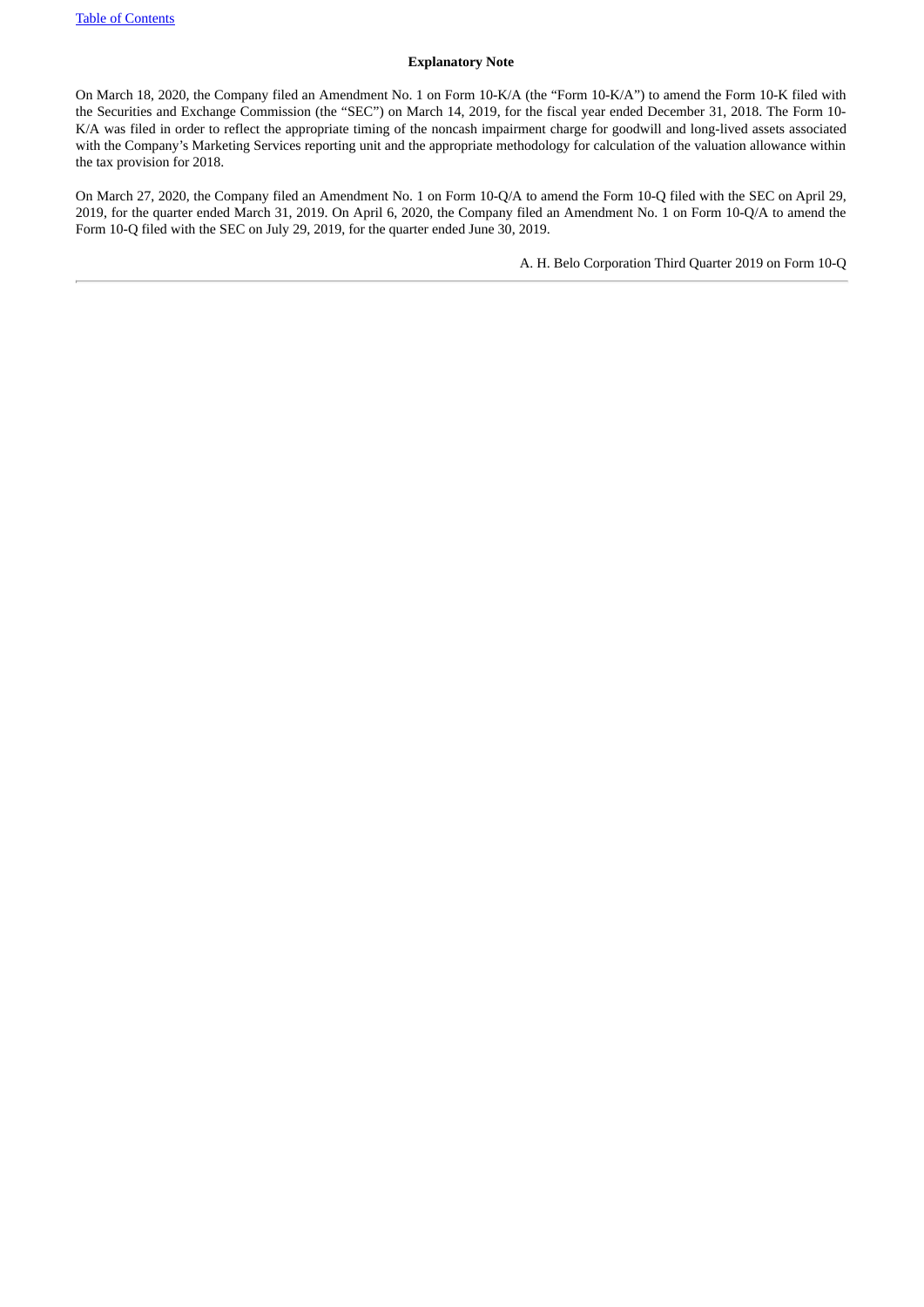#### **Explanatory Note**

On March 18, 2020, the Company filed an Amendment No. 1 on Form 10-K/A (the "Form 10-K/A") to amend the Form 10-K filed with the Securities and Exchange Commission (the "SEC") on March 14, 2019, for the fiscal year ended December 31, 2018. The Form 10- K/A was filed in order to reflect the appropriate timing of the noncash impairment charge for goodwill and long-lived assets associated with the Company's Marketing Services reporting unit and the appropriate methodology for calculation of the valuation allowance within the tax provision for 2018.

On March 27, 2020, the Company filed an Amendment No. 1 on Form 10-Q/A to amend the Form 10-Q filed with the SEC on April 29, 2019, for the quarter ended March 31, 2019. On April 6, 2020, the Company filed an Amendment No. 1 on Form 10-Q/A to amend the Form 10-Q filed with the SEC on July 29, 2019, for the quarter ended June 30, 2019.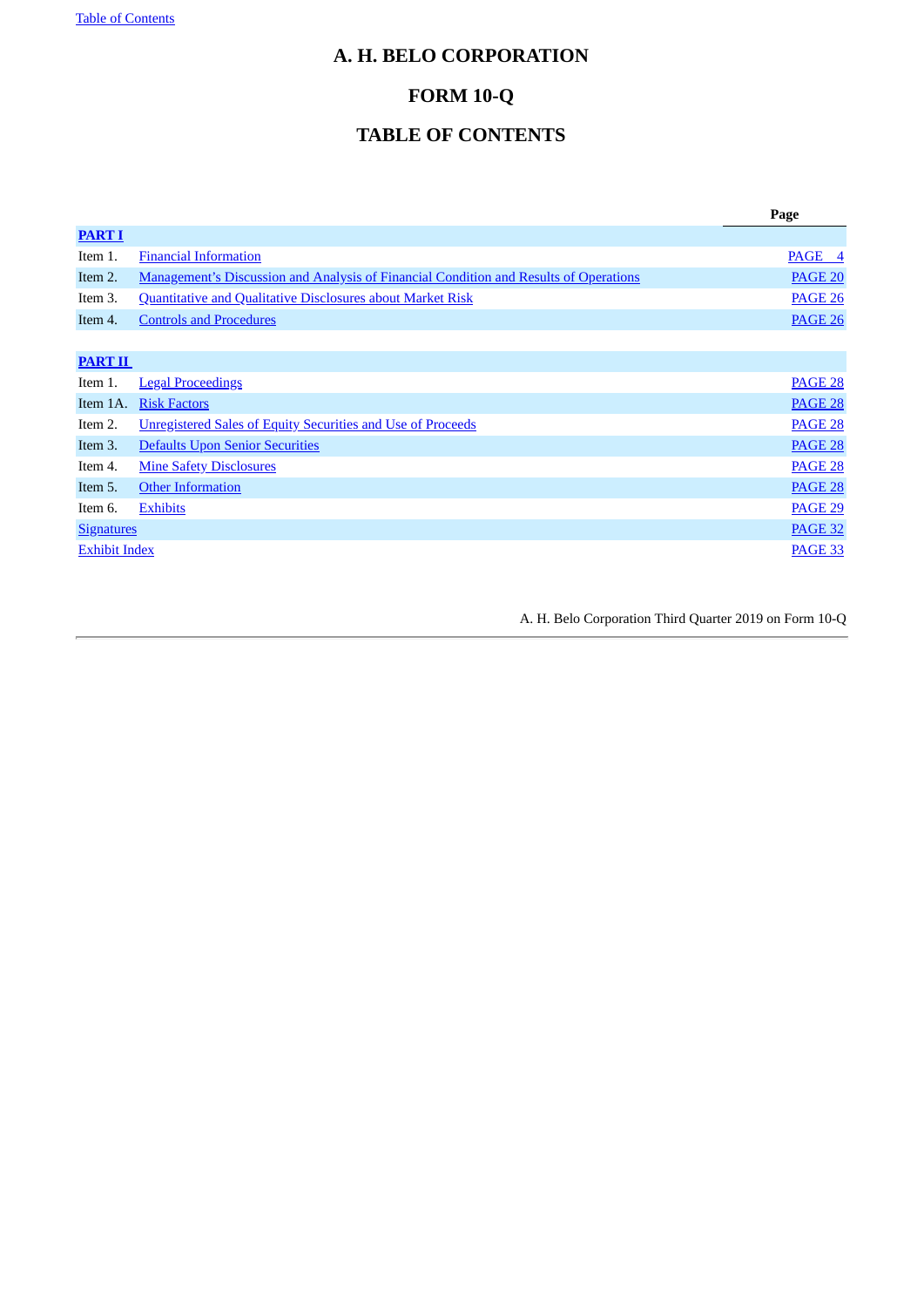### <span id="page-2-0"></span>**A. H. BELO CORPORATION**

### **FORM 10-Q**

### **TABLE OF CONTENTS**

|                      |                                                                                       | Page           |
|----------------------|---------------------------------------------------------------------------------------|----------------|
| <b>PART I</b>        |                                                                                       |                |
| Item 1.              | <b>Financial Information</b>                                                          | PAGE 4         |
| Item 2.              | Management's Discussion and Analysis of Financial Condition and Results of Operations | <b>PAGE 20</b> |
| Item 3.              | <b>Quantitative and Qualitative Disclosures about Market Risk</b>                     | <b>PAGE 26</b> |
| Item 4.              | <b>Controls and Procedures</b>                                                        | <b>PAGE 26</b> |
|                      |                                                                                       |                |
| <b>PART II</b>       |                                                                                       |                |
| Item 1.              | <b>Legal Proceedings</b>                                                              | <b>PAGE 28</b> |
| Item 1A.             | <b>Risk Factors</b>                                                                   | <b>PAGE 28</b> |
| Item 2.              | <b>Unregistered Sales of Equity Securities and Use of Proceeds</b>                    | <b>PAGE 28</b> |
| Item 3.              | Defaults Upon Senior Securities                                                       | <b>PAGE 28</b> |
| Item 4.              | <b>Mine Safety Disclosures</b>                                                        | <b>PAGE 28</b> |
| Item 5.              | <b>Other Information</b>                                                              | <b>PAGE 28</b> |
| Item 6.              | <b>Exhibits</b>                                                                       | <b>PAGE 29</b> |
| <b>Signatures</b>    |                                                                                       | <b>PAGE 32</b> |
| <b>Exhibit Index</b> |                                                                                       | PAGE 33        |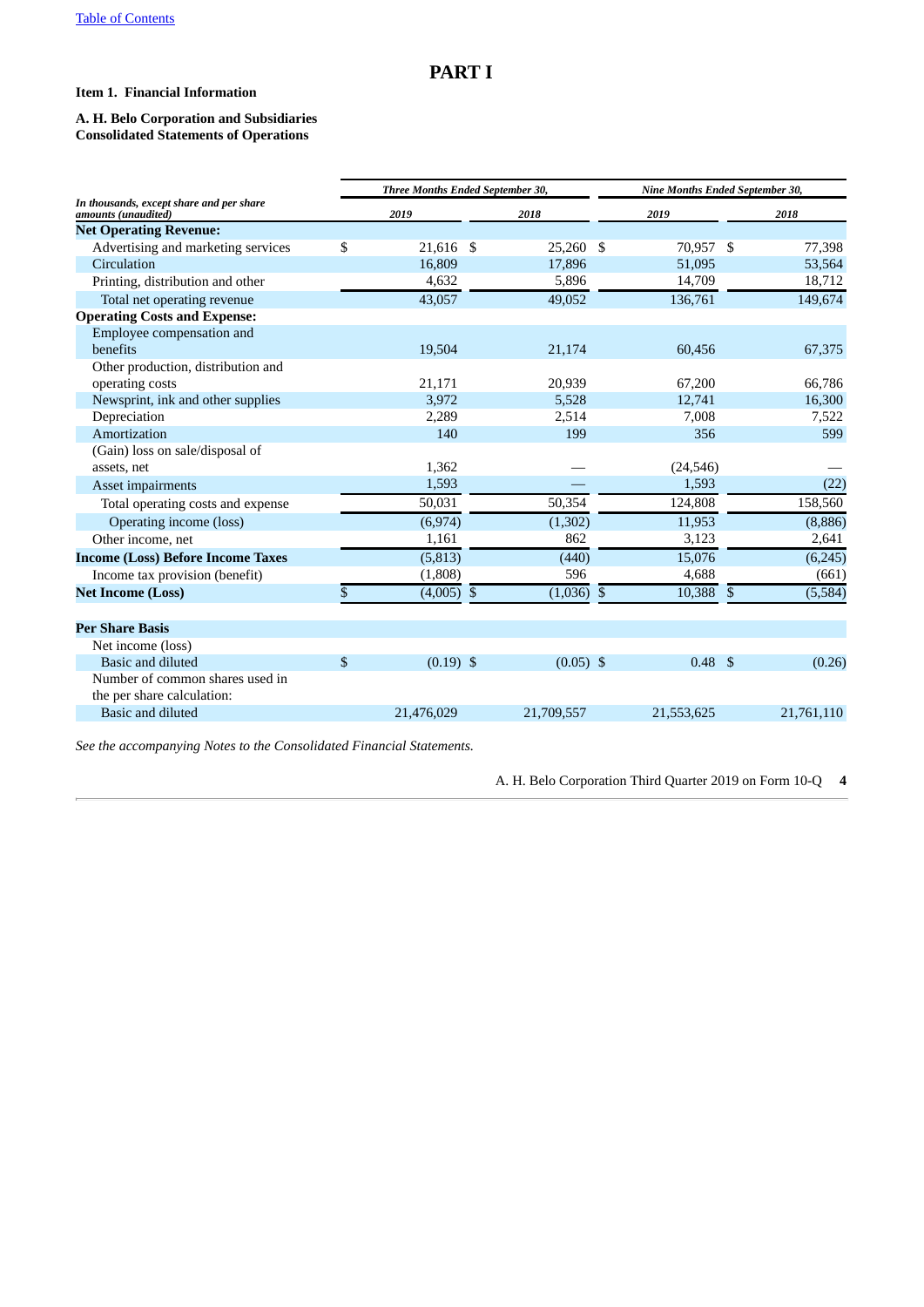### <span id="page-3-0"></span>**PART I**

#### <span id="page-3-1"></span>**Item 1. Financial Information**

#### **A. H. Belo Corporation and Subsidiaries Consolidated Statements of Operations**

|                                                                 | Three Months Ended September 30, |             |                | Nine Months Ended September 30, |                           |            |  |  |
|-----------------------------------------------------------------|----------------------------------|-------------|----------------|---------------------------------|---------------------------|------------|--|--|
| In thousands, except share and per share<br>amounts (unaudited) | 2019                             | 2018        |                | 2019                            |                           | 2018       |  |  |
| <b>Net Operating Revenue:</b>                                   |                                  |             |                |                                 |                           |            |  |  |
| Advertising and marketing services                              | \$<br>21,616 \$                  | 25,260 \$   |                | 70,957 \$                       |                           | 77,398     |  |  |
| Circulation                                                     | 16,809                           | 17,896      |                | 51,095                          |                           | 53,564     |  |  |
| Printing, distribution and other                                | 4,632                            | 5,896       |                | 14,709                          |                           | 18,712     |  |  |
| Total net operating revenue                                     | 43,057                           | 49,052      |                | 136,761                         |                           | 149,674    |  |  |
| <b>Operating Costs and Expense:</b>                             |                                  |             |                |                                 |                           |            |  |  |
| Employee compensation and                                       |                                  |             |                |                                 |                           |            |  |  |
| benefits                                                        | 19,504                           | 21,174      |                | 60,456                          |                           | 67,375     |  |  |
| Other production, distribution and                              |                                  |             |                |                                 |                           |            |  |  |
| operating costs                                                 | 21,171                           | 20,939      |                | 67,200                          |                           | 66,786     |  |  |
| Newsprint, ink and other supplies                               | 3,972                            | 5,528       |                | 12,741                          |                           | 16,300     |  |  |
| Depreciation                                                    | 2,289                            | 2,514       |                | 7,008                           |                           | 7,522      |  |  |
| Amortization                                                    | 140                              | 199         |                | 356                             |                           | 599        |  |  |
| (Gain) loss on sale/disposal of                                 |                                  |             |                |                                 |                           |            |  |  |
| assets, net                                                     | 1,362                            |             |                | (24, 546)                       |                           |            |  |  |
| Asset impairments                                               | 1,593                            |             |                | 1,593                           |                           | (22)       |  |  |
| Total operating costs and expense                               | 50,031                           | 50,354      |                | 124,808                         |                           | 158,560    |  |  |
| Operating income (loss)                                         | (6,974)                          | (1, 302)    |                | 11,953                          |                           | (8,886)    |  |  |
| Other income, net                                               | 1,161                            | 862         |                | 3,123                           |                           | 2,641      |  |  |
| <b>Income (Loss) Before Income Taxes</b>                        | (5, 813)                         | (440)       |                | 15,076                          |                           | (6,245)    |  |  |
| Income tax provision (benefit)                                  | (1,808)                          | 596         |                | 4,688                           |                           | (661)      |  |  |
| <b>Net Income (Loss)</b>                                        | \$<br>$(4,005)$ \$               | (1,036)     | $\mathfrak{s}$ | 10,388                          | $\boldsymbol{\mathsf{S}}$ | (5,584)    |  |  |
| <b>Per Share Basis</b>                                          |                                  |             |                |                                 |                           |            |  |  |
| Net income (loss)                                               |                                  |             |                |                                 |                           |            |  |  |
| Basic and diluted                                               | \$<br>$(0.19)$ \$                | $(0.05)$ \$ |                | $0.48 \text{ } $$               |                           | (0.26)     |  |  |
| Number of common shares used in                                 |                                  |             |                |                                 |                           |            |  |  |
| the per share calculation:                                      |                                  |             |                |                                 |                           |            |  |  |
| <b>Basic and diluted</b>                                        | 21,476,029                       | 21,709,557  |                | 21,553,625                      |                           | 21,761,110 |  |  |

*See the accompanying Notes to the Consolidated Financial Statements.*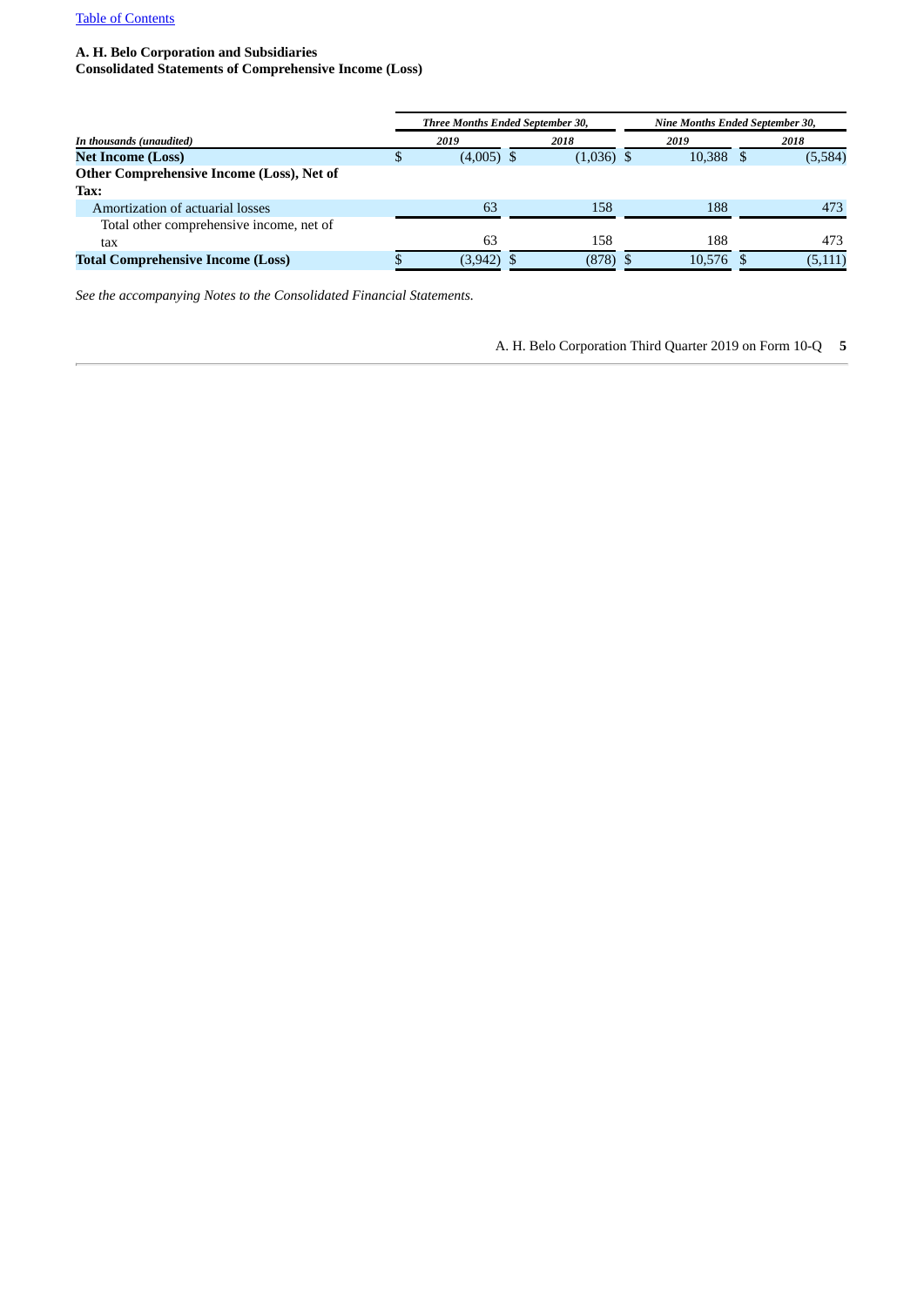#### **A. H. Belo Corporation and Subsidiaries**

**Consolidated Statements of Comprehensive Income (Loss)**

|                                           | Three Months Ended September 30, |              | Nine Months Ended September 30, |           |  |          |  |  |
|-------------------------------------------|----------------------------------|--------------|---------------------------------|-----------|--|----------|--|--|
| In thousands (unaudited)                  | 2019                             | 2018         |                                 | 2019      |  | 2018     |  |  |
| <b>Net Income (Loss)</b>                  | $(4,005)$ \$                     | $(1,036)$ \$ |                                 | 10,388 \$ |  | (5,584)  |  |  |
| Other Comprehensive Income (Loss), Net of |                                  |              |                                 |           |  |          |  |  |
| Tax:                                      |                                  |              |                                 |           |  |          |  |  |
| Amortization of actuarial losses          | 63                               | 158          |                                 | 188       |  | 473      |  |  |
| Total other comprehensive income, net of  |                                  |              |                                 |           |  |          |  |  |
| fax                                       | 63                               | 158          |                                 | 188       |  | 473      |  |  |
| <b>Total Comprehensive Income (Loss)</b>  | (3,942)                          | $(878)$ \$   |                                 | 10,576 \$ |  | (5, 111) |  |  |
|                                           |                                  |              |                                 |           |  |          |  |  |

*See the accompanying Notes to the Consolidated Financial Statements.*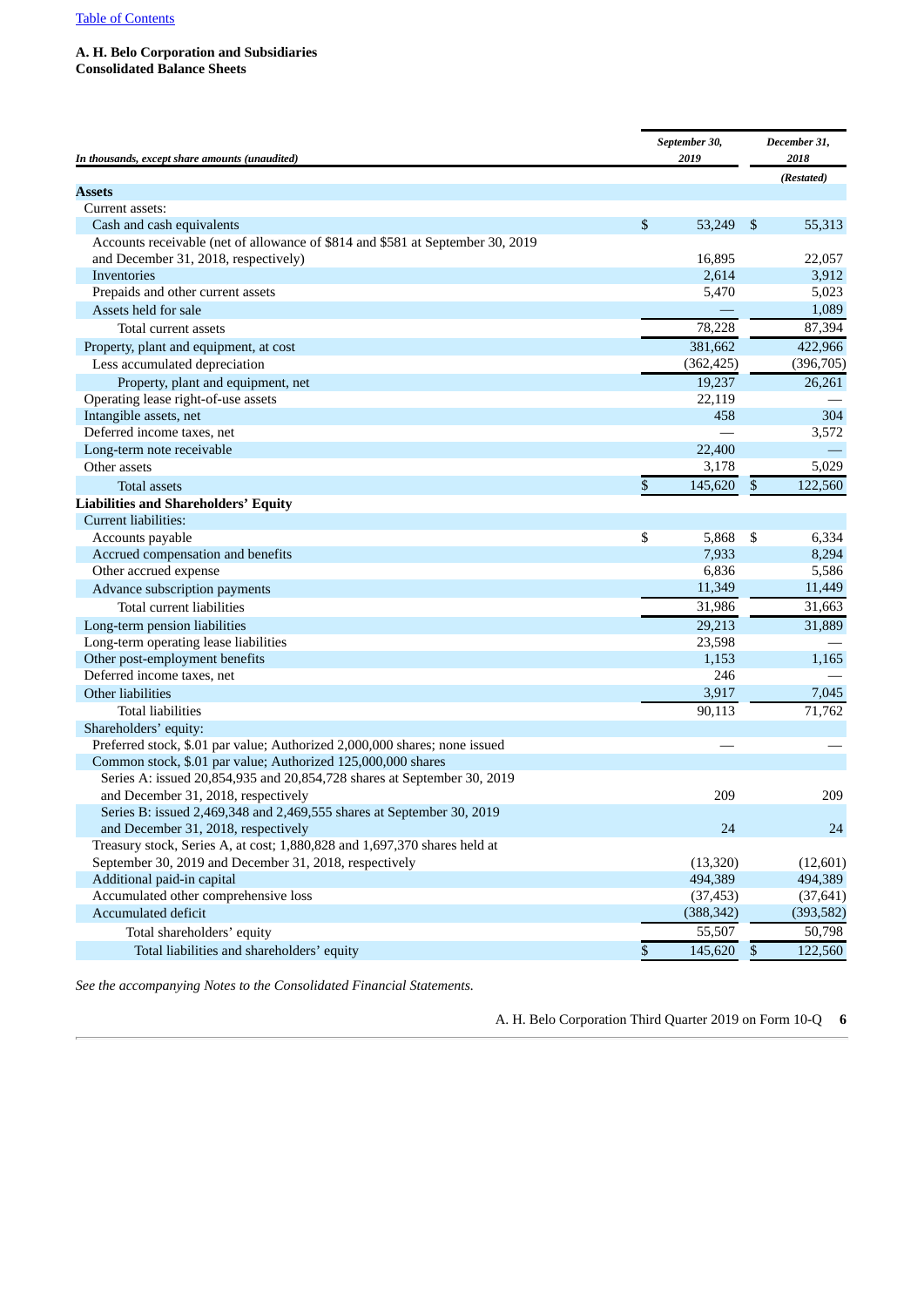#### **A. H. Belo Corporation and Subsidiaries Consolidated Balance Sheets**

| In thousands, except share amounts (unaudited)                                 | September 30,<br>2019 |                | December 31,<br>2018 |
|--------------------------------------------------------------------------------|-----------------------|----------------|----------------------|
|                                                                                |                       |                | (Restated)           |
| Assets                                                                         |                       |                |                      |
| Current assets:                                                                |                       |                |                      |
| Cash and cash equivalents                                                      | \$<br>53,249          | $\mathfrak{F}$ | 55,313               |
| Accounts receivable (net of allowance of \$814 and \$581 at September 30, 2019 |                       |                |                      |
| and December 31, 2018, respectively)                                           | 16,895                |                | 22,057               |
| Inventories                                                                    | 2,614                 |                | 3,912                |
| Prepaids and other current assets                                              | 5,470                 |                | 5,023                |
| Assets held for sale                                                           |                       |                | 1,089                |
| Total current assets                                                           | 78,228                |                | 87,394               |
| Property, plant and equipment, at cost                                         | 381,662               |                | 422,966              |
| Less accumulated depreciation                                                  | (362, 425)            |                | (396, 705)           |
| Property, plant and equipment, net                                             | 19,237                |                | 26,261               |
| Operating lease right-of-use assets                                            | 22,119                |                |                      |
| Intangible assets, net                                                         | 458                   |                | 304                  |
| Deferred income taxes, net                                                     |                       |                | 3,572                |
| Long-term note receivable                                                      | 22,400                |                |                      |
| Other assets                                                                   | 3,178                 |                | 5.029                |
| <b>Total assets</b>                                                            | \$<br>145,620         | \$             | 122,560              |
| <b>Liabilities and Shareholders' Equity</b>                                    |                       |                |                      |
| Current liabilities:                                                           |                       |                |                      |
| Accounts payable                                                               | \$<br>5,868           | \$             | 6,334                |
| Accrued compensation and benefits                                              | 7,933                 |                | 8,294                |
| Other accrued expense                                                          | 6,836                 |                | 5,586                |
| Advance subscription payments                                                  | 11,349                |                | 11,449               |
| Total current liabilities                                                      | 31,986                |                | 31,663               |
| Long-term pension liabilities                                                  | 29,213                |                | 31,889               |
| Long-term operating lease liabilities                                          | 23,598                |                |                      |
| Other post-employment benefits                                                 | 1,153                 |                | 1,165                |
| Deferred income taxes, net                                                     | 246                   |                |                      |
| Other liabilities                                                              | 3,917                 |                | 7,045                |
| <b>Total liabilities</b>                                                       | 90,113                |                | 71,762               |
| Shareholders' equity:                                                          |                       |                |                      |
| Preferred stock, \$.01 par value; Authorized 2,000,000 shares; none issued     |                       |                |                      |
| Common stock, \$.01 par value; Authorized 125,000,000 shares                   |                       |                |                      |
| Series A: issued 20,854,935 and 20,854,728 shares at September 30, 2019        |                       |                |                      |
| and December 31, 2018, respectively                                            | 209                   |                | 209                  |
| Series B: issued 2,469,348 and 2,469,555 shares at September 30, 2019          |                       |                |                      |
| and December 31, 2018, respectively                                            | 24                    |                | 24                   |
| Treasury stock, Series A, at cost; 1,880,828 and 1,697,370 shares held at      |                       |                |                      |
| September 30, 2019 and December 31, 2018, respectively                         | (13, 320)             |                | (12, 601)            |
| Additional paid-in capital                                                     | 494,389               |                | 494,389              |
| Accumulated other comprehensive loss                                           | (37, 453)             |                | (37, 641)            |
| Accumulated deficit                                                            | (388, 342)            |                | (393, 582)           |
| Total shareholders' equity                                                     | 55,507                |                | 50,798               |
| Total liabilities and shareholders' equity                                     | \$<br>145,620         | $\mathbb{S}$   | 122,560              |

*See the accompanying Notes to the Consolidated Financial Statements.*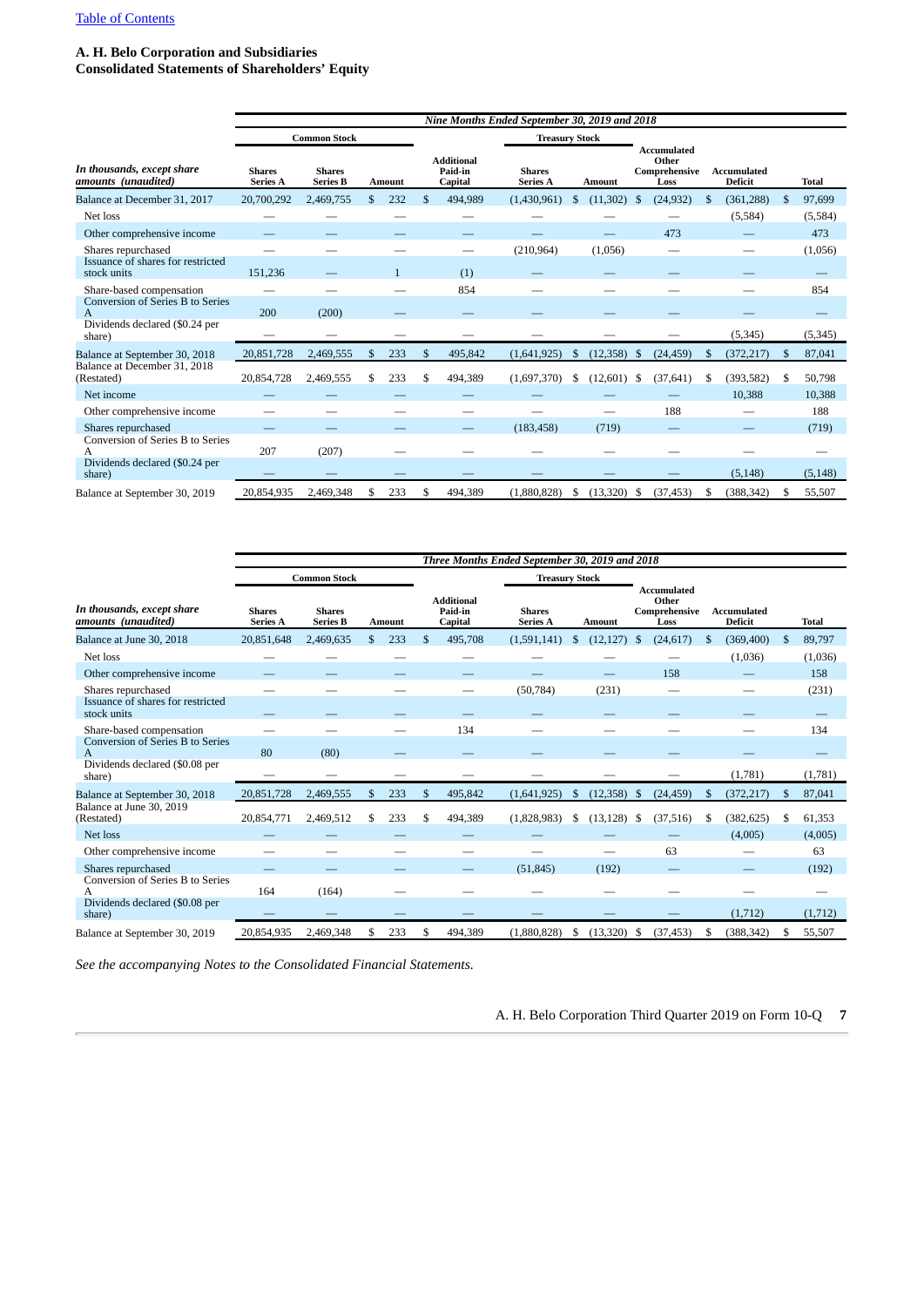#### **A. H. Belo Corporation and Subsidiaries**

**Consolidated Statements of Shareholders' Equity**

|                                                   |                                  |                                  |               |               |                                         | Nine Months Ended September 30, 2019 and 2018 |               |               |                                               |           |     |                               |     |              |
|---------------------------------------------------|----------------------------------|----------------------------------|---------------|---------------|-----------------------------------------|-----------------------------------------------|---------------|---------------|-----------------------------------------------|-----------|-----|-------------------------------|-----|--------------|
|                                                   |                                  | <b>Common Stock</b>              |               |               |                                         | <b>Treasury Stock</b>                         |               |               |                                               |           |     |                               |     |              |
| In thousands, except share<br>amounts (unaudited) | <b>Shares</b><br><b>Series A</b> | <b>Shares</b><br><b>Series B</b> | <b>Amount</b> |               | <b>Additional</b><br>Paid-in<br>Capital | <b>Shares</b><br><b>Series A</b>              |               | <b>Amount</b> | Accumulated<br>Other<br>Comprehensive<br>Loss |           |     | <b>Accumulated</b><br>Deficit |     | <b>Total</b> |
| Balance at December 31, 2017                      | 20,700,292                       | 2,469,755                        | 232           | \$.           | 494,989                                 | (1,430,961)                                   | S             | (11, 302)     | -S                                            | (24, 932) | S   | (361, 288)                    | \$  | 97,699       |
| Net loss                                          |                                  |                                  |               |               |                                         |                                               |               |               |                                               |           |     | (5,584)                       |     | (5,584)      |
| Other comprehensive income                        |                                  |                                  |               |               |                                         |                                               |               |               |                                               | 473       |     |                               |     | 473          |
| Shares repurchased                                |                                  |                                  |               |               |                                         | (210, 964)                                    |               | (1,056)       |                                               |           |     |                               |     | (1,056)      |
| Issuance of shares for restricted<br>stock units  | 151,236                          |                                  | $\mathbf{1}$  |               | (1)                                     |                                               |               |               |                                               |           |     |                               |     |              |
| Share-based compensation                          |                                  |                                  |               |               | 854                                     |                                               |               |               |                                               |           |     |                               |     | 854          |
| Conversion of Series B to Series<br>$\mathsf{A}$  | 200                              | (200)                            |               |               |                                         |                                               |               |               |                                               |           |     |                               |     |              |
| Dividends declared (\$0.24 per<br>share)          |                                  |                                  |               |               |                                         |                                               |               |               |                                               |           |     | (5, 345)                      |     | (5, 345)     |
| Balance at September 30, 2018                     | 20.851.728                       | 2,469,555                        | 233           | $\mathcal{S}$ | 495,842                                 | (1,641,925)                                   | $\mathcal{S}$ | (12, 358)     | - \$                                          | (24, 459) | \$. | (372, 217)                    |     | 87,041       |
| Balance at December 31, 2018<br>(Restated)        | 20,854,728                       | 2,469,555                        | 233           | \$            | 494,389                                 | (1,697,370)                                   | \$.           | (12,601)      | -S                                            | (37, 641) | \$  | (393, 582)                    | \$. | 50,798       |
| Net income                                        |                                  |                                  |               |               |                                         |                                               |               |               |                                               |           |     | 10.388                        |     | 10,388       |
| Other comprehensive income                        |                                  |                                  |               |               |                                         |                                               |               |               |                                               | 188       |     |                               |     | 188          |
| Shares repurchased                                |                                  |                                  |               |               |                                         | (183, 458)                                    |               | (719)         |                                               |           |     |                               |     | (719)        |
| Conversion of Series B to Series<br>A             | 207                              | (207)                            |               |               |                                         |                                               |               |               |                                               |           |     |                               |     |              |
| Dividends declared (\$0.24 per<br>share)          |                                  |                                  |               |               |                                         |                                               |               |               |                                               |           |     | (5, 148)                      |     | (5, 148)     |
| Balance at September 30, 2019                     | 20,854,935                       | 2,469,348                        | 233           | \$.           | 494,389                                 | (1,880,828)                                   | \$            | $(13,320)$ \$ |                                               | (37, 453) | \$  | (388, 342)                    | \$. | 55,507       |

|                                                   | Three Months Ended September 30, 2019 and 2018 |                                  |        |     |                                         |         |                                  |               |           |                                                      |           |               |                               |     |              |
|---------------------------------------------------|------------------------------------------------|----------------------------------|--------|-----|-----------------------------------------|---------|----------------------------------|---------------|-----------|------------------------------------------------------|-----------|---------------|-------------------------------|-----|--------------|
|                                                   |                                                | <b>Common Stock</b>              |        |     |                                         |         | <b>Treasury Stock</b>            |               |           |                                                      |           |               |                               |     |              |
| In thousands, except share<br>amounts (unaudited) | <b>Shares</b><br><b>Series A</b>               | <b>Shares</b><br><b>Series B</b> | Amount |     | <b>Additional</b><br>Paid-in<br>Capital |         | <b>Shares</b><br><b>Series A</b> | <b>Amount</b> |           | <b>Accumulated</b><br>Other<br>Comprehensive<br>Loss |           |               | <b>Accumulated</b><br>Deficit |     | <b>Total</b> |
| Balance at June 30, 2018                          | 20,851,648                                     | 2,469,635                        | \$     | 233 | \$.                                     | 495,708 | (1,591,141)                      | \$            | (12, 127) | -S                                                   | (24, 617) | <sup>\$</sup> | (369, 400)                    | -\$ | 89,797       |
| Net loss                                          |                                                |                                  |        |     |                                         |         |                                  |               |           |                                                      |           |               | (1,036)                       |     | (1,036)      |
| Other comprehensive income                        |                                                |                                  |        |     |                                         |         |                                  |               |           |                                                      | 158       |               |                               |     | 158          |
| Shares repurchased                                |                                                |                                  |        |     |                                         |         | (50, 784)                        |               | (231)     |                                                      |           |               |                               |     | (231)        |
| Issuance of shares for restricted<br>stock units  |                                                |                                  |        |     |                                         |         |                                  |               |           |                                                      |           |               |                               |     |              |
| Share-based compensation                          |                                                |                                  |        |     |                                         | 134     |                                  |               |           |                                                      |           |               |                               |     | 134          |
| Conversion of Series B to Series<br>A             | 80                                             | (80)                             |        |     |                                         |         |                                  |               |           |                                                      |           |               |                               |     |              |
| Dividends declared (\$0.08 per<br>share)          |                                                |                                  |        |     |                                         |         |                                  |               |           |                                                      |           |               | (1,781)                       |     | (1,781)      |
| Balance at September 30, 2018                     | 20.851.728                                     | 2,469,555                        | \$     | 233 | $\mathbb{S}$                            | 495.842 | (1,641,925)                      | \$            | (12,358)  | - \$                                                 | (24, 459) | \$            | (372, 217)                    | \$  | 87,041       |
| Balance at June 30, 2019<br>(Restated)            | 20,854,771                                     | 2,469,512                        |        | 233 | \$.                                     | 494,389 | (1,828,983)                      | S.            | (13.128)  | £.                                                   | (37, 516) | \$            | (382, 625)                    | \$  | 61,353       |
| Net loss                                          |                                                |                                  |        |     |                                         |         |                                  |               |           |                                                      |           |               | (4,005)                       |     | (4,005)      |
| Other comprehensive income                        |                                                |                                  |        |     |                                         |         |                                  |               |           |                                                      | 63        |               |                               |     | 63           |
| Shares repurchased                                |                                                |                                  |        |     |                                         |         | (51, 845)                        |               | (192)     |                                                      |           |               |                               |     | (192)        |
| Conversion of Series B to Series<br>А             | 164                                            | (164)                            |        |     |                                         |         |                                  |               |           |                                                      |           |               |                               |     |              |
| Dividends declared (\$0.08 per<br>share)          |                                                |                                  |        |     |                                         |         |                                  |               |           |                                                      |           |               | (1,712)                       |     | (1,712)      |
| Balance at September 30, 2019                     | 20,854,935                                     | 2,469,348                        | \$     | 233 | S                                       | 494,389 | (1.880.828)                      | \$            | (13,320)  | -\$                                                  | (37, 453) | \$            | (388, 342)                    | £.  | 55,507       |

*See the accompanying Notes to the Consolidated Financial Statements.*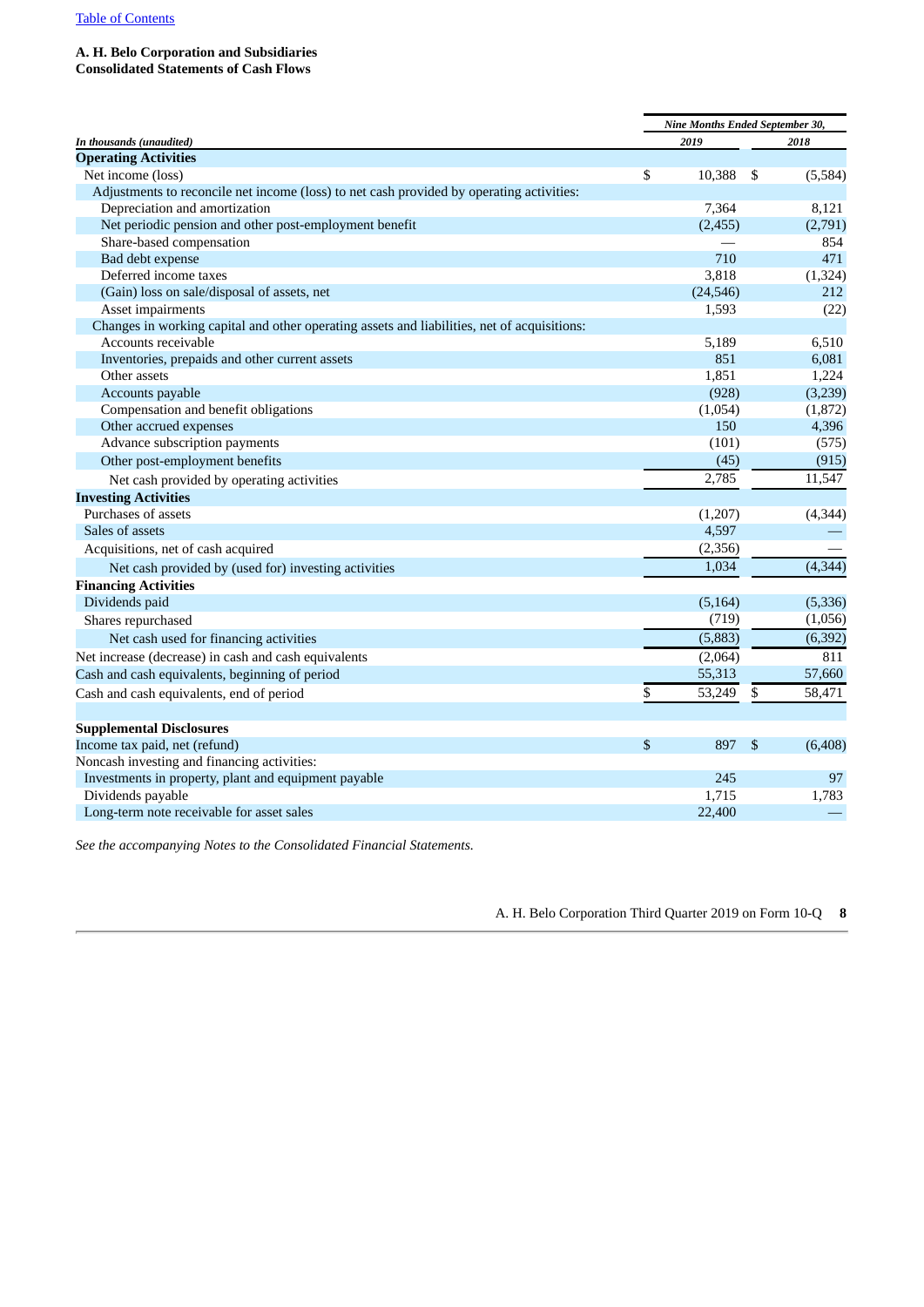#### **A. H. Belo Corporation and Subsidiaries**

**Consolidated Statements of Cash Flows**

|                                                                                             | <b>Nine Months Ended September 30,</b> |           |    |          |  |  |  |
|---------------------------------------------------------------------------------------------|----------------------------------------|-----------|----|----------|--|--|--|
| In thousands (unaudited)                                                                    |                                        | 2019      |    | 2018     |  |  |  |
| <b>Operating Activities</b>                                                                 |                                        |           |    |          |  |  |  |
| Net income (loss)                                                                           | \$                                     | 10,388    | \$ | (5,584)  |  |  |  |
| Adjustments to reconcile net income (loss) to net cash provided by operating activities:    |                                        |           |    |          |  |  |  |
| Depreciation and amortization                                                               |                                        | 7,364     |    | 8,121    |  |  |  |
| Net periodic pension and other post-employment benefit                                      |                                        | (2, 455)  |    | (2,791)  |  |  |  |
| Share-based compensation                                                                    |                                        |           |    | 854      |  |  |  |
| Bad debt expense                                                                            |                                        | 710       |    | 471      |  |  |  |
| Deferred income taxes                                                                       |                                        | 3,818     |    | (1, 324) |  |  |  |
| (Gain) loss on sale/disposal of assets, net                                                 |                                        | (24, 546) |    | 212      |  |  |  |
| Asset impairments                                                                           |                                        | 1,593     |    | (22)     |  |  |  |
| Changes in working capital and other operating assets and liabilities, net of acquisitions: |                                        |           |    |          |  |  |  |
| Accounts receivable                                                                         |                                        | 5,189     |    | 6,510    |  |  |  |
| Inventories, prepaids and other current assets                                              |                                        | 851       |    | 6,081    |  |  |  |
| Other assets                                                                                |                                        | 1,851     |    | 1,224    |  |  |  |
| Accounts payable                                                                            |                                        | (928)     |    | (3,239)  |  |  |  |
| Compensation and benefit obligations                                                        |                                        | (1,054)   |    | (1,872)  |  |  |  |
| Other accrued expenses                                                                      |                                        | 150       |    | 4,396    |  |  |  |
| Advance subscription payments                                                               |                                        | (101)     |    | (575)    |  |  |  |
| Other post-employment benefits                                                              |                                        | (45)      |    | (915)    |  |  |  |
| Net cash provided by operating activities                                                   |                                        | 2,785     |    | 11,547   |  |  |  |
| <b>Investing Activities</b>                                                                 |                                        |           |    |          |  |  |  |
| Purchases of assets                                                                         |                                        | (1,207)   |    | (4, 344) |  |  |  |
| Sales of assets                                                                             |                                        | 4,597     |    |          |  |  |  |
| Acquisitions, net of cash acquired                                                          |                                        | (2,356)   |    |          |  |  |  |
| Net cash provided by (used for) investing activities                                        |                                        | 1,034     |    | (4, 344) |  |  |  |
| <b>Financing Activities</b>                                                                 |                                        |           |    |          |  |  |  |
| Dividends paid                                                                              |                                        | (5, 164)  |    | (5, 336) |  |  |  |
| Shares repurchased                                                                          |                                        | (719)     |    | (1,056)  |  |  |  |
| Net cash used for financing activities                                                      |                                        | (5,883)   |    | (6, 392) |  |  |  |
| Net increase (decrease) in cash and cash equivalents                                        |                                        | (2,064)   |    | 811      |  |  |  |
| Cash and cash equivalents, beginning of period                                              |                                        | 55,313    |    | 57,660   |  |  |  |
|                                                                                             | \$                                     | 53,249    | \$ | 58,471   |  |  |  |
| Cash and cash equivalents, end of period                                                    |                                        |           |    |          |  |  |  |
| <b>Supplemental Disclosures</b>                                                             |                                        |           |    |          |  |  |  |
| Income tax paid, net (refund)                                                               | \$                                     | 897       | \$ | (6, 408) |  |  |  |
| Noncash investing and financing activities:                                                 |                                        |           |    |          |  |  |  |
| Investments in property, plant and equipment payable                                        |                                        | 245       |    | 97       |  |  |  |
| Dividends payable                                                                           |                                        | 1,715     |    | 1,783    |  |  |  |
| Long-term note receivable for asset sales                                                   |                                        | 22,400    |    |          |  |  |  |

*See the accompanying Notes to the Consolidated Financial Statements.*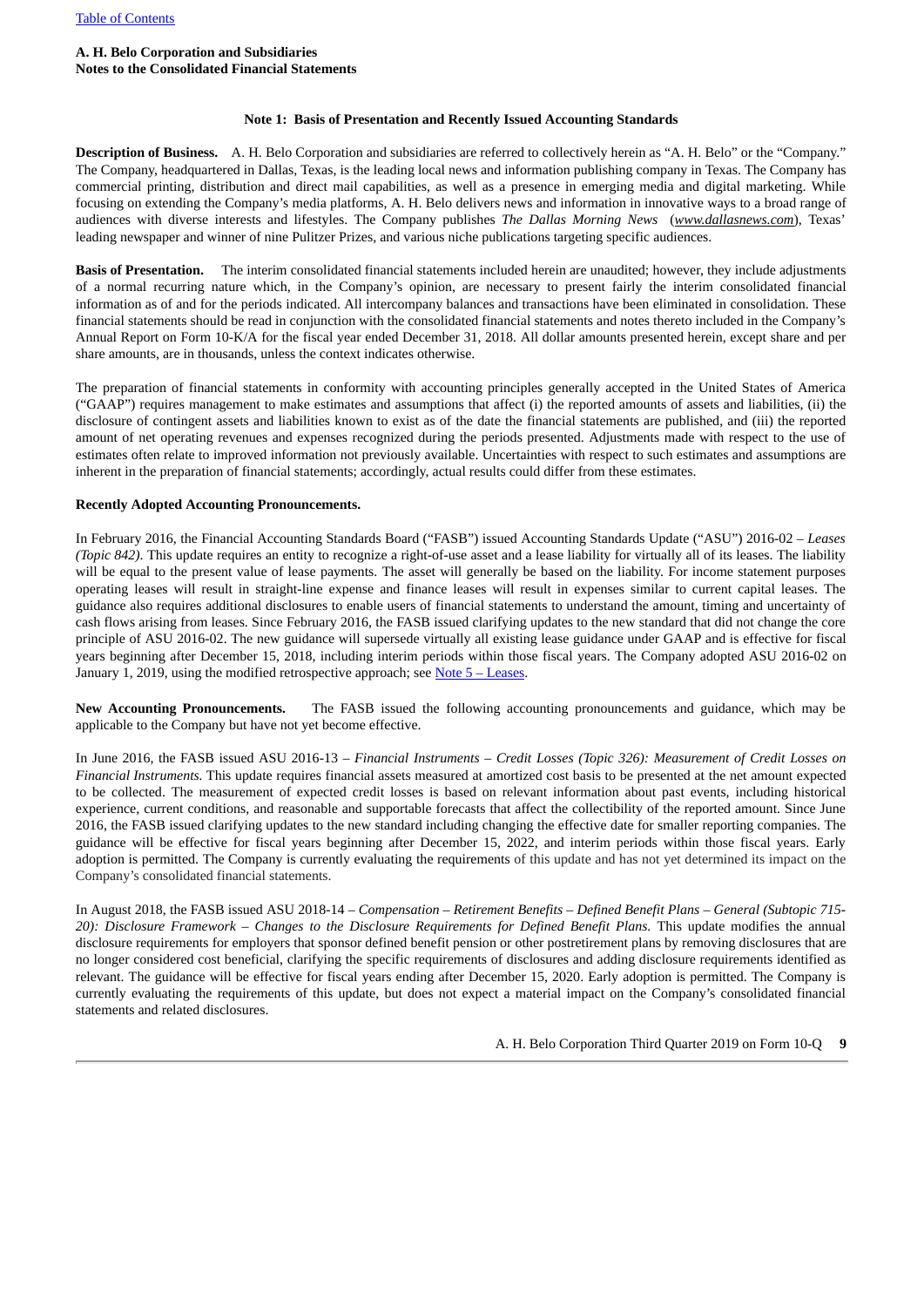#### **A. H. Belo Corporation and Subsidiaries Notes to the Consolidated Financial Statements**

#### **Note 1: Basis of Presentation and Recently Issued Accounting Standards**

**Description of Business.** A. H. Belo Corporation and subsidiaries are referred to collectively herein as "A. H. Belo" or the "Company." The Company, headquartered in Dallas, Texas, is the leading local news and information publishing company in Texas. The Company has commercial printing, distribution and direct mail capabilities, as well as a presence in emerging media and digital marketing. While focusing on extending the Company's media platforms, A. H. Belo delivers news and information in innovative ways to a broad range of audiences with diverse interests and lifestyles. The Company publishes *The Dallas Morning News* (*www.dallasnews.com*), Texas' leading newspaper and winner of nine Pulitzer Prizes, and various niche publications targeting specific audiences.

**Basis of Presentation.** The interim consolidated financial statements included herein are unaudited; however, they include adjustments of a normal recurring nature which, in the Company's opinion, are necessary to present fairly the interim consolidated financial information as of and for the periods indicated. All intercompany balances and transactions have been eliminated in consolidation. These financial statements should be read in conjunction with the consolidated financial statements and notes thereto included in the Company's Annual Report on Form 10-K/A for the fiscal year ended December 31, 2018. All dollar amounts presented herein, except share and per share amounts, are in thousands, unless the context indicates otherwise.

The preparation of financial statements in conformity with accounting principles generally accepted in the United States of America ("GAAP") requires management to make estimates and assumptions that affect (i) the reported amounts of assets and liabilities, (ii) the disclosure of contingent assets and liabilities known to exist as of the date the financial statements are published, and (iii) the reported amount of net operating revenues and expenses recognized during the periods presented. Adjustments made with respect to the use of estimates often relate to improved information not previously available. Uncertainties with respect to such estimates and assumptions are inherent in the preparation of financial statements; accordingly, actual results could differ from these estimates.

#### **Recently Adopted Accounting Pronouncements.**

In February 2016, the Financial Accounting Standards Board ("FASB") issued Accounting Standards Update ("ASU") 2016-02 – *Leases (Topic 842)*. This update requires an entity to recognize a right-of-use asset and a lease liability for virtually all of its leases. The liability will be equal to the present value of lease payments. The asset will generally be based on the liability. For income statement purposes operating leases will result in straight-line expense and finance leases will result in expenses similar to current capital leases. The guidance also requires additional disclosures to enable users of financial statements to understand the amount, timing and uncertainty of cash flows arising from leases. Since February 2016, the FASB issued clarifying updates to the new standard that did not change the core principle of ASU 2016-02. The new guidance will supersede virtually all existing lease guidance under GAAP and is effective for fiscal years beginning after December 15, 2018, including interim periods within those fiscal years. The Company adopted ASU 2016-02 on January 1, 2019, using the modified retrospective approach; see Note  $5 -$ [Leases](#page-11-0).

**New Accounting Pronouncements.** The FASB issued the following accounting pronouncements and guidance, which may be applicable to the Company but have not yet become effective.

In June 2016, the FASB issued ASU 2016-13 – *Financial Instruments – Credit Losses (Topic 326): Measurement of Credit Losses on Financial Instruments.* This update requires financial assets measured at amortized cost basis to be presented at the net amount expected to be collected. The measurement of expected credit losses is based on relevant information about past events, including historical experience, current conditions, and reasonable and supportable forecasts that affect the collectibility of the reported amount. Since June 2016, the FASB issued clarifying updates to the new standard including changing the effective date for smaller reporting companies. The guidance will be effective for fiscal years beginning after December 15, 2022, and interim periods within those fiscal years. Early adoption is permitted. The Company is currently evaluating the requirements of this update and has not yet determined its impact on the Company's consolidated financial statements.

In August 2018, the FASB issued ASU 2018-14 – *Compensation – Retirement Benefits – Defined Benefit Plans – General (Subtopic 715- 20): Disclosure Framework* – *Changes to the Disclosure Requirements for Defined Benefit Plans.* This update modifies the annual disclosure requirements for employers that sponsor defined benefit pension or other postretirement plans by removing disclosures that are no longer considered cost beneficial, clarifying the specific requirements of disclosures and adding disclosure requirements identified as relevant. The guidance will be effective for fiscal years ending after December 15, 2020. Early adoption is permitted. The Company is currently evaluating the requirements of this update, but does not expect a material impact on the Company's consolidated financial statements and related disclosures.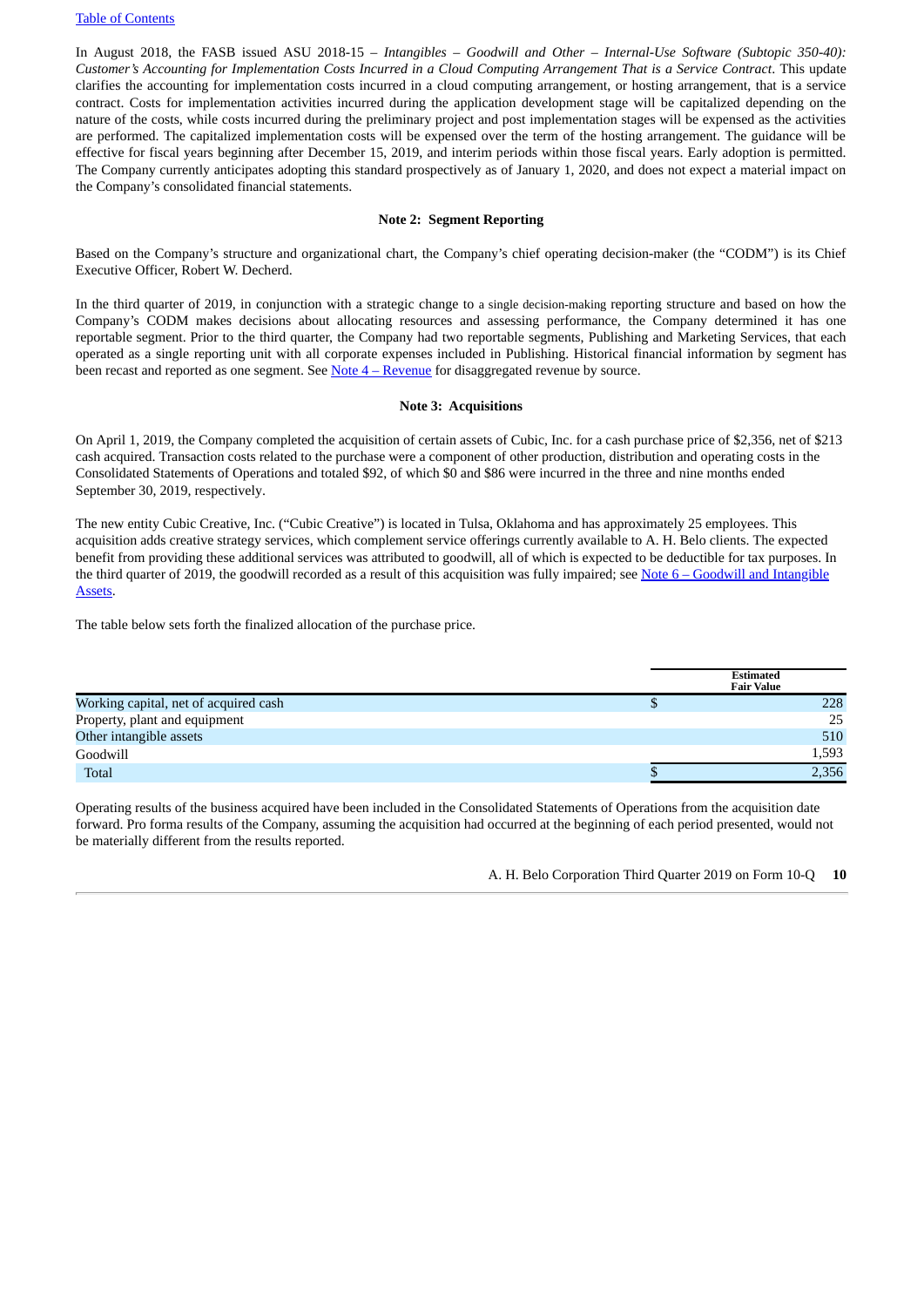In August 2018, the FASB issued ASU 2018-15 – *Intangibles – Goodwill and Other – Internal-Use Software (Subtopic 350-40):* Customer's Accounting for Implementation Costs Incurred in a Cloud Computing Arrangement That is a Service Contract. This update clarifies the accounting for implementation costs incurred in a cloud computing arrangement, or hosting arrangement, that is a service contract. Costs for implementation activities incurred during the application development stage will be capitalized depending on the nature of the costs, while costs incurred during the preliminary project and post implementation stages will be expensed as the activities are performed. The capitalized implementation costs will be expensed over the term of the hosting arrangement. The guidance will be effective for fiscal years beginning after December 15, 2019, and interim periods within those fiscal years. Early adoption is permitted. The Company currently anticipates adopting this standard prospectively as of January 1, 2020, and does not expect a material impact on the Company's consolidated financial statements.

#### **Note 2: Segment Reporting**

<span id="page-9-0"></span>Based on the Company's structure and organizational chart, the Company's chief operating decision-maker (the "CODM") is its Chief Executive Officer, Robert W. Decherd.

In the third quarter of 2019, in conjunction with a strategic change to a single decision-making reporting structure and based on how the Company's CODM makes decisions about allocating resources and assessing performance, the Company determined it has one reportable segment. Prior to the third quarter, the Company had two reportable segments, Publishing and Marketing Services, that each operated as a single reporting unit with all corporate expenses included in Publishing. Historical financial information by segment has been recast and reported as one segment. See Note  $4 -$  [Revenue](#page-10-0) for disaggregated revenue by source.

#### **Note 3: Acquisitions**

On April 1, 2019, the Company completed the acquisition of certain assets of Cubic, Inc. for a cash purchase price of \$2,356, net of \$213 cash acquired. Transaction costs related to the purchase were a component of other production, distribution and operating costs in the Consolidated Statements of Operations and totaled \$92, of which \$0 and \$86 were incurred in the three and nine months ended September 30, 2019, respectively.

The new entity Cubic Creative, Inc. ("Cubic Creative") is located in Tulsa, Oklahoma and has approximately 25 employees. This acquisition adds creative strategy services, which complement service offerings currently available to A. H. Belo clients. The expected benefit from providing these additional services was attributed to goodwill, all of which is expected to be deductible for tax purposes. In the third quarter of 2019, the goodwill recorded as a result of this [acquisition](#page-13-0) was fully impaired; see Note  $6 -$  Goodwill and Intangible Assets.

The table below sets forth the finalized allocation of the purchase price.

|                                       | <b>Estimated</b><br><b>Fair Value</b> |
|---------------------------------------|---------------------------------------|
| Working capital, net of acquired cash | 228                                   |
| Property, plant and equipment         | 25                                    |
| Other intangible assets               | 510                                   |
| Goodwill                              | 1,593                                 |
| <b>Total</b>                          | 2,356                                 |

Operating results of the business acquired have been included in the Consolidated Statements of Operations from the acquisition date forward. Pro forma results of the Company, assuming the acquisition had occurred at the beginning of each period presented, would not be materially different from the results reported.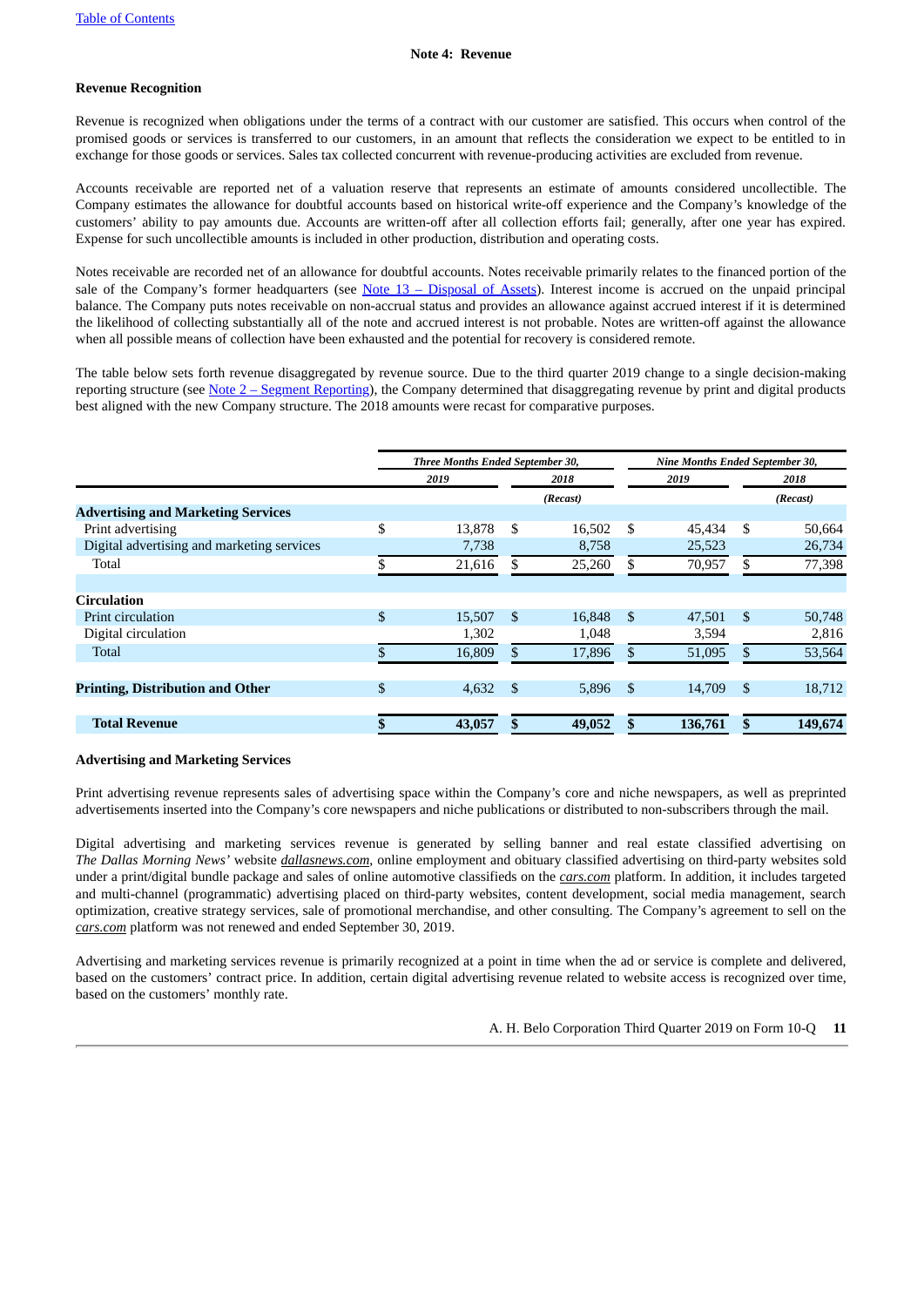#### <span id="page-10-0"></span>**Revenue Recognition**

Revenue is recognized when obligations under the terms of a contract with our customer are satisfied. This occurs when control of the promised goods or services is transferred to our customers, in an amount that reflects the consideration we expect to be entitled to in exchange for those goods or services. Sales tax collected concurrent with revenue-producing activities are excluded from revenue.

Accounts receivable are reported net of a valuation reserve that represents an estimate of amounts considered uncollectible. The Company estimates the allowance for doubtful accounts based on historical write-off experience and the Company's knowledge of the customers' ability to pay amounts due. Accounts are written-off after all collection efforts fail; generally, after one year has expired. Expense for such uncollectible amounts is included in other production, distribution and operating costs.

Notes receivable are recorded net of an allowance for doubtful accounts. Notes receivable primarily relates to the financed portion of the sale of the Company's former headquarters (see  $Note 13 - Disposal of Assets$  $Note 13 - Disposal of Assets$  $Note 13 - Disposal of Assets$ ). Interest income is accrued on the unpaid principal</u> balance. The Company puts notes receivable on non-accrual status and provides an allowance against accrued interest if it is determined the likelihood of collecting substantially all of the note and accrued interest is not probable. Notes are written-off against the allowance when all possible means of collection have been exhausted and the potential for recovery is considered remote.

The table below sets forth revenue disaggregated by revenue source. Due to the third quarter 2019 change to a single decision-making reporting structure (see <u>Note 2 – Segment [Reporting](#page-9-0)</u>), the Company determined that disaggregating revenue by print and digital products best aligned with the new Company structure. The 2018 amounts were recast for comparative purposes.

|                                            |                | Three Months Ended September 30, |               |        | <b>Nine Months Ended September 30,</b> |         |               |          |  |  |
|--------------------------------------------|----------------|----------------------------------|---------------|--------|----------------------------------------|---------|---------------|----------|--|--|
|                                            |                | 2019                             |               | 2018   |                                        | 2019    |               | 2018     |  |  |
|                                            |                |                                  | (Recast)      |        |                                        |         |               | (Recast) |  |  |
| <b>Advertising and Marketing Services</b>  |                |                                  |               |        |                                        |         |               |          |  |  |
| Print advertising                          | \$             | 13.878                           | \$            | 16.502 | - \$                                   | 45.434  | \$            | 50,664   |  |  |
| Digital advertising and marketing services |                | 7,738                            |               | 8.758  |                                        | 25,523  |               | 26,734   |  |  |
| Total                                      |                | 21,616                           |               | 25,260 | \$                                     | 70,957  | S             | 77,398   |  |  |
|                                            |                |                                  |               |        |                                        |         |               |          |  |  |
| <b>Circulation</b>                         |                |                                  |               |        |                                        |         |               |          |  |  |
| Print circulation                          | $\mathbb{S}$   | 15,507                           | $\mathbf{\$}$ | 16.848 | -\$                                    | 47,501  | $\mathbf{\$}$ | 50,748   |  |  |
| Digital circulation                        |                | 1,302                            |               | 1,048  |                                        | 3,594   |               | 2,816    |  |  |
| Total                                      |                | 16,809                           | \$            | 17,896 | \$                                     | 51,095  | \$            | 53,564   |  |  |
|                                            |                |                                  |               |        |                                        |         |               |          |  |  |
| <b>Printing, Distribution and Other</b>    | $\mathfrak{L}$ | 4,632                            | <sup>\$</sup> | 5,896  | -\$                                    | 14,709  | \$            | 18,712   |  |  |
|                                            |                |                                  |               |        |                                        |         |               |          |  |  |
| <b>Total Revenue</b>                       |                | 43,057                           |               | 49,052 |                                        | 136,761 |               | 149,674  |  |  |

#### **Advertising and Marketing Services**

Print advertising revenue represents sales of advertising space within the Company's core and niche newspapers, as well as preprinted advertisements inserted into the Company's core newspapers and niche publications or distributed to non-subscribers through the mail.

Digital advertising and marketing services revenue is generated by selling banner and real estate classified advertising on *The Dallas Morning News'* website *dallasnews.com*, online employment and obituary classified advertising on third-party websites sold under a print/digital bundle package and sales of online automotive classifieds on the *cars.com* platform. In addition, it includes targeted and multi-channel (programmatic) advertising placed on third-party websites, content development, social media management, search optimization, creative strategy services, sale of promotional merchandise, and other consulting. The Company's agreement to sell on the *cars.com* platform was not renewed and ended September 30, 2019.

Advertising and marketing services revenue is primarily recognized at a point in time when the ad or service is complete and delivered, based on the customers' contract price. In addition, certain digital advertising revenue related to website access is recognized over time, based on the customers' monthly rate.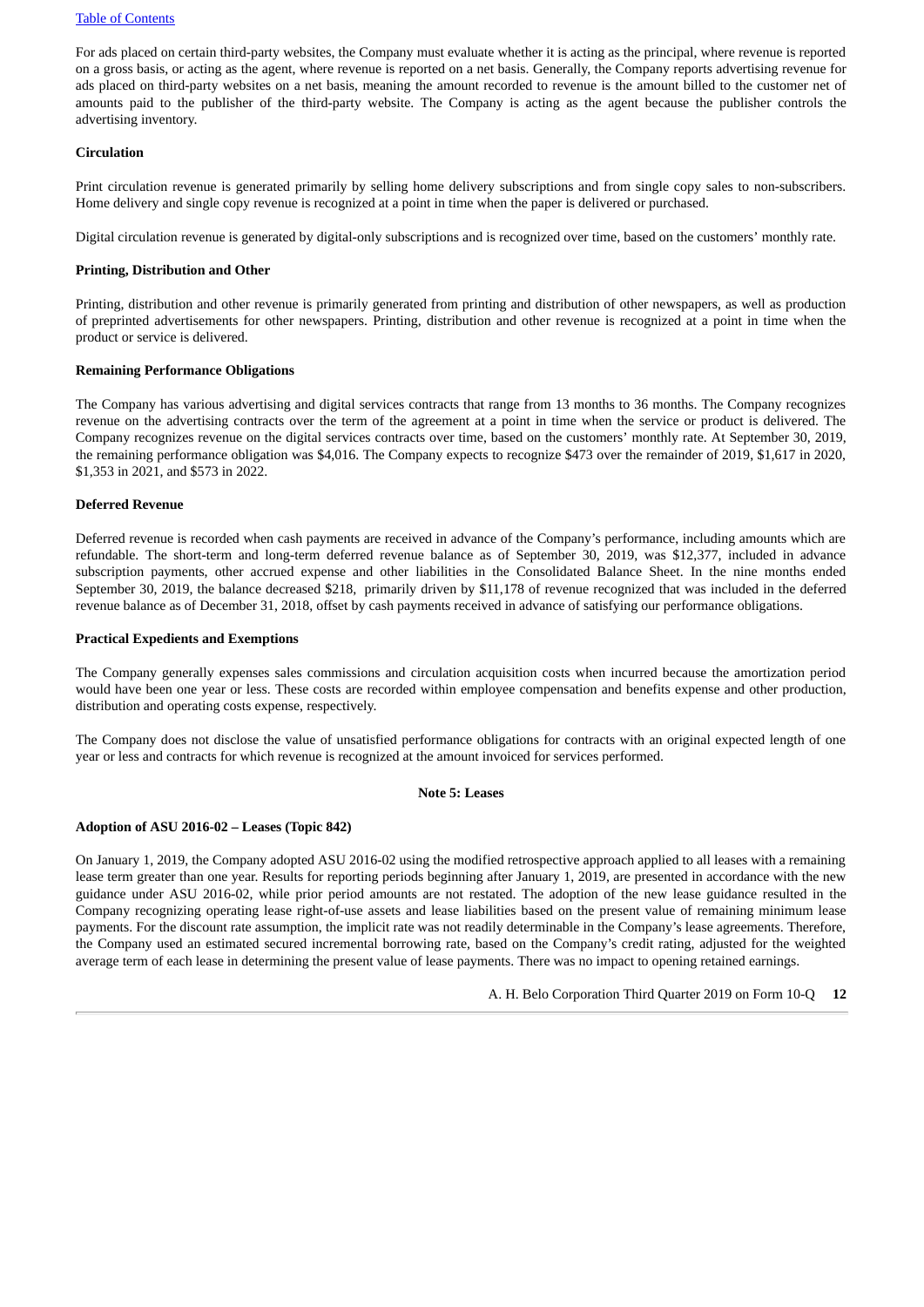For ads placed on certain third-party websites, the Company must evaluate whether it is acting as the principal, where revenue is reported on a gross basis, or acting as the agent, where revenue is reported on a net basis. Generally, the Company reports advertising revenue for ads placed on third-party websites on a net basis, meaning the amount recorded to revenue is the amount billed to the customer net of amounts paid to the publisher of the third-party website. The Company is acting as the agent because the publisher controls the advertising inventory.

#### **Circulation**

Print circulation revenue is generated primarily by selling home delivery subscriptions and from single copy sales to non-subscribers. Home delivery and single copy revenue is recognized at a point in time when the paper is delivered or purchased.

Digital circulation revenue is generated by digital-only subscriptions and is recognized over time, based on the customers' monthly rate.

#### **Printing, Distribution and Other**

Printing, distribution and other revenue is primarily generated from printing and distribution of other newspapers, as well as production of preprinted advertisements for other newspapers. Printing, distribution and other revenue is recognized at a point in time when the product or service is delivered.

#### **Remaining Performance Obligations**

The Company has various advertising and digital services contracts that range from 13 months to 36 months. The Company recognizes revenue on the advertising contracts over the term of the agreement at a point in time when the service or product is delivered. The Company recognizes revenue on the digital services contracts over time, based on the customers' monthly rate. At September 30, 2019, the remaining performance obligation was \$4,016. The Company expects to recognize \$473 over the remainder of 2019, \$1,617 in 2020, \$1,353 in 2021, and \$573 in 2022.

#### **Deferred Revenue**

Deferred revenue is recorded when cash payments are received in advance of the Company's performance, including amounts which are refundable. The short-term and long-term deferred revenue balance as of September 30, 2019, was \$12,377, included in advance subscription payments, other accrued expense and other liabilities in the Consolidated Balance Sheet. In the nine months ended September 30, 2019, the balance decreased \$218, primarily driven by \$11,178 of revenue recognized that was included in the deferred revenue balance as of December 31, 2018, offset by cash payments received in advance of satisfying our performance obligations.

#### **Practical Expedients and Exemptions**

The Company generally expenses sales commissions and circulation acquisition costs when incurred because the amortization period would have been one year or less. These costs are recorded within employee compensation and benefits expense and other production, distribution and operating costs expense, respectively.

The Company does not disclose the value of unsatisfied performance obligations for contracts with an original expected length of one year or less and contracts for which revenue is recognized at the amount invoiced for services performed.

#### **Note 5: Leases**

#### <span id="page-11-0"></span>**Adoption of ASU 2016-02 – Leases (Topic 842)**

On January 1, 2019, the Company adopted ASU 2016-02 using the modified retrospective approach applied to all leases with a remaining lease term greater than one year. Results for reporting periods beginning after January 1, 2019, are presented in accordance with the new guidance under ASU 2016-02, while prior period amounts are not restated. The adoption of the new lease guidance resulted in the Company recognizing operating lease right-of-use assets and lease liabilities based on the present value of remaining minimum lease payments. For the discount rate assumption, the implicit rate was not readily determinable in the Company's lease agreements. Therefore, the Company used an estimated secured incremental borrowing rate, based on the Company's credit rating, adjusted for the weighted average term of each lease in determining the present value of lease payments. There was no impact to opening retained earnings.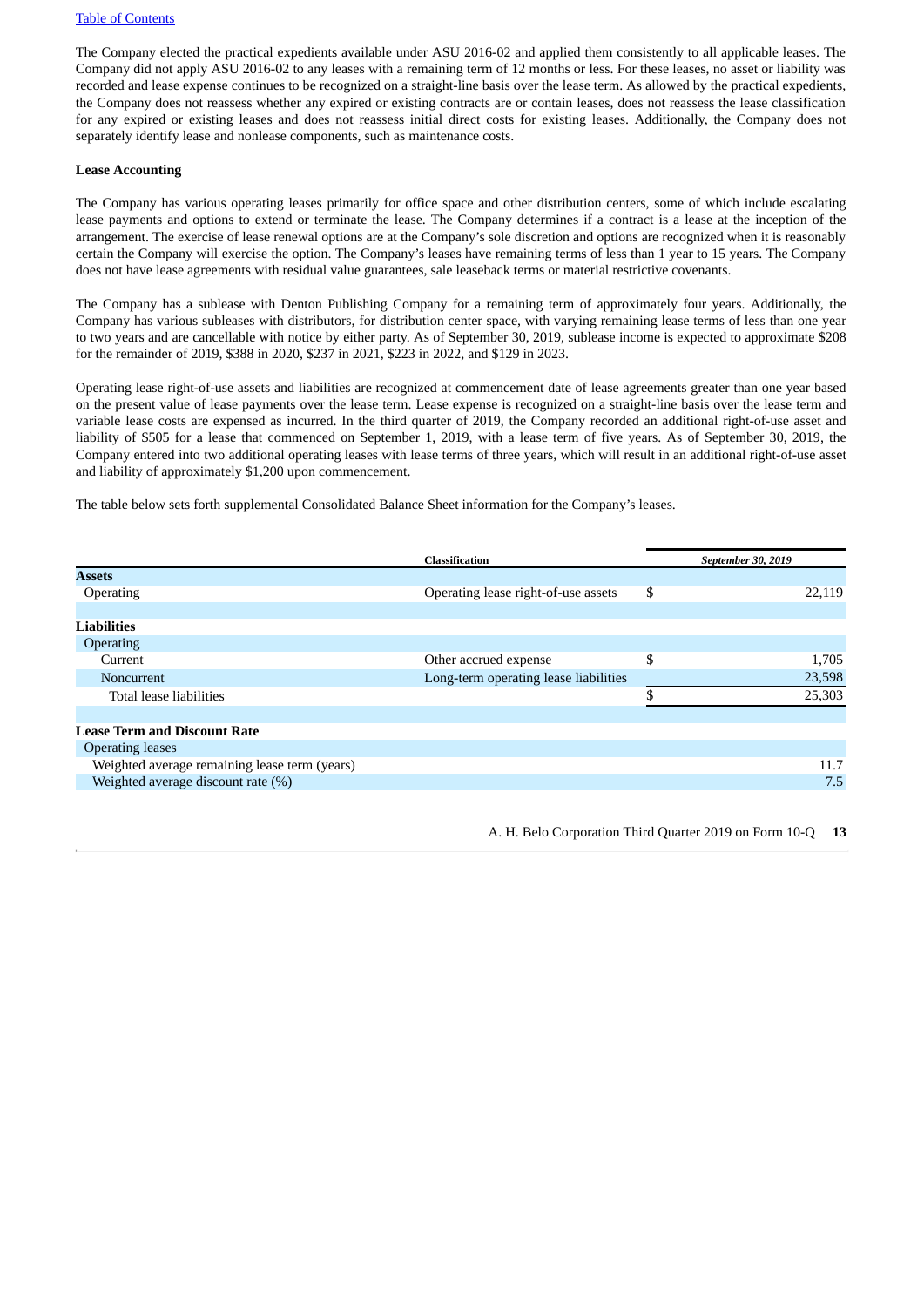The Company elected the practical expedients available under ASU 2016-02 and applied them consistently to all applicable leases. The Company did not apply ASU 2016-02 to any leases with a remaining term of 12 months or less. For these leases, no asset or liability was recorded and lease expense continues to be recognized on a straight-line basis over the lease term. As allowed by the practical expedients, the Company does not reassess whether any expired or existing contracts are or contain leases, does not reassess the lease classification for any expired or existing leases and does not reassess initial direct costs for existing leases. Additionally, the Company does not separately identify lease and nonlease components, such as maintenance costs.

#### **Lease Accounting**

The Company has various operating leases primarily for office space and other distribution centers, some of which include escalating lease payments and options to extend or terminate the lease. The Company determines if a contract is a lease at the inception of the arrangement. The exercise of lease renewal options are at the Company's sole discretion and options are recognized when it is reasonably certain the Company will exercise the option. The Company's leases have remaining terms of less than 1 year to 15 years. The Company does not have lease agreements with residual value guarantees, sale leaseback terms or material restrictive covenants.

The Company has a sublease with Denton Publishing Company for a remaining term of approximately four years. Additionally, the Company has various subleases with distributors, for distribution center space, with varying remaining lease terms of less than one year to two years and are cancellable with notice by either party. As of September 30, 2019, sublease income is expected to approximate \$208 for the remainder of 2019, \$388 in 2020, \$237 in 2021, \$223 in 2022, and \$129 in 2023.

Operating lease right-of-use assets and liabilities are recognized at commencement date of lease agreements greater than one year based on the present value of lease payments over the lease term. Lease expense is recognized on a straight-line basis over the lease term and variable lease costs are expensed as incurred. In the third quarter of 2019, the Company recorded an additional right-of-use asset and liability of \$505 for a lease that commenced on September 1, 2019, with a lease term of five years. As of September 30, 2019, the Company entered into two additional operating leases with lease terms of three years, which will result in an additional right-of-use asset and liability of approximately \$1,200 upon commencement.

The table below sets forth supplemental Consolidated Balance Sheet information for the Company's leases.

|                                               | <b>Classification</b>                 | September 30, 2019 |        |
|-----------------------------------------------|---------------------------------------|--------------------|--------|
| <b>Assets</b>                                 |                                       |                    |        |
| <b>Operating</b>                              | Operating lease right-of-use assets   | \$                 | 22,119 |
|                                               |                                       |                    |        |
| <b>Liabilities</b>                            |                                       |                    |        |
| <b>Operating</b>                              |                                       |                    |        |
| Current                                       | Other accrued expense                 | \$                 | 1,705  |
| <b>Noncurrent</b>                             | Long-term operating lease liabilities |                    | 23,598 |
| Total lease liabilities                       |                                       |                    | 25,303 |
|                                               |                                       |                    |        |
| <b>Lease Term and Discount Rate</b>           |                                       |                    |        |
| <b>Operating leases</b>                       |                                       |                    |        |
| Weighted average remaining lease term (years) |                                       |                    | 11.7   |
| Weighted average discount rate (%)            |                                       |                    | 7.5    |
|                                               |                                       |                    |        |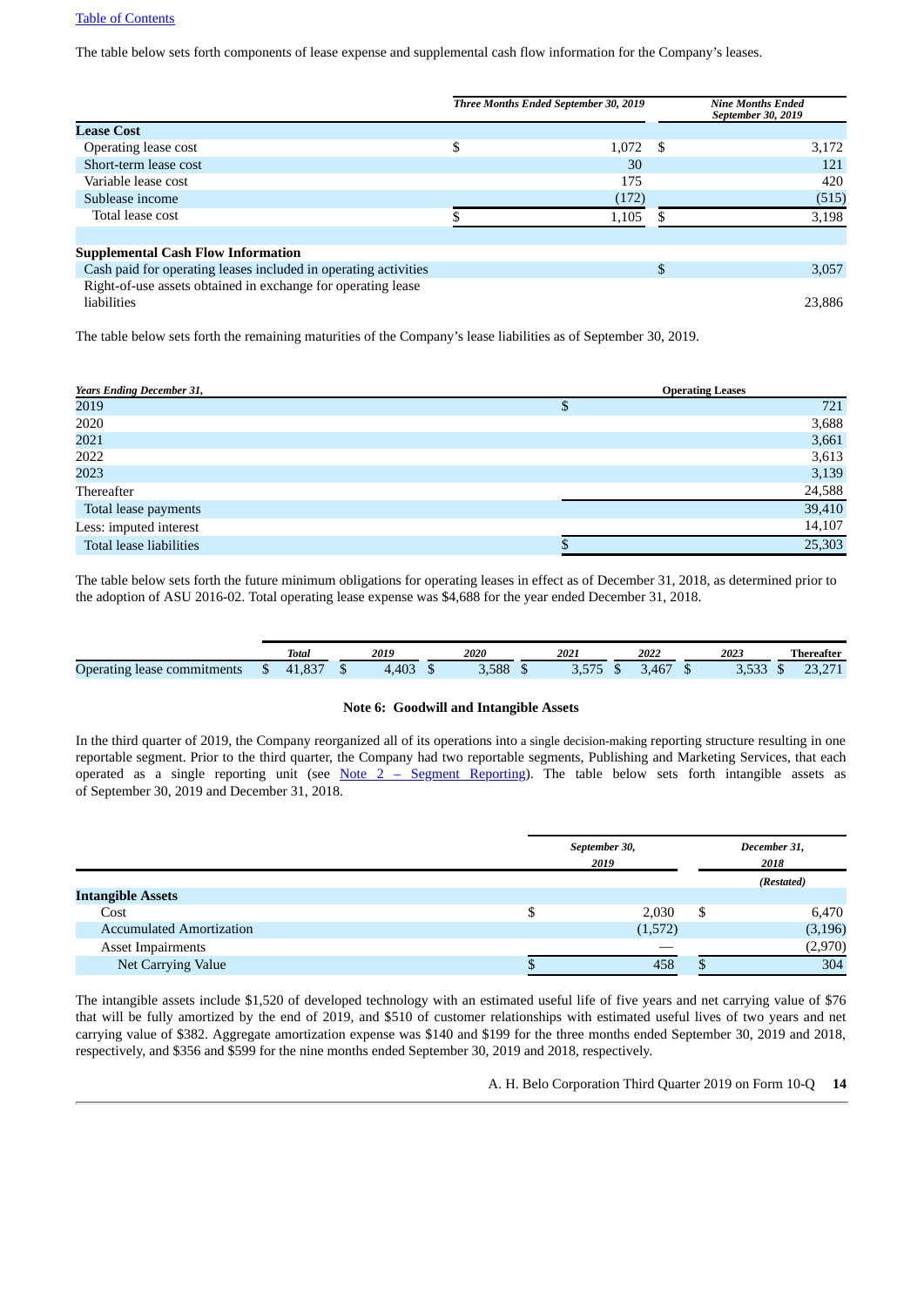The table below sets forth components of lease expense and supplemental cash flow information for the Company's leases.

|                                                                             | Three Months Ended September 30, 2019 |      | <b>Nine Months Ended</b><br>September 30, 2019 |
|-----------------------------------------------------------------------------|---------------------------------------|------|------------------------------------------------|
| <b>Lease Cost</b>                                                           |                                       |      |                                                |
| Operating lease cost                                                        | \$<br>1,072                           | - \$ | 3,172                                          |
| Short-term lease cost                                                       | 30                                    |      | 121                                            |
| Variable lease cost                                                         | 175                                   |      | 420                                            |
| Sublease income                                                             | (172)                                 |      | (515)                                          |
| Total lease cost                                                            | 1.105                                 |      | 3,198                                          |
| <b>Supplemental Cash Flow Information</b>                                   |                                       |      |                                                |
| Cash paid for operating leases included in operating activities             |                                       | \$.  | 3,057                                          |
| Right-of-use assets obtained in exchange for operating lease<br>liabilities |                                       |      | 23,886                                         |

The table below sets forth the remaining maturities of the Company's lease liabilities as of September 30, 2019.

| <b>Operating Leases</b> |
|-------------------------|
| 721                     |
| 3,688                   |
| 3,661                   |
| 3,613                   |
| 3,139                   |
| 24,588                  |
| 39,410                  |
| 14,107                  |
| 25,303                  |
|                         |

The table below sets forth the future minimum obligations for operating leases in effect as of December 31, 2018, as determined prior to the adoption of ASU 2016-02. Total operating lease expense was \$4,688 for the year ended December 31, 2018.

|                             |    | <b>Total</b>  |    | 2019  |    | 2020  | 2021           | 2022            | 2023                    | <b>Thereatter</b>  |
|-----------------------------|----|---------------|----|-------|----|-------|----------------|-----------------|-------------------------|--------------------|
| Operating lease commitments | J. | 0.25<br>41.OJ | ۰υ | 4,403 | لا | 3.588 | -75<br>J,J / J | $AC^-$<br>3.46/ | $\blacksquare$<br>J.JJJ | $\Gamma$<br>2J,2/I |

#### **Note 6: Goodwill and Intangible Assets**

<span id="page-13-0"></span>In the third quarter of 2019, the Company reorganized all of its operations into a single decision-making reporting structure resulting in one reportable segment. Prior to the third quarter, the Company had two reportable segments, Publishing and Marketing Services, that each operated as a single reporting unit (see Note  $2 -$  Segment [Reporting\)](#page-9-0). The table below sets forth intangible assets as of September 30, 2019 and December 31, 2018.

|                                 |    | September 30,<br>2019 | December 31,<br>2018 |
|---------------------------------|----|-----------------------|----------------------|
|                                 |    |                       | (Restated)           |
| <b>Intangible Assets</b>        |    |                       |                      |
| Cost                            | J  | 2,030                 | \$<br>6,470          |
| <b>Accumulated Amortization</b> |    | (1,572)               | (3, 196)             |
| <b>Asset Impairments</b>        |    |                       | (2,970)              |
| Net Carrying Value              | ۵D | 458                   | 304                  |

The intangible assets include \$1,520 of developed technology with an estimated useful life of five years and net carrying value of \$76 that will be fully amortized by the end of 2019, and \$510 of customer relationships with estimated useful lives of two years and net carrying value of \$382. Aggregate amortization expense was \$140 and \$199 for the three months ended September 30, 2019 and 2018, respectively, and \$356 and \$599 for the nine months ended September 30, 2019 and 2018, respectively.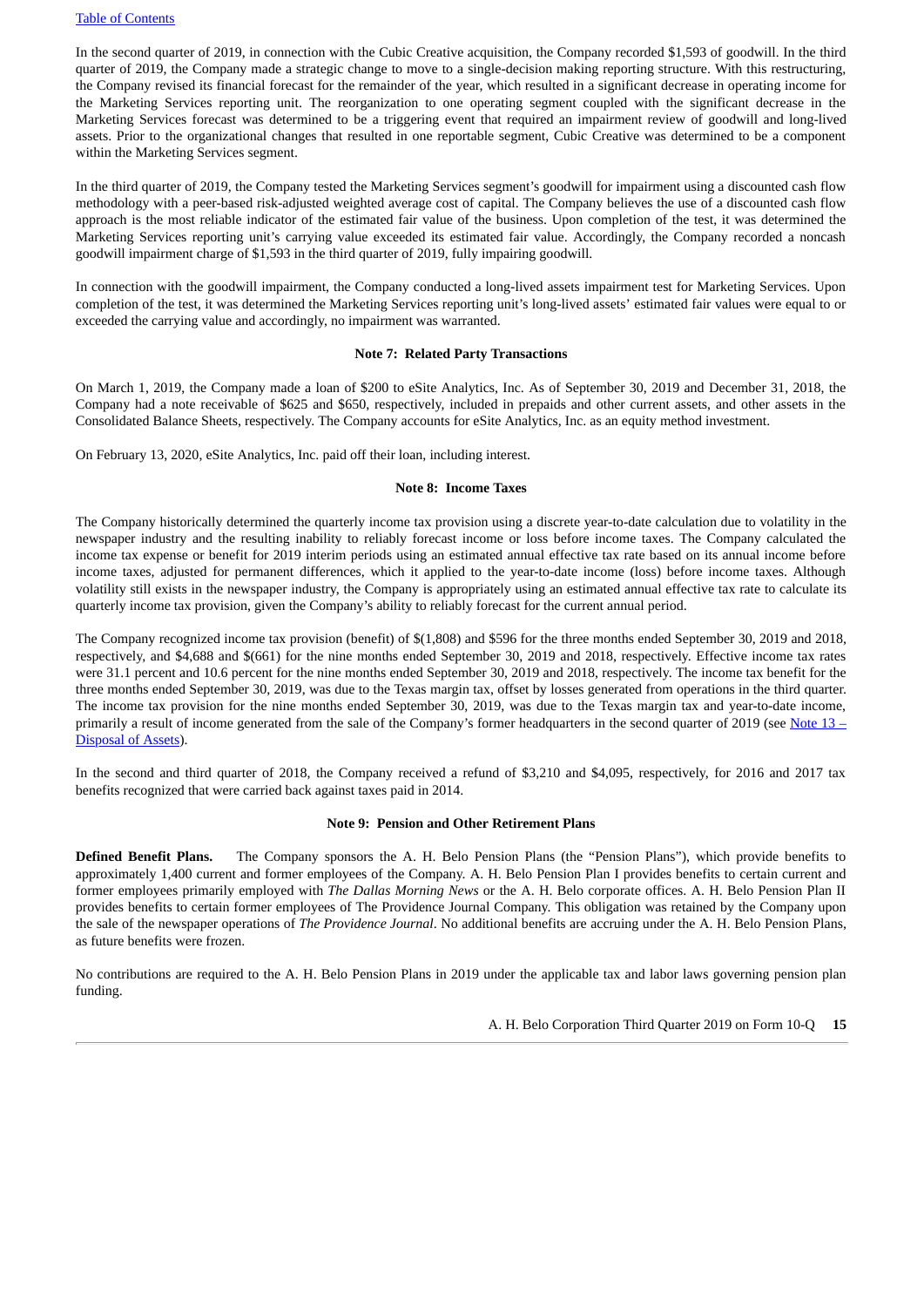In the second quarter of 2019, in connection with the Cubic Creative acquisition, the Company recorded \$1,593 of goodwill. In the third quarter of 2019, the Company made a strategic change to move to a single-decision making reporting structure. With this restructuring, the Company revised its financial forecast for the remainder of the year, which resulted in a significant decrease in operating income for the Marketing Services reporting unit. The reorganization to one operating segment coupled with the significant decrease in the Marketing Services forecast was determined to be a triggering event that required an impairment review of goodwill and long-lived assets. Prior to the organizational changes that resulted in one reportable segment, Cubic Creative was determined to be a component within the Marketing Services segment.

In the third quarter of 2019, the Company tested the Marketing Services segment's goodwill for impairment using a discounted cash flow methodology with a peer-based risk-adjusted weighted average cost of capital. The Company believes the use of a discounted cash flow approach is the most reliable indicator of the estimated fair value of the business. Upon completion of the test, it was determined the Marketing Services reporting unit's carrying value exceeded its estimated fair value. Accordingly, the Company recorded a noncash goodwill impairment charge of \$1,593 in the third quarter of 2019, fully impairing goodwill.

In connection with the goodwill impairment, the Company conducted a long-lived assets impairment test for Marketing Services. Upon completion of the test, it was determined the Marketing Services reporting unit's long-lived assets' estimated fair values were equal to or exceeded the carrying value and accordingly, no impairment was warranted.

#### **Note 7: Related Party Transactions**

On March 1, 2019, the Company made a loan of \$200 to eSite Analytics, Inc. As of September 30, 2019 and December 31, 2018, the Company had a note receivable of \$625 and \$650, respectively, included in prepaids and other current assets, and other assets in the Consolidated Balance Sheets, respectively. The Company accounts for eSite Analytics, Inc. as an equity method investment.

On February 13, 2020, eSite Analytics, Inc. paid off their loan, including interest.

#### **Note 8: Income Taxes**

The Company historically determined the quarterly income tax provision using a discrete year-to-date calculation due to volatility in the newspaper industry and the resulting inability to reliably forecast income or loss before income taxes. The Company calculated the income tax expense or benefit for 2019 interim periods using an estimated annual effective tax rate based on its annual income before income taxes, adjusted for permanent differences, which it applied to the year-to-date income (loss) before income taxes. Although volatility still exists in the newspaper industry, the Company is appropriately using an estimated annual effective tax rate to calculate its quarterly income tax provision, given the Company's ability to reliably forecast for the current annual period.

The Company recognized income tax provision (benefit) of \$(1,808) and \$596 for the three months ended September 30, 2019 and 2018, respectively, and \$4,688 and \$(661) for the nine months ended September 30, 2019 and 2018, respectively. Effective income tax rates were 31.1 percent and 10.6 percent for the nine months ended September 30, 2019 and 2018, respectively. The income tax benefit for the three months ended September 30, 2019, was due to the Texas margin tax, offset by losses generated from operations in the third quarter. The income tax provision for the nine months ended September 30, 2019, was due to the Texas margin tax and year-to-date income, primarily a result of income generated from the sale of the Company's former [headquarters](#page-17-0) in the second quarter of 2019 (see Note 13 – Disposal of Assets).

In the second and third quarter of 2018, the Company received a refund of \$3,210 and \$4,095, respectively, for 2016 and 2017 tax benefits recognized that were carried back against taxes paid in 2014.

#### **Note 9: Pension and Other Retirement Plans**

**Defined Benefit Plans.** The Company sponsors the A. H. Belo Pension Plans (the "Pension Plans"), which provide benefits to approximately 1,400 current and former employees of the Company. A. H. Belo Pension Plan I provides benefits to certain current and former employees primarily employed with *The Dallas Morning News* or the A. H. Belo corporate offices. A. H. Belo Pension Plan II provides benefits to certain former employees of The Providence Journal Company. This obligation was retained by the Company upon the sale of the newspaper operations of *The Providence Journal*. No additional benefits are accruing under the A. H. Belo Pension Plans, as future benefits were frozen.

No contributions are required to the A. H. Belo Pension Plans in 2019 under the applicable tax and labor laws governing pension plan funding.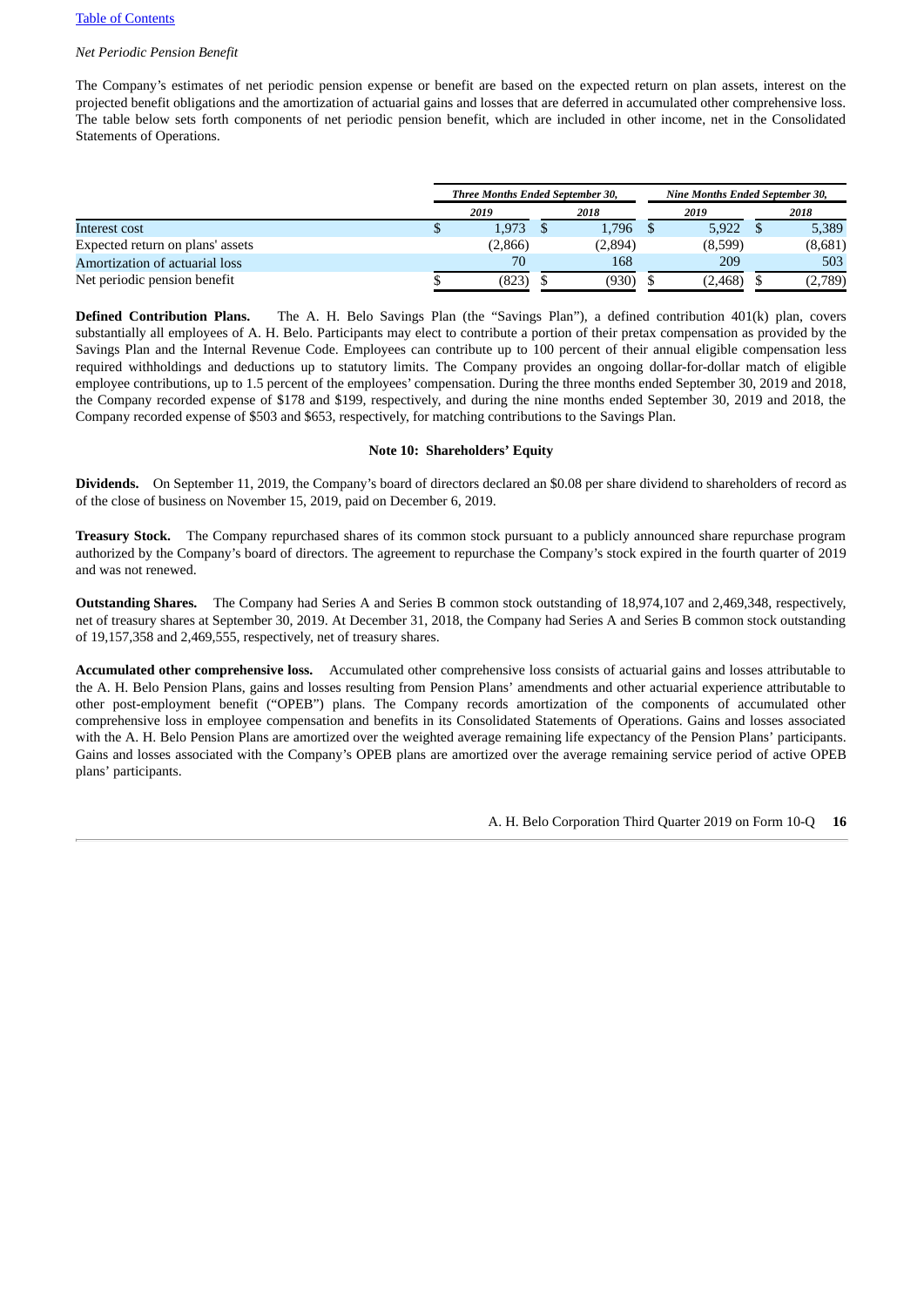#### *Net Periodic Pension Benefit*

The Company's estimates of net periodic pension expense or benefit are based on the expected return on plan assets, interest on the projected benefit obligations and the amortization of actuarial gains and losses that are deferred in accumulated other comprehensive loss. The table below sets forth components of net periodic pension benefit, which are included in other income, net in the Consolidated Statements of Operations.

|                                  |  |         |  | Three Months Ended September 30, |  | Nine Months Ended September 30, |  |         |  |  |  |
|----------------------------------|--|---------|--|----------------------------------|--|---------------------------------|--|---------|--|--|--|
|                                  |  | 2019    |  | 2018                             |  | 2019                            |  | 2018    |  |  |  |
| Interest cost                    |  | 1.973   |  | 1.796                            |  | 5,922                           |  | 5,389   |  |  |  |
| Expected return on plans' assets |  | (2,866) |  | (2,894)                          |  | (8,599)                         |  | (8,681) |  |  |  |
| Amortization of actuarial loss   |  | 70      |  | 168                              |  | 209                             |  | 503     |  |  |  |
| Net periodic pension benefit     |  | (823)   |  | (930)                            |  | (2, 468)                        |  | (2,789) |  |  |  |

**Defined Contribution Plans.** The A. H. Belo Savings Plan (the "Savings Plan"), a defined contribution 401(k) plan, covers substantially all employees of A. H. Belo. Participants may elect to contribute a portion of their pretax compensation as provided by the Savings Plan and the Internal Revenue Code. Employees can contribute up to 100 percent of their annual eligible compensation less required withholdings and deductions up to statutory limits. The Company provides an ongoing dollar-for-dollar match of eligible employee contributions, up to 1.5 percent of the employees' compensation. During the three months ended September 30, 2019 and 2018, the Company recorded expense of \$178 and \$199, respectively, and during the nine months ended September 30, 2019 and 2018, the Company recorded expense of \$503 and \$653, respectively, for matching contributions to the Savings Plan.

#### **Note 10: Shareholders' Equity**

**Dividends.** On September 11, 2019, the Company's board of directors declared an \$0.08 per share dividend to shareholders of record as of the close of business on November 15, 2019, paid on December 6, 2019.

**Treasury Stock.** The Company repurchased shares of its common stock pursuant to a publicly announced share repurchase program authorized by the Company's board of directors. The agreement to repurchase the Company's stock expired in the fourth quarter of 2019 and was not renewed.

**Outstanding Shares.** The Company had Series A and Series B common stock outstanding of 18,974,107 and 2,469,348, respectively, net of treasury shares at September 30, 2019. At December 31, 2018, the Company had Series A and Series B common stock outstanding of 19,157,358 and 2,469,555, respectively, net of treasury shares.

**Accumulated other comprehensive loss.** Accumulated other comprehensive loss consists of actuarial gains and losses attributable to the A. H. Belo Pension Plans, gains and losses resulting from Pension Plans' amendments and other actuarial experience attributable to other post-employment benefit ("OPEB") plans. The Company records amortization of the components of accumulated other comprehensive loss in employee compensation and benefits in its Consolidated Statements of Operations. Gains and losses associated with the A. H. Belo Pension Plans are amortized over the weighted average remaining life expectancy of the Pension Plans' participants. Gains and losses associated with the Company's OPEB plans are amortized over the average remaining service period of active OPEB plans' participants.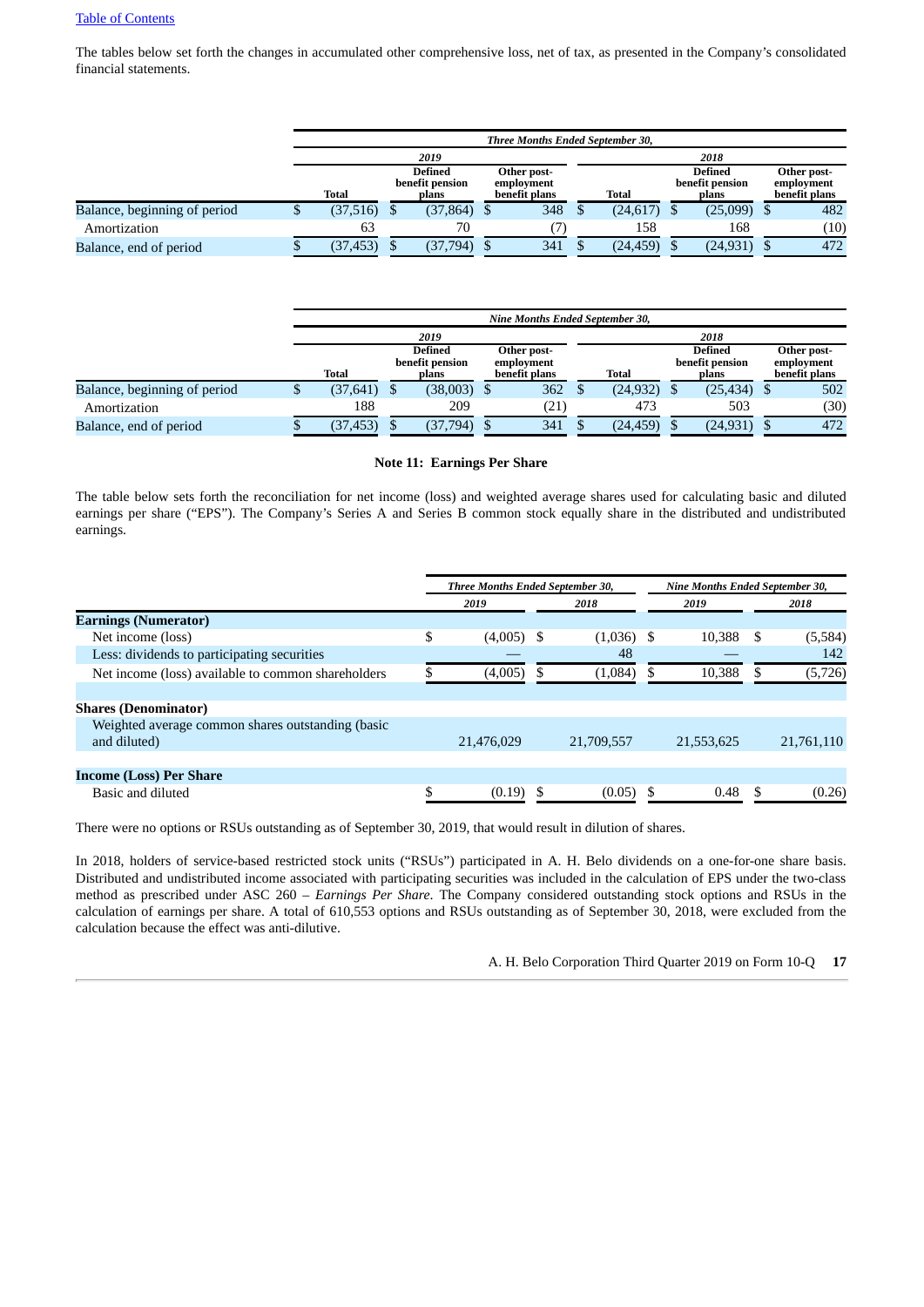The tables below set forth the changes in accumulated other comprehensive loss, net of tax, as presented in the Company's consolidated financial statements.

|                              |  | Three Months Ended September 30, |  |                                            |  |                                            |  |           |  |                                            |  |                                            |  |
|------------------------------|--|----------------------------------|--|--------------------------------------------|--|--------------------------------------------|--|-----------|--|--------------------------------------------|--|--------------------------------------------|--|
|                              |  | 2019                             |  |                                            |  |                                            |  |           |  | 2018                                       |  |                                            |  |
|                              |  |                                  |  | <b>Defined</b><br>benefit pension<br>plans |  | Other post-<br>employment<br>benefit plans |  | Total     |  | <b>Defined</b><br>benefit pension<br>plans |  | Other post-<br>employment<br>benefit plans |  |
| Balance, beginning of period |  | $(37,516)$ \$                    |  | $(37,864)$ \$                              |  | 348                                        |  | (24, 617) |  | (25,099)                                   |  | 482                                        |  |
| Amortization                 |  | 63                               |  | 70                                         |  |                                            |  | 158       |  | 168                                        |  | (10)                                       |  |
| Balance, end of period       |  | (37, 453)                        |  | (37,794)                                   |  | 341                                        |  | (24, 459) |  | (24, 931)                                  |  | 472                                        |  |

|                              |              |  |                                     |                                                            | Nine Months Ended September 30, |                                            |                                            |           |      |
|------------------------------|--------------|--|-------------------------------------|------------------------------------------------------------|---------------------------------|--------------------------------------------|--------------------------------------------|-----------|------|
|                              | 2019         |  |                                     |                                                            |                                 |                                            |                                            | 2018      |      |
|                              | <b>Total</b> |  | Defined<br>benefit pension<br>plans | Other post-<br>employment<br>benefit plans<br><b>Total</b> |                                 | <b>Defined</b><br>benefit pension<br>plans | Other post-<br>employment<br>benefit plans |           |      |
| Balance, beginning of period | (37, 641)    |  | $(38,003)$ \$                       |                                                            | 362                             |                                            | (24, 932)                                  | (25, 434) | 502  |
| Amortization                 | 188          |  | 209                                 |                                                            | (21)                            |                                            | 473                                        | 503       | (30) |
| Balance, end of period       | (37, 453)    |  | (37,794)                            |                                                            | 341                             |                                            | (24, 459)                                  | (24, 931) | 472  |

#### **Note 11: Earnings Per Share**

The table below sets forth the reconciliation for net income (loss) and weighted average shares used for calculating basic and diluted earnings per share ("EPS"). The Company's Series A and Series B common stock equally share in the distributed and undistributed earnings.

|                                                    |    | Three Months Ended September 30, |              |    |            | Nine Months Ended September 30, |            |  |  |
|----------------------------------------------------|----|----------------------------------|--------------|----|------------|---------------------------------|------------|--|--|
|                                                    |    | 2019                             | 2018         |    | 2019       |                                 | 2018       |  |  |
| <b>Earnings (Numerator)</b>                        |    |                                  |              |    |            |                                 |            |  |  |
| Net income (loss)                                  | \$ | (4,005)                          | $(1,036)$ \$ |    | 10,388     |                                 | (5,584)    |  |  |
| Less: dividends to participating securities        |    |                                  | 48           |    |            |                                 | 142        |  |  |
| Net income (loss) available to common shareholders |    | (4,005)                          | (1,084)      | S. | 10,388     |                                 | (5,726)    |  |  |
|                                                    |    |                                  |              |    |            |                                 |            |  |  |
| <b>Shares (Denominator)</b>                        |    |                                  |              |    |            |                                 |            |  |  |
| Weighted average common shares outstanding (basic  |    |                                  |              |    |            |                                 |            |  |  |
| and diluted)                                       |    | 21,476,029                       | 21,709,557   |    | 21,553,625 |                                 | 21,761,110 |  |  |
|                                                    |    |                                  |              |    |            |                                 |            |  |  |
| <b>Income (Loss) Per Share</b>                     |    |                                  |              |    |            |                                 |            |  |  |
| Basic and diluted                                  | ¢  | (0.19)                           | (0.05)       |    | 0.48       |                                 | (0.26)     |  |  |
|                                                    |    |                                  |              |    |            |                                 |            |  |  |

There were no options or RSUs outstanding as of September 30, 2019, that would result in dilution of shares.

In 2018, holders of service-based restricted stock units ("RSUs") participated in A. H. Belo dividends on a one-for-one share basis. Distributed and undistributed income associated with participating securities was included in the calculation of EPS under the two-class method as prescribed under ASC 260 – *Earnings Per Share*. The Company considered outstanding stock options and RSUs in the calculation of earnings per share. A total of 610,553 options and RSUs outstanding as of September 30, 2018, were excluded from the calculation because the effect was anti-dilutive.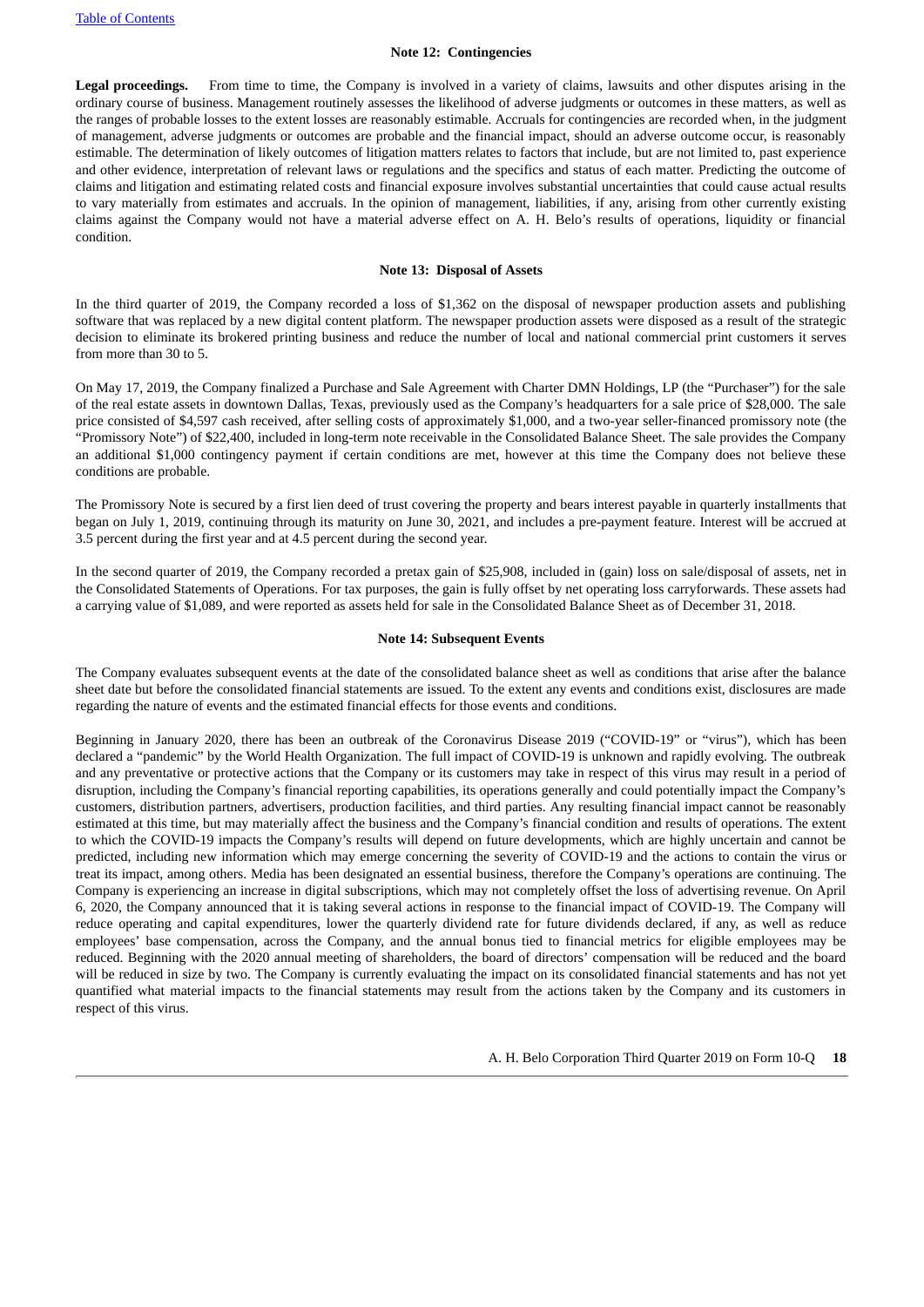#### **Note 12: Contingencies**

**Legal proceedings.** From time to time, the Company is involved in a variety of claims, lawsuits and other disputes arising in the ordinary course of business. Management routinely assesses the likelihood of adverse judgments or outcomes in these matters, as well as the ranges of probable losses to the extent losses are reasonably estimable. Accruals for contingencies are recorded when, in the judgment of management, adverse judgments or outcomes are probable and the financial impact, should an adverse outcome occur, is reasonably estimable. The determination of likely outcomes of litigation matters relates to factors that include, but are not limited to, past experience and other evidence, interpretation of relevant laws or regulations and the specifics and status of each matter. Predicting the outcome of claims and litigation and estimating related costs and financial exposure involves substantial uncertainties that could cause actual results to vary materially from estimates and accruals. In the opinion of management, liabilities, if any, arising from other currently existing claims against the Company would not have a material adverse effect on A. H. Belo's results of operations, liquidity or financial condition.

#### **Note 13: Disposal of Assets**

<span id="page-17-0"></span>In the third quarter of 2019, the Company recorded a loss of \$1,362 on the disposal of newspaper production assets and publishing software that was replaced by a new digital content platform. The newspaper production assets were disposed as a result of the strategic decision to eliminate its brokered printing business and reduce the number of local and national commercial print customers it serves from more than 30 to 5.

On May 17, 2019, the Company finalized a Purchase and Sale Agreement with Charter DMN Holdings, LP (the "Purchaser") for the sale of the real estate assets in downtown Dallas, Texas, previously used as the Company's headquarters for a sale price of \$28,000. The sale price consisted of \$4,597 cash received, after selling costs of approximately \$1,000, and a two-year seller-financed promissory note (the "Promissory Note") of \$22,400, included in long-term note receivable in the Consolidated Balance Sheet. The sale provides the Company an additional \$1,000 contingency payment if certain conditions are met, however at this time the Company does not believe these conditions are probable.

The Promissory Note is secured by a first lien deed of trust covering the property and bears interest payable in quarterly installments that began on July 1, 2019, continuing through its maturity on June 30, 2021, and includes a pre-payment feature. Interest will be accrued at 3.5 percent during the first year and at 4.5 percent during the second year.

In the second quarter of 2019, the Company recorded a pretax gain of \$25,908, included in (gain) loss on sale/disposal of assets, net in the Consolidated Statements of Operations. For tax purposes, the gain is fully offset by net operating loss carryforwards. These assets had a carrying value of \$1,089, and were reported as assets held for sale in the Consolidated Balance Sheet as of December 31, 2018.

#### **Note 14: Subsequent Events**

The Company evaluates subsequent events at the date of the consolidated balance sheet as well as conditions that arise after the balance sheet date but before the consolidated financial statements are issued. To the extent any events and conditions exist, disclosures are made regarding the nature of events and the estimated financial effects for those events and conditions.

Beginning in January 2020, there has been an outbreak of the Coronavirus Disease 2019 ("COVID-19" or "virus"), which has been declared a "pandemic" by the World Health Organization. The full impact of COVID-19 is unknown and rapidly evolving. The outbreak and any preventative or protective actions that the Company or its customers may take in respect of this virus may result in a period of disruption, including the Company's financial reporting capabilities, its operations generally and could potentially impact the Company's customers, distribution partners, advertisers, production facilities, and third parties. Any resulting financial impact cannot be reasonably estimated at this time, but may materially affect the business and the Company's financial condition and results of operations. The extent to which the COVID-19 impacts the Company's results will depend on future developments, which are highly uncertain and cannot be predicted, including new information which may emerge concerning the severity of COVID-19 and the actions to contain the virus or treat its impact, among others. Media has been designated an essential business, therefore the Company's operations are continuing. The Company is experiencing an increase in digital subscriptions, which may not completely offset the loss of advertising revenue. On April 6, 2020, the Company announced that it is taking several actions in response to the financial impact of COVID-19. The Company will reduce operating and capital expenditures, lower the quarterly dividend rate for future dividends declared, if any, as well as reduce employees' base compensation, across the Company, and the annual bonus tied to financial metrics for eligible employees may be reduced. Beginning with the 2020 annual meeting of shareholders, the board of directors' compensation will be reduced and the board will be reduced in size by two. The Company is currently evaluating the impact on its consolidated financial statements and has not yet quantified what material impacts to the financial statements may result from the actions taken by the Company and its customers in respect of this virus.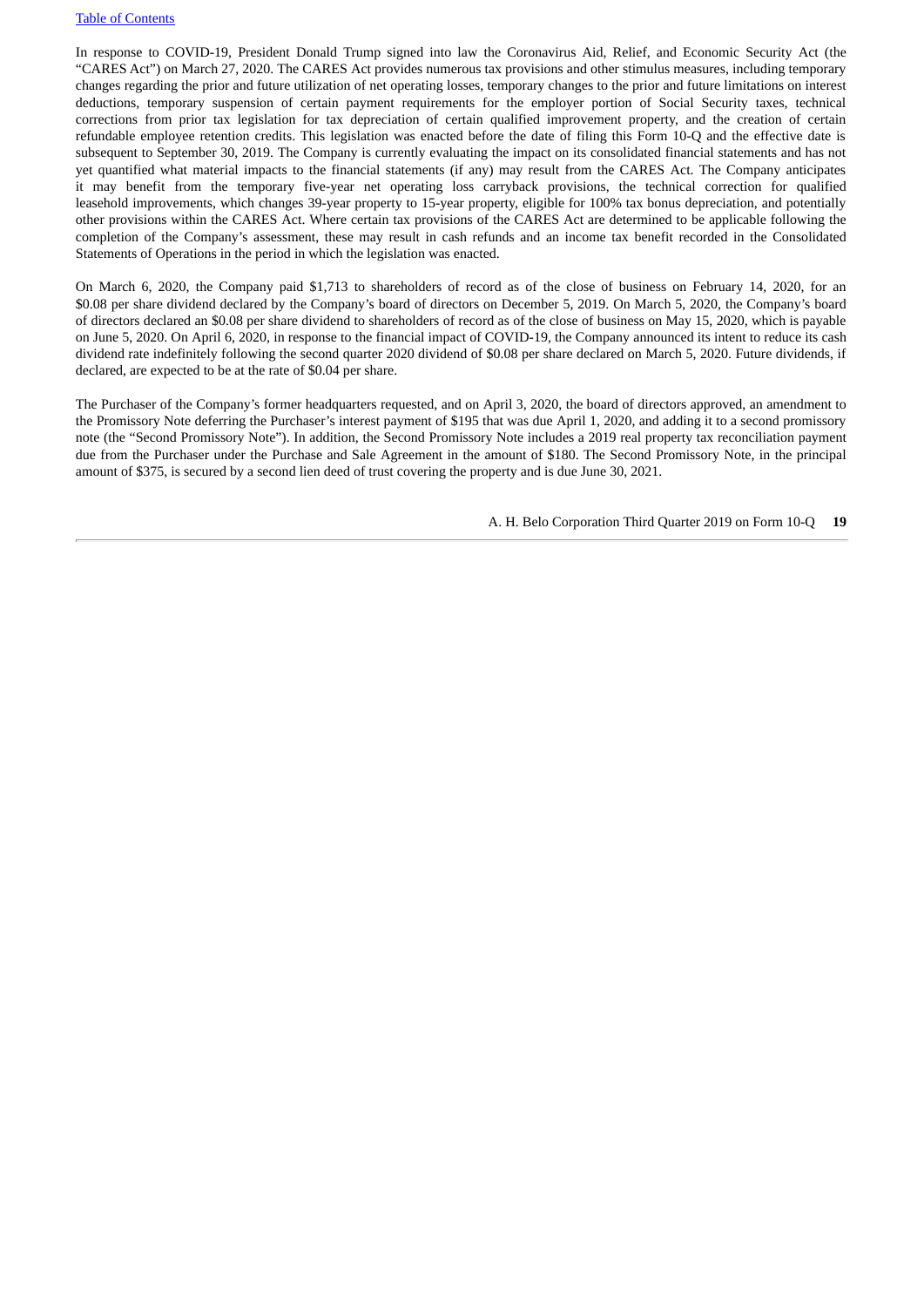In response to COVID-19, President Donald Trump signed into law the Coronavirus Aid, Relief, and Economic Security Act (the "CARES Act") on March 27, 2020. The CARES Act provides numerous tax provisions and other stimulus measures, including temporary changes regarding the prior and future utilization of net operating losses, temporary changes to the prior and future limitations on interest deductions, temporary suspension of certain payment requirements for the employer portion of Social Security taxes, technical corrections from prior tax legislation for tax depreciation of certain qualified improvement property, and the creation of certain refundable employee retention credits. This legislation was enacted before the date of filing this Form 10-Q and the effective date is subsequent to September 30, 2019. The Company is currently evaluating the impact on its consolidated financial statements and has not yet quantified what material impacts to the financial statements (if any) may result from the CARES Act. The Company anticipates it may benefit from the temporary five-year net operating loss carryback provisions, the technical correction for qualified leasehold improvements, which changes 39-year property to 15-year property, eligible for 100% tax bonus depreciation, and potentially other provisions within the CARES Act. Where certain tax provisions of the CARES Act are determined to be applicable following the completion of the Company's assessment, these may result in cash refunds and an income tax benefit recorded in the Consolidated Statements of Operations in the period in which the legislation was enacted.

On March 6, 2020, the Company paid \$1,713 to shareholders of record as of the close of business on February 14, 2020, for an \$0.08 per share dividend declared by the Company's board of directors on December 5, 2019. On March 5, 2020, the Company's board of directors declared an \$0.08 per share dividend to shareholders of record as of the close of business on May 15, 2020, which is payable on June 5, 2020. On April 6, 2020, in response to the financial impact of COVID-19, the Company announced its intent to reduce its cash dividend rate indefinitely following the second quarter 2020 dividend of \$0.08 per share declared on March 5, 2020. Future dividends, if declared, are expected to be at the rate of \$0.04 per share.

The Purchaser of the Company's former headquarters requested, and on April 3, 2020, the board of directors approved, an amendment to the Promissory Note deferring the Purchaser's interest payment of \$195 that was due April 1, 2020, and adding it to a second promissory note (the "Second Promissory Note"). In addition, the Second Promissory Note includes a 2019 real property tax reconciliation payment due from the Purchaser under the Purchase and Sale Agreement in the amount of \$180. The Second Promissory Note, in the principal amount of \$375, is secured by a second lien deed of trust covering the property and is due June 30, 2021.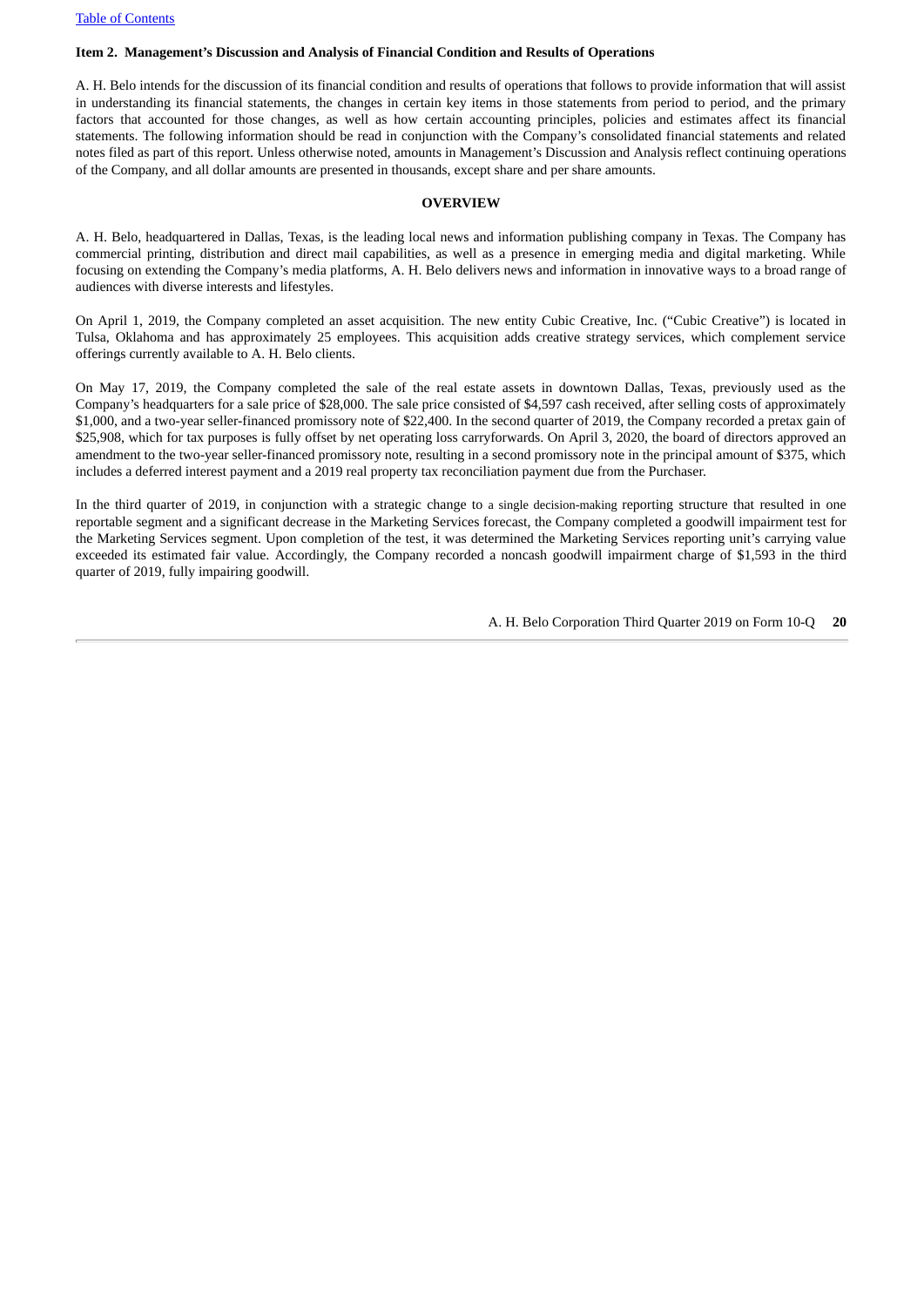#### <span id="page-19-0"></span>**Item 2. Management's Discussion and Analysis of Financial Condition and Results of Operations**

A. H. Belo intends for the discussion of its financial condition and results of operations that follows to provide information that will assist in understanding its financial statements, the changes in certain key items in those statements from period to period, and the primary factors that accounted for those changes, as well as how certain accounting principles, policies and estimates affect its financial statements. The following information should be read in conjunction with the Company's consolidated financial statements and related notes filed as part of this report. Unless otherwise noted, amounts in Management's Discussion and Analysis reflect continuing operations of the Company, and all dollar amounts are presented in thousands, except share and per share amounts.

#### **OVERVIEW**

A. H. Belo, headquartered in Dallas, Texas, is the leading local news and information publishing company in Texas. The Company has commercial printing, distribution and direct mail capabilities, as well as a presence in emerging media and digital marketing. While focusing on extending the Company's media platforms, A. H. Belo delivers news and information in innovative ways to a broad range of audiences with diverse interests and lifestyles.

On April 1, 2019, the Company completed an asset acquisition. The new entity Cubic Creative, Inc. ("Cubic Creative") is located in Tulsa, Oklahoma and has approximately 25 employees. This acquisition adds creative strategy services, which complement service offerings currently available to A. H. Belo clients.

On May 17, 2019, the Company completed the sale of the real estate assets in downtown Dallas, Texas, previously used as the Company's headquarters for a sale price of \$28,000. The sale price consisted of \$4,597 cash received, after selling costs of approximately \$1,000, and a two-year seller-financed promissory note of \$22,400. In the second quarter of 2019, the Company recorded a pretax gain of \$25,908, which for tax purposes is fully offset by net operating loss carryforwards. On April 3, 2020, the board of directors approved an amendment to the two-year seller-financed promissory note, resulting in a second promissory note in the principal amount of \$375, which includes a deferred interest payment and a 2019 real property tax reconciliation payment due from the Purchaser.

In the third quarter of 2019, in conjunction with a strategic change to a single decision-making reporting structure that resulted in one reportable segment and a significant decrease in the Marketing Services forecast, the Company completed a goodwill impairment test for the Marketing Services segment. Upon completion of the test, it was determined the Marketing Services reporting unit's carrying value exceeded its estimated fair value. Accordingly, the Company recorded a noncash goodwill impairment charge of \$1,593 in the third quarter of 2019, fully impairing goodwill.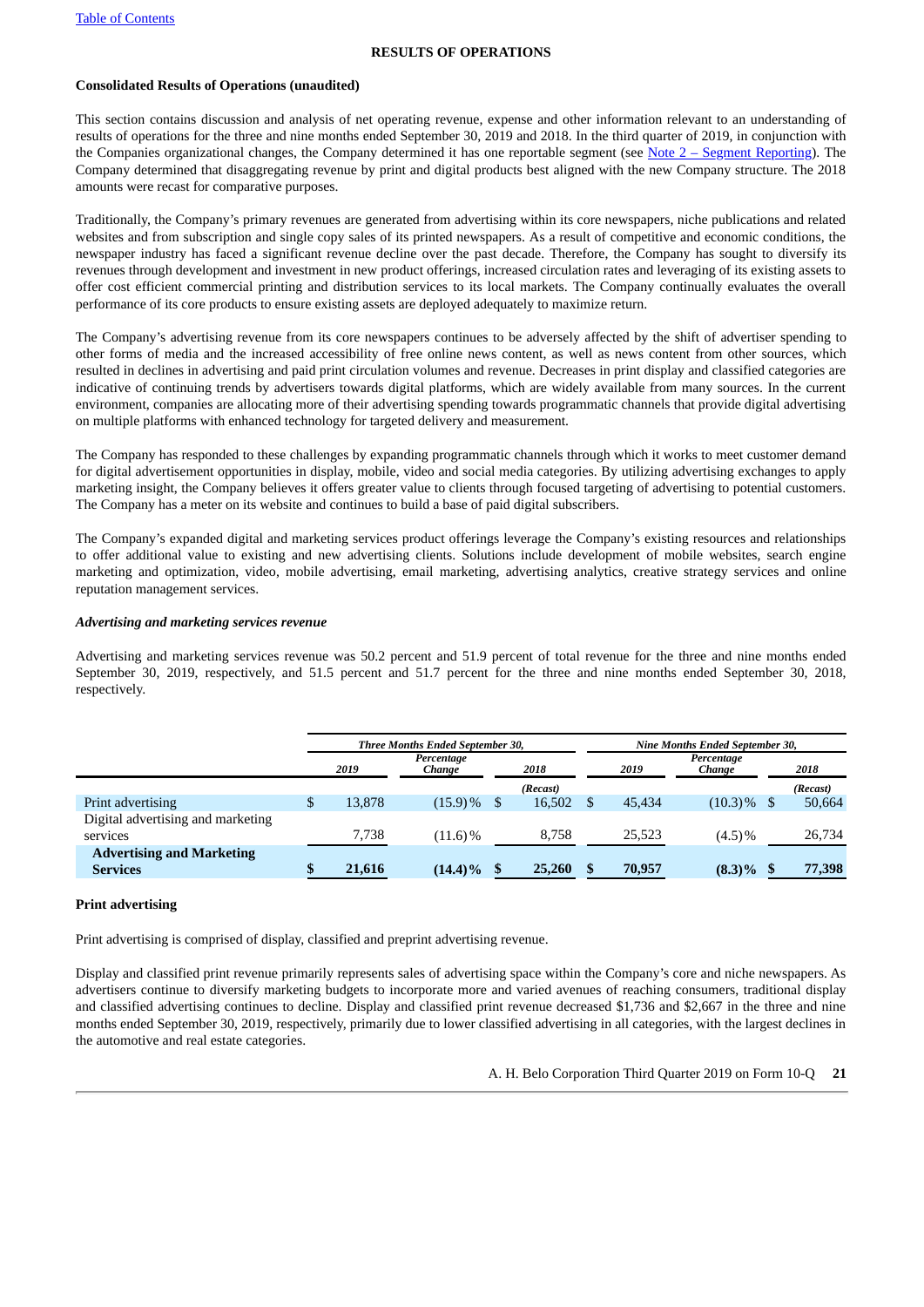#### **RESULTS OF OPERATIONS**

#### **Consolidated Results of Operations (unaudited)**

This section contains discussion and analysis of net operating revenue, expense and other information relevant to an understanding of results of operations for the three and nine months ended September 30, 2019 and 2018. In the third quarter of 2019, in conjunction with the Companies organizational changes, the Company determined it has one reportable segment (see Note  $2 -$  Segment [Reporting](#page-9-0)). The Company determined that disaggregating revenue by print and digital products best aligned with the new Company structure. The 2018 amounts were recast for comparative purposes.

Traditionally, the Company's primary revenues are generated from advertising within its core newspapers, niche publications and related websites and from subscription and single copy sales of its printed newspapers. As a result of competitive and economic conditions, the newspaper industry has faced a significant revenue decline over the past decade. Therefore, the Company has sought to diversify its revenues through development and investment in new product offerings, increased circulation rates and leveraging of its existing assets to offer cost efficient commercial printing and distribution services to its local markets. The Company continually evaluates the overall performance of its core products to ensure existing assets are deployed adequately to maximize return.

The Company's advertising revenue from its core newspapers continues to be adversely affected by the shift of advertiser spending to other forms of media and the increased accessibility of free online news content, as well as news content from other sources, which resulted in declines in advertising and paid print circulation volumes and revenue. Decreases in print display and classified categories are indicative of continuing trends by advertisers towards digital platforms, which are widely available from many sources. In the current environment, companies are allocating more of their advertising spending towards programmatic channels that provide digital advertising on multiple platforms with enhanced technology for targeted delivery and measurement.

The Company has responded to these challenges by expanding programmatic channels through which it works to meet customer demand for digital advertisement opportunities in display, mobile, video and social media categories. By utilizing advertising exchanges to apply marketing insight, the Company believes it offers greater value to clients through focused targeting of advertising to potential customers. The Company has a meter on its website and continues to build a base of paid digital subscribers.

The Company's expanded digital and marketing services product offerings leverage the Company's existing resources and relationships to offer additional value to existing and new advertising clients. Solutions include development of mobile websites, search engine marketing and optimization, video, mobile advertising, email marketing, advertising analytics, creative strategy services and online reputation management services.

#### *Advertising and marketing services revenue*

Advertising and marketing services revenue was 50.2 percent and 51.9 percent of total revenue for the three and nine months ended September 30, 2019, respectively, and 51.5 percent and 51.7 percent for the three and nine months ended September 30, 2018, respectively.

|                                   |              | Three Months Ended September 30, |          | <b>Nine Months Ended September 30,</b> |        |                      |  |          |  |  |
|-----------------------------------|--------------|----------------------------------|----------|----------------------------------------|--------|----------------------|--|----------|--|--|
|                                   | 2019         | Percentage<br>Change             | 2018     |                                        | 2019   | Percentage<br>Change |  | 2018     |  |  |
|                                   |              |                                  | (Recast) |                                        |        |                      |  | (Recast) |  |  |
| Print advertising                 | \$<br>13.878 | $(15.9) \%$ \$                   | 16,502   |                                        | 45.434 | $(10.3)\%$           |  | 50,664   |  |  |
| Digital advertising and marketing |              |                                  |          |                                        |        |                      |  |          |  |  |
| services                          | 7,738        | $(11.6)\%$                       | 8,758    |                                        | 25,523 | $(4.5)\%$            |  | 26,734   |  |  |
| <b>Advertising and Marketing</b>  |              |                                  |          |                                        |        |                      |  |          |  |  |
| <b>Services</b>                   | 21,616       | $(14.4)\%$                       | 25,260   |                                        | 70,957 | $(8.3)\%$            |  | 77,398   |  |  |

#### **Print advertising**

Print advertising is comprised of display, classified and preprint advertising revenue.

Display and classified print revenue primarily represents sales of advertising space within the Company's core and niche newspapers. As advertisers continue to diversify marketing budgets to incorporate more and varied avenues of reaching consumers, traditional display and classified advertising continues to decline. Display and classified print revenue decreased \$1,736 and \$2,667 in the three and nine months ended September 30, 2019, respectively, primarily due to lower classified advertising in all categories, with the largest declines in the automotive and real estate categories.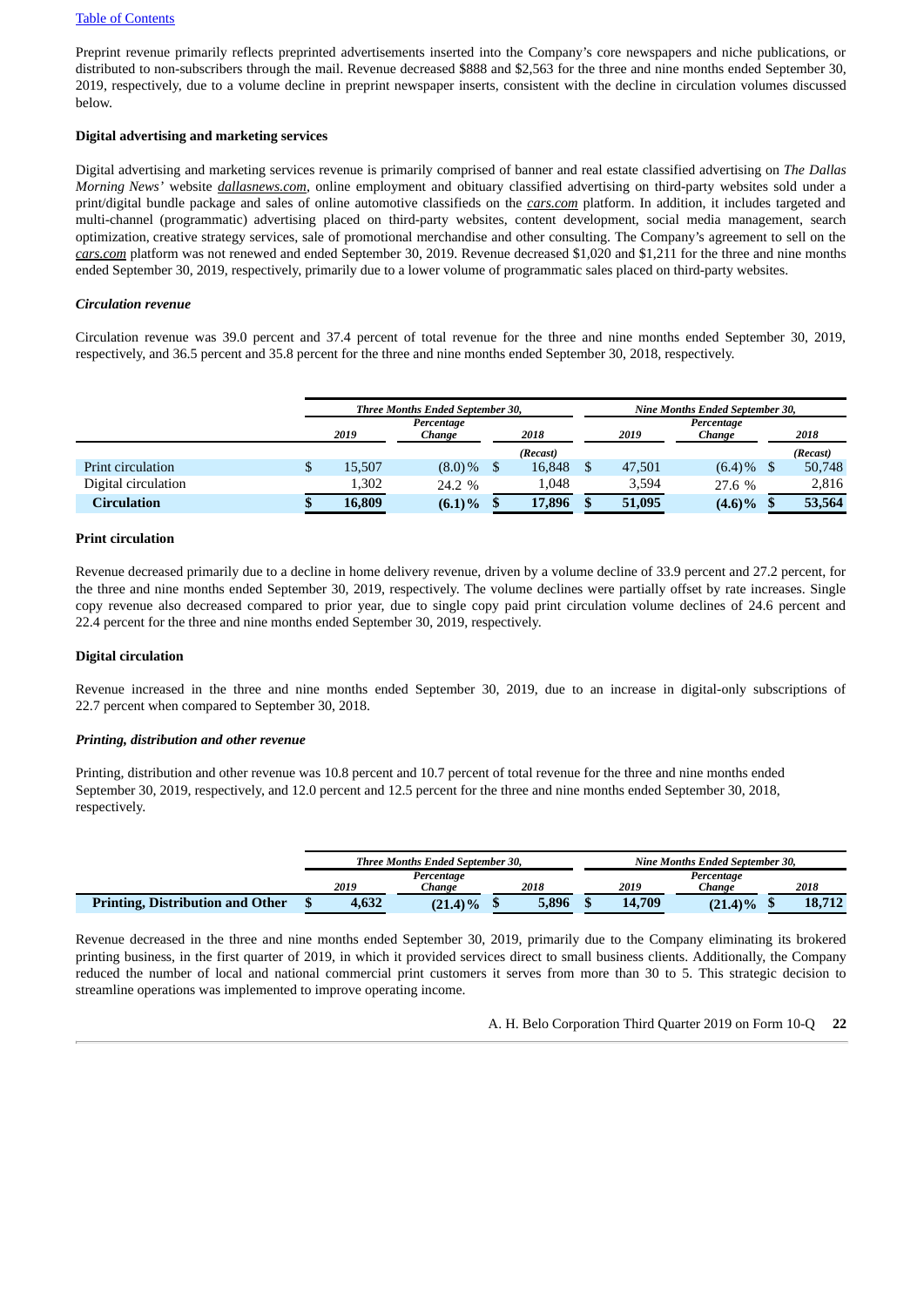Preprint revenue primarily reflects preprinted advertisements inserted into the Company's core newspapers and niche publications, or distributed to non-subscribers through the mail. Revenue decreased \$888 and \$2,563 for the three and nine months ended September 30, 2019, respectively, due to a volume decline in preprint newspaper inserts, consistent with the decline in circulation volumes discussed below.

#### **Digital advertising and marketing services**

Digital advertising and marketing services revenue is primarily comprised of banner and real estate classified advertising on *The Dallas Morning News'* website *dallasnews.com*, online employment and obituary classified advertising on third-party websites sold under a print/digital bundle package and sales of online automotive classifieds on the *cars.com* platform. In addition, it includes targeted and multi-channel (programmatic) advertising placed on third-party websites, content development, social media management, search optimization, creative strategy services, sale of promotional merchandise and other consulting. The Company's agreement to sell on the *cars.com* platform was not renewed and ended September 30, 2019. Revenue decreased \$1,020 and \$1,211 for the three and nine months ended September 30, 2019, respectively, primarily due to a lower volume of programmatic sales placed on third-party websites.

#### *Circulation revenue*

Circulation revenue was 39.0 percent and 37.4 percent of total revenue for the three and nine months ended September 30, 2019, respectively, and 36.5 percent and 35.8 percent for the three and nine months ended September 30, 2018, respectively.

|                     |    |        | <b>Three Months Ended September 30.</b> |  |          | <b>Nine Months Ended September 30,</b> |        |                      |  |          |  |  |
|---------------------|----|--------|-----------------------------------------|--|----------|----------------------------------------|--------|----------------------|--|----------|--|--|
|                     |    | 2019   | Percentage<br>Change                    |  | 2018     |                                        | 2019   | Percentage<br>Chanae |  | 2018     |  |  |
|                     |    |        |                                         |  | (Recast) |                                        |        |                      |  | (Recast) |  |  |
| Print circulation   | Φ  | 15,507 | $(8.0)\%$                               |  | 16,848   |                                        | 47,501 | $(6.4)\%$ \$         |  | 50,748   |  |  |
| Digital circulation |    | 1,302  | 24.2 %                                  |  | 1.048    |                                        | 3.594  | 27.6 %               |  | 2,816    |  |  |
| Circulation         | ۰υ | 16,809 | $(6.1)\%$                               |  | 17,896   |                                        | 51,095 | $(4.6)\%$            |  | 53,564   |  |  |

#### **Print circulation**

Revenue decreased primarily due to a decline in home delivery revenue, driven by a volume decline of 33.9 percent and 27.2 percent, for the three and nine months ended September 30, 2019, respectively. The volume declines were partially offset by rate increases. Single copy revenue also decreased compared to prior year, due to single copy paid print circulation volume declines of 24.6 percent and 22.4 percent for the three and nine months ended September 30, 2019, respectively.

#### **Digital circulation**

Revenue increased in the three and nine months ended September 30, 2019, due to an increase in digital-only subscriptions of 22.7 percent when compared to September 30, 2018.

#### *Printing, distribution and other revenue*

Printing, distribution and other revenue was 10.8 percent and 10.7 percent of total revenue for the three and nine months ended September 30, 2019, respectively, and 12.0 percent and 12.5 percent for the three and nine months ended September 30, 2018, respectively.

|                                         |       | <b>Three Months Ended September 30.</b> |      |       | Nine Months Ended September 30. |            |      |        |  |  |
|-----------------------------------------|-------|-----------------------------------------|------|-------|---------------------------------|------------|------|--------|--|--|
|                                         | 2019  | Percentage<br>Chanae                    | 2018 | 2019  | Percentage<br>Chanae            |            | 2018 |        |  |  |
| <b>Printing, Distribution and Other</b> | 4,632 | $(21.4)\%$                              |      | 5.896 | 14,709                          | $(21.4)\%$ |      | 18,712 |  |  |

Revenue decreased in the three and nine months ended September 30, 2019, primarily due to the Company eliminating its brokered printing business, in the first quarter of 2019, in which it provided services direct to small business clients. Additionally, the Company reduced the number of local and national commercial print customers it serves from more than 30 to 5. This strategic decision to streamline operations was implemented to improve operating income.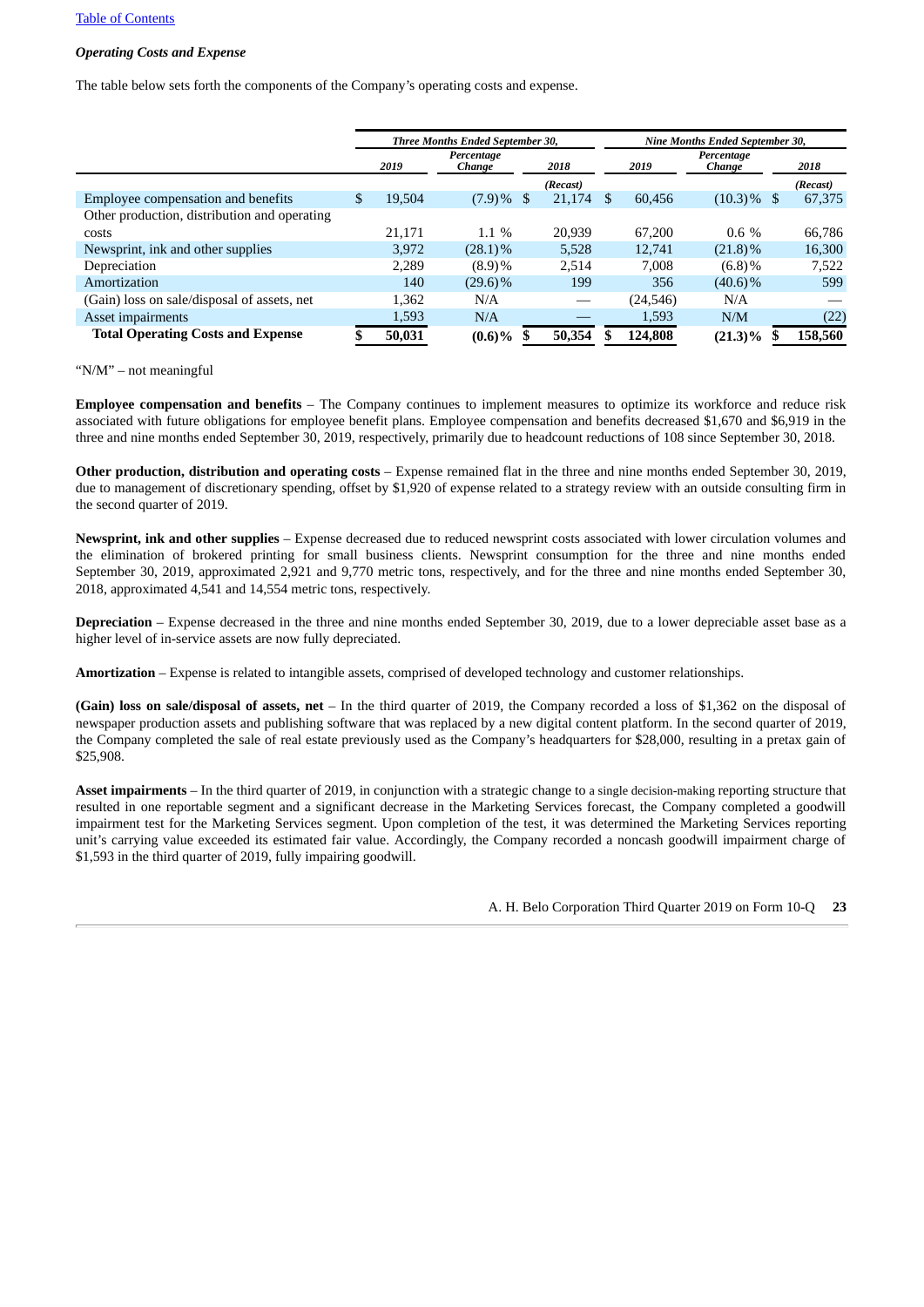#### *Operating Costs and Expense*

The table below sets forth the components of the Company's operating costs and expense.

|                                              | Three Months Ended September 30, |        |                      |    |          |      | <b>Nine Months Ended September 30,</b> |                      |  |          |  |  |
|----------------------------------------------|----------------------------------|--------|----------------------|----|----------|------|----------------------------------------|----------------------|--|----------|--|--|
|                                              | 2019                             |        | Percentage<br>Change |    | 2018     | 2019 |                                        | Percentage<br>Change |  | 2018     |  |  |
|                                              |                                  |        |                      |    | (Recast) |      |                                        |                      |  | (Recast) |  |  |
| Employee compensation and benefits           | \$                               | 19.504 | $(7.9)$ %            | -S | 21,174   | \$.  | 60.456                                 | $(10.3)\%$ \$        |  | 67,375   |  |  |
| Other production, distribution and operating |                                  |        |                      |    |          |      |                                        |                      |  |          |  |  |
| costs                                        |                                  | 21.171 | $1.1\%$              |    | 20,939   |      | 67,200                                 | $0.6\%$              |  | 66,786   |  |  |
| Newsprint, ink and other supplies            |                                  | 3,972  | $(28.1)\%$           |    | 5,528    |      | 12,741                                 | $(21.8)\%$           |  | 16,300   |  |  |
| Depreciation                                 |                                  | 2.289  | $(8.9)$ %            |    | 2,514    |      | 7,008                                  | (6.8)%               |  | 7,522    |  |  |
| Amortization                                 |                                  | 140    | $(29.6)\%$           |    | 199      |      | 356                                    | $(40.6)\%$           |  | 599      |  |  |
| (Gain) loss on sale/disposal of assets, net  |                                  | 1.362  | N/A                  |    |          |      | (24, 546)                              | N/A                  |  |          |  |  |
| Asset impairments                            |                                  | 1,593  | N/A                  |    |          |      | 1,593                                  | N/M                  |  | (22)     |  |  |
| <b>Total Operating Costs and Expense</b>     |                                  | 50,031 | $(0.6)\%$            |    | 50,354   |      | 124,808                                | $(21.3)\%$           |  | 158,560  |  |  |

"N/M" – not meaningful

**Employee compensation and benefits** – The Company continues to implement measures to optimize its workforce and reduce risk associated with future obligations for employee benefit plans. Employee compensation and benefits decreased \$1,670 and \$6,919 in the three and nine months ended September 30, 2019, respectively, primarily due to headcount reductions of 108 since September 30, 2018.

**Other production, distribution and operating costs** – Expense remained flat in the three and nine months ended September 30, 2019, due to management of discretionary spending, offset by \$1,920 of expense related to a strategy review with an outside consulting firm in the second quarter of 2019.

**Newsprint, ink and other supplies** – Expense decreased due to reduced newsprint costs associated with lower circulation volumes and the elimination of brokered printing for small business clients. Newsprint consumption for the three and nine months ended September 30, 2019, approximated 2,921 and 9,770 metric tons, respectively, and for the three and nine months ended September 30, 2018, approximated 4,541 and 14,554 metric tons, respectively.

**Depreciation** – Expense decreased in the three and nine months ended September 30, 2019, due to a lower depreciable asset base as a higher level of in-service assets are now fully depreciated.

**Amortization** – Expense is related to intangible assets, comprised of developed technology and customer relationships.

**(Gain) loss on sale/disposal of assets, net** – In the third quarter of 2019, the Company recorded a loss of \$1,362 on the disposal of newspaper production assets and publishing software that was replaced by a new digital content platform. In the second quarter of 2019, the Company completed the sale of real estate previously used as the Company's headquarters for \$28,000, resulting in a pretax gain of \$25,908.

**Asset impairments** – In the third quarter of 2019, in conjunction with a strategic change to a single decision-making reporting structure that resulted in one reportable segment and a significant decrease in the Marketing Services forecast, the Company completed a goodwill impairment test for the Marketing Services segment. Upon completion of the test, it was determined the Marketing Services reporting unit's carrying value exceeded its estimated fair value. Accordingly, the Company recorded a noncash goodwill impairment charge of \$1,593 in the third quarter of 2019, fully impairing goodwill.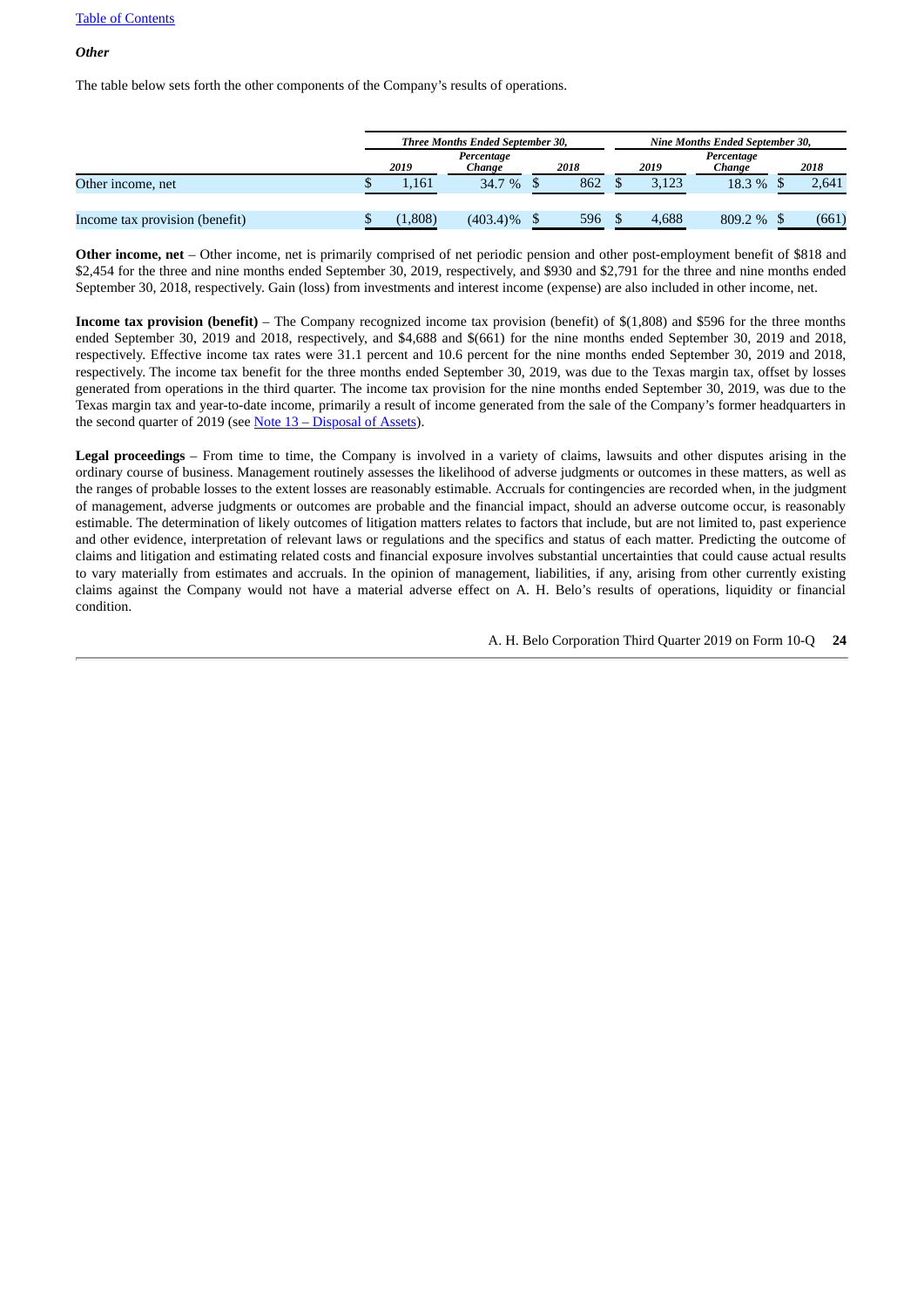#### *Other*

The table below sets forth the other components of the Company's results of operations.

|                                | Three Months Ended September 30,<br>Percentage |              |  | <b>Nine Months Ended September 30,</b><br>Percentage |  |       |         |  |       |
|--------------------------------|------------------------------------------------|--------------|--|------------------------------------------------------|--|-------|---------|--|-------|
|                                | 2019                                           | Chanae       |  | 2018                                                 |  | 2019  | Change  |  | 2018  |
| Other income, net              | 1.161                                          | $\%$<br>34.7 |  | 862                                                  |  | 3,123 | 18.3 %  |  | 2,641 |
|                                |                                                |              |  |                                                      |  |       |         |  |       |
| Income tax provision (benefit) | (1,808)                                        | $(403.4)\%$  |  | 596                                                  |  | 4,688 | 809.2 % |  | (661) |

**Other income, net** – Other income, net is primarily comprised of net periodic pension and other post-employment benefit of \$818 and \$2,454 for the three and nine months ended September 30, 2019, respectively, and \$930 and \$2,791 for the three and nine months ended September 30, 2018, respectively. Gain (loss) from investments and interest income (expense) are also included in other income, net.

**Income tax provision (benefit)** – The Company recognized income tax provision (benefit) of \$(1,808) and \$596 for the three months ended September 30, 2019 and 2018, respectively, and \$4,688 and \$(661) for the nine months ended September 30, 2019 and 2018, respectively. Effective income tax rates were 31.1 percent and 10.6 percent for the nine months ended September 30, 2019 and 2018, respectively. The income tax benefit for the three months ended September 30, 2019, was due to the Texas margin tax, offset by losses generated from operations in the third quarter. The income tax provision for the nine months ended September 30, 2019, was due to the Texas margin tax and year-to-date income, primarily a result of income generated from the sale of the Company's former headquarters in the second quarter of 2019 (see Note 13 – [Disposal](#page-17-0) of Assets).

**Legal proceedings** – From time to time, the Company is involved in a variety of claims, lawsuits and other disputes arising in the ordinary course of business. Management routinely assesses the likelihood of adverse judgments or outcomes in these matters, as well as the ranges of probable losses to the extent losses are reasonably estimable. Accruals for contingencies are recorded when, in the judgment of management, adverse judgments or outcomes are probable and the financial impact, should an adverse outcome occur, is reasonably estimable. The determination of likely outcomes of litigation matters relates to factors that include, but are not limited to, past experience and other evidence, interpretation of relevant laws or regulations and the specifics and status of each matter. Predicting the outcome of claims and litigation and estimating related costs and financial exposure involves substantial uncertainties that could cause actual results to vary materially from estimates and accruals. In the opinion of management, liabilities, if any, arising from other currently existing claims against the Company would not have a material adverse effect on A. H. Belo's results of operations, liquidity or financial condition.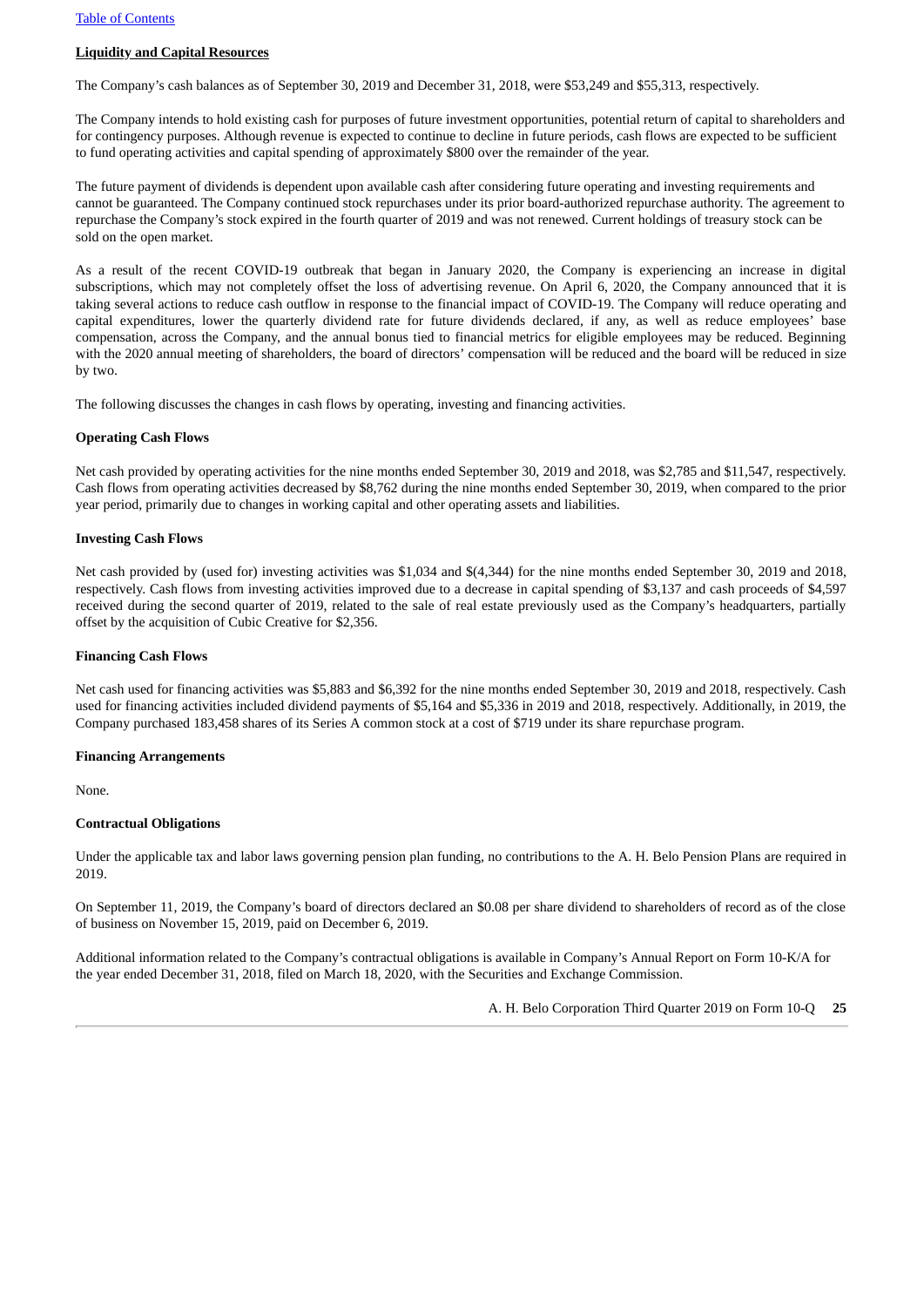#### **Liquidity and Capital Resources**

The Company's cash balances as of September 30, 2019 and December 31, 2018, were \$53,249 and \$55,313, respectively.

The Company intends to hold existing cash for purposes of future investment opportunities, potential return of capital to shareholders and for contingency purposes. Although revenue is expected to continue to decline in future periods, cash flows are expected to be sufficient to fund operating activities and capital spending of approximately \$800 over the remainder of the year.

The future payment of dividends is dependent upon available cash after considering future operating and investing requirements and cannot be guaranteed. The Company continued stock repurchases under its prior board-authorized repurchase authority. The agreement to repurchase the Company's stock expired in the fourth quarter of 2019 and was not renewed. Current holdings of treasury stock can be sold on the open market.

As a result of the recent COVID-19 outbreak that began in January 2020, the Company is experiencing an increase in digital subscriptions, which may not completely offset the loss of advertising revenue. On April 6, 2020, the Company announced that it is taking several actions to reduce cash outflow in response to the financial impact of COVID-19. The Company will reduce operating and capital expenditures, lower the quarterly dividend rate for future dividends declared, if any, as well as reduce employees' base compensation, across the Company, and the annual bonus tied to financial metrics for eligible employees may be reduced. Beginning with the 2020 annual meeting of shareholders, the board of directors' compensation will be reduced and the board will be reduced in size by two.

The following discusses the changes in cash flows by operating, investing and financing activities.

#### **Operating Cash Flows**

Net cash provided by operating activities for the nine months ended September 30, 2019 and 2018, was \$2,785 and \$11,547, respectively. Cash flows from operating activities decreased by \$8,762 during the nine months ended September 30, 2019, when compared to the prior year period, primarily due to changes in working capital and other operating assets and liabilities.

#### **Investing Cash Flows**

Net cash provided by (used for) investing activities was \$1,034 and \$(4,344) for the nine months ended September 30, 2019 and 2018, respectively. Cash flows from investing activities improved due to a decrease in capital spending of \$3,137 and cash proceeds of \$4,597 received during the second quarter of 2019, related to the sale of real estate previously used as the Company's headquarters, partially offset by the acquisition of Cubic Creative for \$2,356.

#### **Financing Cash Flows**

Net cash used for financing activities was \$5,883 and \$6,392 for the nine months ended September 30, 2019 and 2018, respectively. Cash used for financing activities included dividend payments of \$5,164 and \$5,336 in 2019 and 2018, respectively. Additionally, in 2019, the Company purchased 183,458 shares of its Series A common stock at a cost of \$719 under its share repurchase program.

#### **Financing Arrangements**

None.

#### **Contractual Obligations**

Under the applicable tax and labor laws governing pension plan funding, no contributions to the A. H. Belo Pension Plans are required in 2019.

On September 11, 2019, the Company's board of directors declared an \$0.08 per share dividend to shareholders of record as of the close of business on November 15, 2019, paid on December 6, 2019.

Additional information related to the Company's contractual obligations is available in Company's Annual Report on Form 10‑K/A for the year ended December 31, 2018, filed on March 18, 2020, with the Securities and Exchange Commission.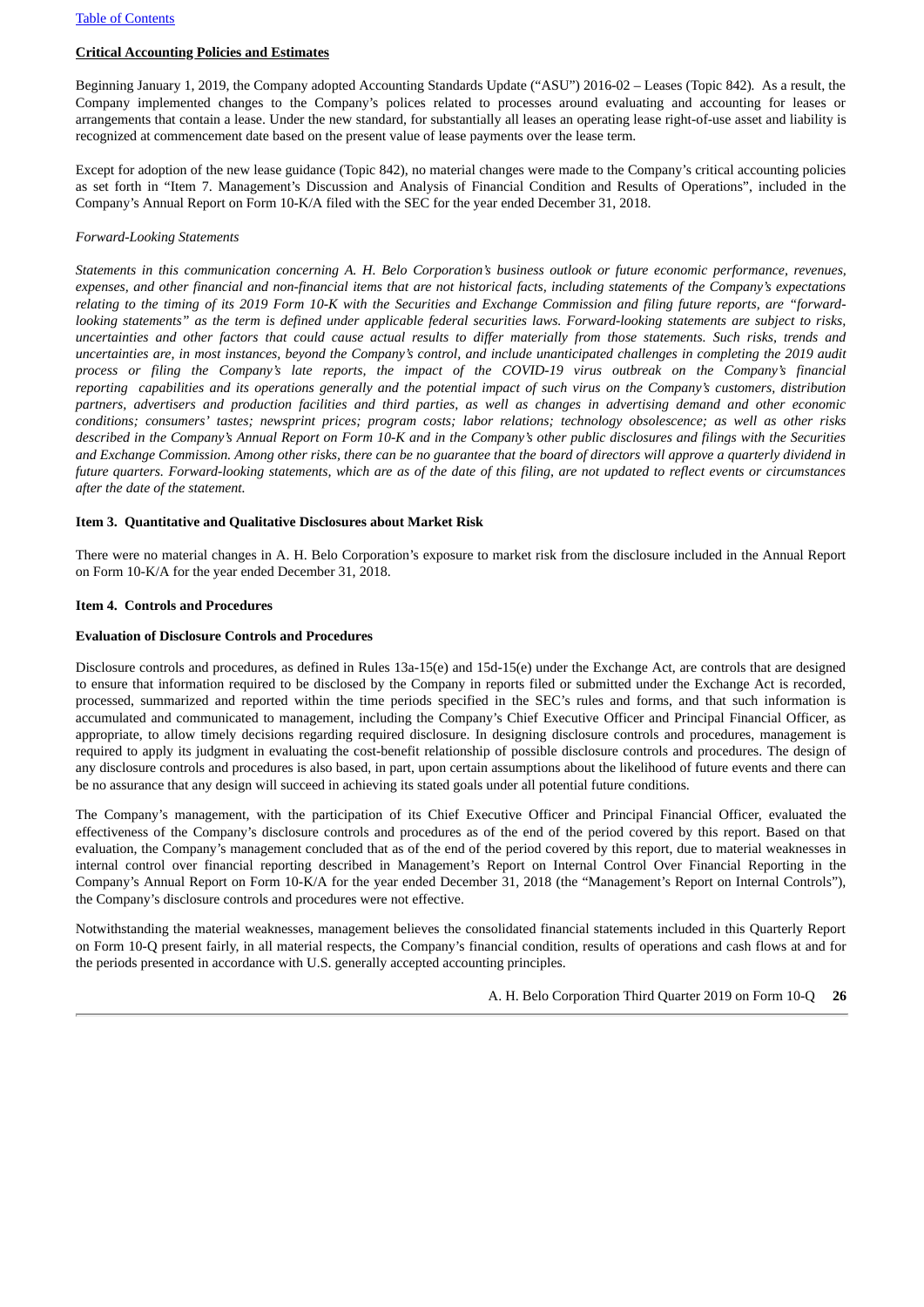#### **Critical Accounting Policies and Estimates**

Beginning January 1, 2019, the Company adopted Accounting Standards Update ("ASU") 2016-02 – Leases (Topic 842)*.* As a result, the Company implemented changes to the Company's polices related to processes around evaluating and accounting for leases or arrangements that contain a lease. Under the new standard, for substantially all leases an operating lease right-of-use asset and liability is recognized at commencement date based on the present value of lease payments over the lease term.

Except for adoption of the new lease guidance (Topic 842), no material changes were made to the Company's critical accounting policies as set forth in "Item 7. Management's Discussion and Analysis of Financial Condition and Results of Operations", included in the Company's Annual Report on Form 10-K/A filed with the SEC for the year ended December 31, 2018.

#### *Forward-Looking Statements*

Statements in this communication concerning A. H. Belo Corporation's business outlook or future economic performance, revenues, expenses, and other financial and non-financial items that are not historical facts, including statements of the Company's expectations relating to the timing of its 2019 Form 10-K with the Securities and Exchange Commission and filing future reports, are "forwardlooking statements" as the term is defined under applicable federal securities laws. Forward-looking statements are subject to risks, uncertainties and other factors that could cause actual results to differ materially from those statements. Such risks, trends and uncertainties are, in most instances, beyond the Company's control, and include unanticipated challenges in completing the 2019 audit process or filing the Company's late reports, the impact of the COVID-19 virus outbreak on the Company's financial reporting capabilities and its operations generally and the potential impact of such virus on the Company's customers, distribution partners, advertisers and production facilities and third parties, as well as changes in advertising demand and other economic conditions; consumers' tastes; newsprint prices; program costs; labor relations; technology obsolescence; as well as other risks described in the Company's Annual Report on Form 10-K and in the Company's other public disclosures and filings with the Securities and Exchange Commission. Among other risks, there can be no guarantee that the board of directors will approve a quarterly dividend in future quarters. Forward-looking statements, which are as of the date of this filing, are not updated to reflect events or circumstances *after the date of the statement.*

#### <span id="page-25-0"></span>**Item 3. Quantitative and Qualitative Disclosures about Market Risk**

There were no material changes in A. H. Belo Corporation's exposure to market risk from the disclosure included in the Annual Report on Form 10-K/A for the year ended December 31, 2018.

#### <span id="page-25-1"></span>**Item 4. Controls and Procedures**

#### **Evaluation of Disclosure Controls and Procedures**

Disclosure controls and procedures, as defined in Rules 13a-15(e) and 15d-15(e) under the Exchange Act, are controls that are designed to ensure that information required to be disclosed by the Company in reports filed or submitted under the Exchange Act is recorded, processed, summarized and reported within the time periods specified in the SEC's rules and forms, and that such information is accumulated and communicated to management, including the Company's Chief Executive Officer and Principal Financial Officer, as appropriate, to allow timely decisions regarding required disclosure. In designing disclosure controls and procedures, management is required to apply its judgment in evaluating the cost-benefit relationship of possible disclosure controls and procedures. The design of any disclosure controls and procedures is also based, in part, upon certain assumptions about the likelihood of future events and there can be no assurance that any design will succeed in achieving its stated goals under all potential future conditions.

The Company's management, with the participation of its Chief Executive Officer and Principal Financial Officer, evaluated the effectiveness of the Company's disclosure controls and procedures as of the end of the period covered by this report. Based on that evaluation, the Company's management concluded that as of the end of the period covered by this report, due to material weaknesses in internal control over financial reporting described in Management's Report on Internal Control Over Financial Reporting in the Company's Annual Report on Form 10-K/A for the year ended December 31, 2018 (the "Management's Report on Internal Controls"), the Company's disclosure controls and procedures were not effective.

Notwithstanding the material weaknesses, management believes the consolidated financial statements included in this Quarterly Report on Form 10-Q present fairly, in all material respects, the Company's financial condition, results of operations and cash flows at and for the periods presented in accordance with U.S. generally accepted accounting principles.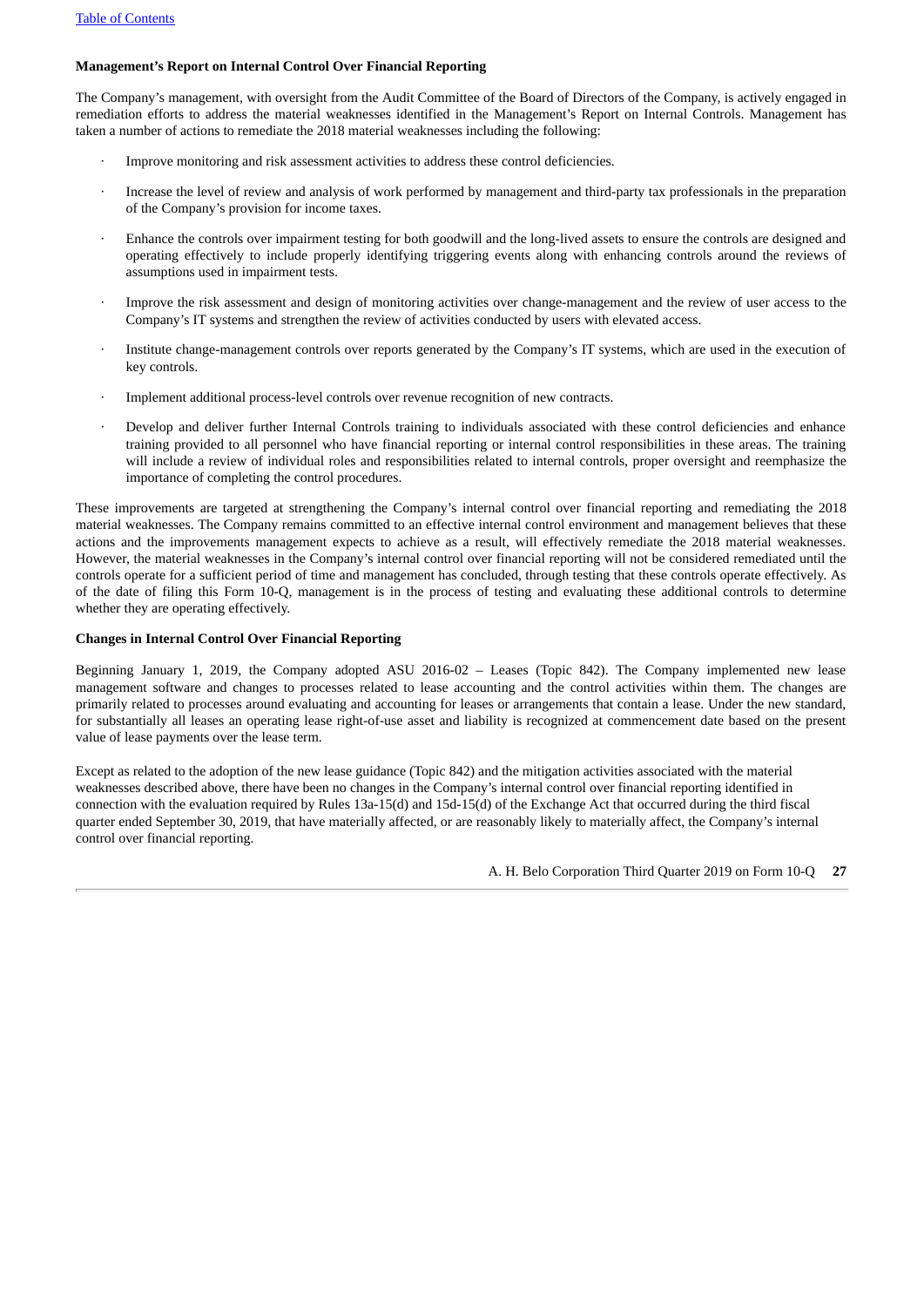#### **Management's Report on Internal Control Over Financial Reporting**

The Company's management, with oversight from the Audit Committee of the Board of Directors of the Company, is actively engaged in remediation efforts to address the material weaknesses identified in the Management's Report on Internal Controls. Management has taken a number of actions to remediate the 2018 material weaknesses including the following:

- Improve monitoring and risk assessment activities to address these control deficiencies.
- Increase the level of review and analysis of work performed by management and third-party tax professionals in the preparation of the Company's provision for income taxes.
- Enhance the controls over impairment testing for both goodwill and the long-lived assets to ensure the controls are designed and operating effectively to include properly identifying triggering events along with enhancing controls around the reviews of assumptions used in impairment tests.
- Improve the risk assessment and design of monitoring activities over change-management and the review of user access to the Company's IT systems and strengthen the review of activities conducted by users with elevated access.
- Institute change-management controls over reports generated by the Company's IT systems, which are used in the execution of key controls.
- · Implement additional process-level controls over revenue recognition of new contracts.
- Develop and deliver further Internal Controls training to individuals associated with these control deficiencies and enhance training provided to all personnel who have financial reporting or internal control responsibilities in these areas. The training will include a review of individual roles and responsibilities related to internal controls, proper oversight and reemphasize the importance of completing the control procedures.

These improvements are targeted at strengthening the Company's internal control over financial reporting and remediating the 2018 material weaknesses. The Company remains committed to an effective internal control environment and management believes that these actions and the improvements management expects to achieve as a result, will effectively remediate the 2018 material weaknesses. However, the material weaknesses in the Company's internal control over financial reporting will not be considered remediated until the controls operate for a sufficient period of time and management has concluded, through testing that these controls operate effectively. As of the date of filing this Form 10-Q, management is in the process of testing and evaluating these additional controls to determine whether they are operating effectively.

#### **Changes in Internal Control Over Financial Reporting**

Beginning January 1, 2019, the Company adopted ASU 2016-02 – Leases (Topic 842). The Company implemented new lease management software and changes to processes related to lease accounting and the control activities within them. The changes are primarily related to processes around evaluating and accounting for leases or arrangements that contain a lease. Under the new standard, for substantially all leases an operating lease right-of-use asset and liability is recognized at commencement date based on the present value of lease payments over the lease term.

Except as related to the adoption of the new lease guidance (Topic 842) and the mitigation activities associated with the material weaknesses described above, there have been no changes in the Company's internal control over financial reporting identified in connection with the evaluation required by Rules 13a-15(d) and 15d-15(d) of the Exchange Act that occurred during the third fiscal quarter ended September 30, 2019, that have materially affected, or are reasonably likely to materially affect, the Company's internal control over financial reporting.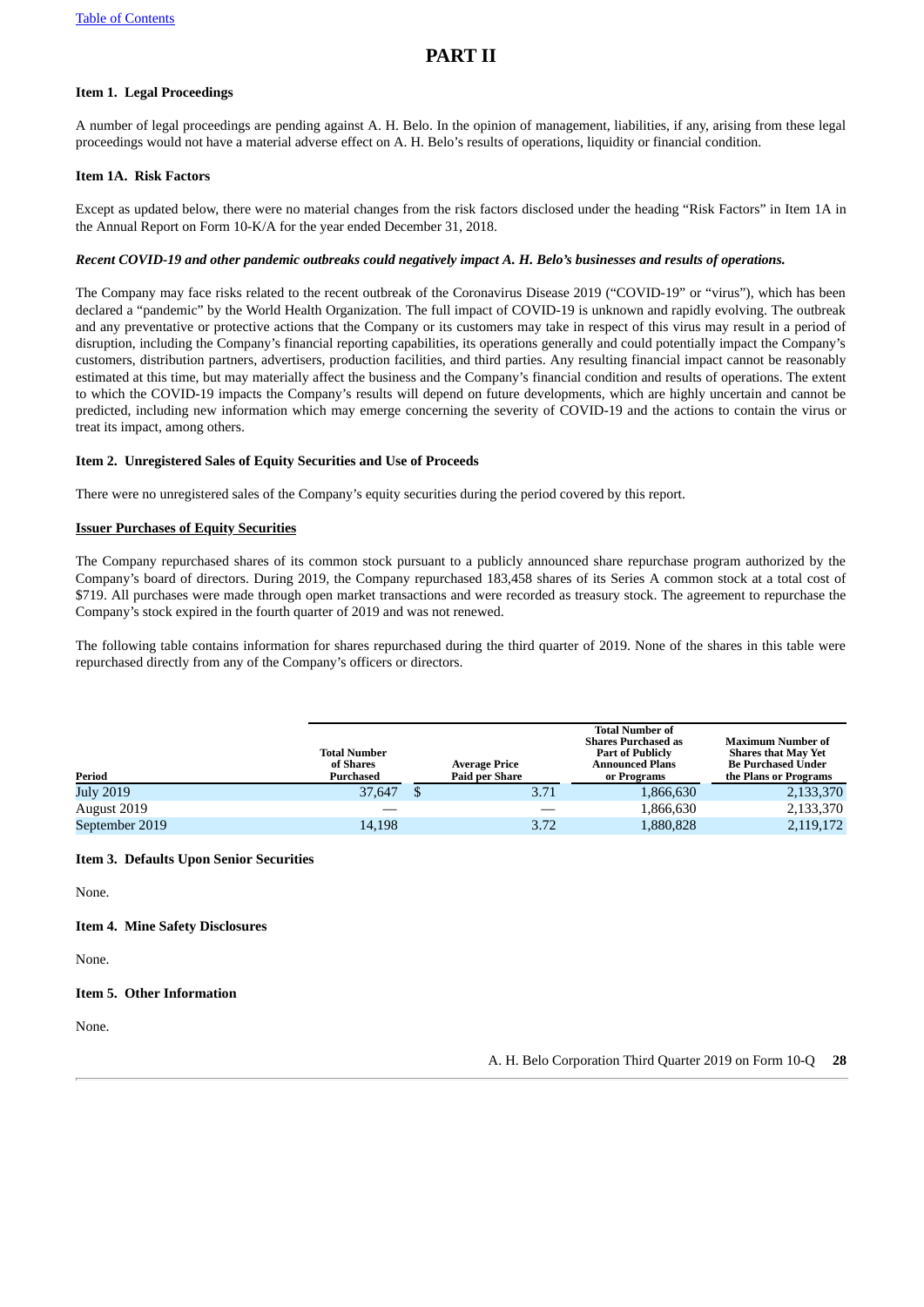### <span id="page-27-0"></span>**PART II**

### <span id="page-27-1"></span>**Item 1. Legal Proceedings**

A number of legal proceedings are pending against A. H. Belo. In the opinion of management, liabilities, if any, arising from these legal proceedings would not have a material adverse effect on A. H. Belo's results of operations, liquidity or financial condition.

#### <span id="page-27-2"></span>**Item 1A. Risk Factors**

Except as updated below, there were no material changes from the risk factors disclosed under the heading "Risk Factors" in Item 1A in the Annual Report on Form 10-K/A for the year ended December 31, 2018.

#### Recent COVID-19 and other pandemic outbreaks could negatively impact A. H. Belo's businesses and results of operations.

The Company may face risks related to the recent outbreak of the Coronavirus Disease 2019 ("COVID-19" or "virus"), which has been declared a "pandemic" by the World Health Organization. The full impact of COVID-19 is unknown and rapidly evolving. The outbreak and any preventative or protective actions that the Company or its customers may take in respect of this virus may result in a period of disruption, including the Company's financial reporting capabilities, its operations generally and could potentially impact the Company's customers, distribution partners, advertisers, production facilities, and third parties. Any resulting financial impact cannot be reasonably estimated at this time, but may materially affect the business and the Company's financial condition and results of operations. The extent to which the COVID-19 impacts the Company's results will depend on future developments, which are highly uncertain and cannot be predicted, including new information which may emerge concerning the severity of COVID-19 and the actions to contain the virus or treat its impact, among others.

#### <span id="page-27-3"></span>**Item 2. Unregistered Sales of Equity Securities and Use of Proceeds**

There were no unregistered sales of the Company's equity securities during the period covered by this report.

#### **Issuer Purchases of Equity Securities**

The Company repurchased shares of its common stock pursuant to a publicly announced share repurchase program authorized by the Company's board of directors. During 2019, the Company repurchased 183,458 shares of its Series A common stock at a total cost of \$719. All purchases were made through open market transactions and were recorded as treasury stock. The agreement to repurchase the Company's stock expired in the fourth quarter of 2019 and was not renewed.

The following table contains information for shares repurchased during the third quarter of 2019. None of the shares in this table were repurchased directly from any of the Company's officers or directors.

| Period           | <b>Total Number</b><br>of Shares<br>Purchased | <b>Average Price</b><br><b>Paid per Share</b> | <b>Total Number of</b><br><b>Shares Purchased as</b><br><b>Part of Publicly</b><br><b>Announced Plans</b><br>or Programs | <b>Maximum Number of</b><br><b>Shares that May Yet</b><br><b>Be Purchased Under</b><br>the Plans or Programs |
|------------------|-----------------------------------------------|-----------------------------------------------|--------------------------------------------------------------------------------------------------------------------------|--------------------------------------------------------------------------------------------------------------|
| <b>July 2019</b> | 37.647                                        | 3.71                                          | 1,866,630                                                                                                                | 2,133,370                                                                                                    |
| August 2019      |                                               |                                               | 1,866,630                                                                                                                | 2,133,370                                                                                                    |
| September 2019   | 14,198                                        | 3.72                                          | 1,880,828                                                                                                                | 2,119,172                                                                                                    |

#### <span id="page-27-4"></span>**Item 3. Defaults Upon Senior Securities**

None.

<span id="page-27-5"></span>**Item 4. Mine Safety Disclosures**

None.

#### <span id="page-27-6"></span>**Item 5. Other Information**

None.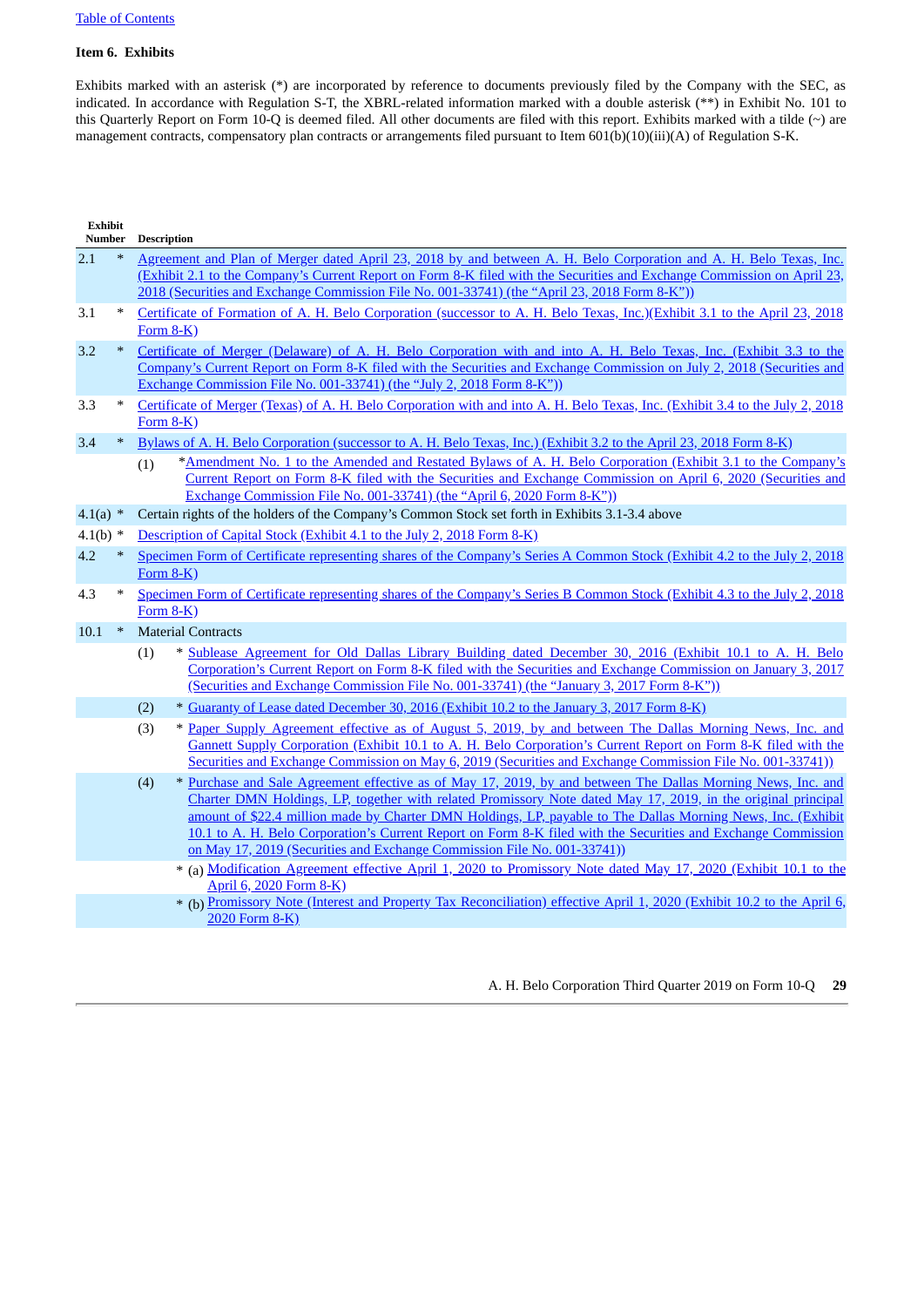#### <span id="page-28-0"></span>**Item 6. Exhibits**

Exhibits marked with an asterisk (\*) are incorporated by reference to documents previously filed by the Company with the SEC, as indicated. In accordance with Regulation S-T, the XBRL-related information marked with a double asterisk (\*\*) in Exhibit No. 101 to this Quarterly Report on Form 10-Q is deemed filed. All other documents are filed with this report. Exhibits marked with a tilde (~) are management contracts, compensatory plan contracts or arrangements filed pursuant to Item 601(b)(10)(iii)(A) of Regulation S-K.

| <b>Exhibit</b><br><b>Number</b> |        | <b>Description</b>                                                                                                                                                                                                                                                                                                                                                                                                                                                                                                                                |
|---------------------------------|--------|---------------------------------------------------------------------------------------------------------------------------------------------------------------------------------------------------------------------------------------------------------------------------------------------------------------------------------------------------------------------------------------------------------------------------------------------------------------------------------------------------------------------------------------------------|
| 2.1                             | $\ast$ | Agreement and Plan of Merger dated April 23, 2018 by and between A. H. Belo Corporation and A. H. Belo Texas, Inc.<br>(Exhibit 2.1 to the Company's Current Report on Form 8-K filed with the Securities and Exchange Commission on April 23,<br>2018 (Securities and Exchange Commission File No. 001-33741) (the "April 23, 2018 Form 8-K"))                                                                                                                                                                                                    |
| 3.1                             | $\ast$ | Certificate of Formation of A. H. Belo Corporation (successor to A. H. Belo Texas, Inc.)(Exhibit 3.1 to the April 23, 2018<br>Form $8-K$ )                                                                                                                                                                                                                                                                                                                                                                                                        |
| 3.2                             | $\ast$ | Certificate of Merger (Delaware) of A. H. Belo Corporation with and into A. H. Belo Texas, Inc. (Exhibit 3.3 to the<br>Company's Current Report on Form 8-K filed with the Securities and Exchange Commission on July 2, 2018 (Securities and<br>Exchange Commission File No. 001-33741) (the "July 2, 2018 Form 8-K"))                                                                                                                                                                                                                           |
| 3.3                             | $\ast$ | Certificate of Merger (Texas) of A. H. Belo Corporation with and into A. H. Belo Texas, Inc. (Exhibit 3.4 to the July 2, 2018<br>Form $8-K$ )                                                                                                                                                                                                                                                                                                                                                                                                     |
| 3.4                             | $\ast$ | Bylaws of A. H. Belo Corporation (successor to A. H. Belo Texas, Inc.) (Exhibit 3.2 to the April 23, 2018 Form 8-K)                                                                                                                                                                                                                                                                                                                                                                                                                               |
|                                 |        | *Amendment No. 1 to the Amended and Restated Bylaws of A. H. Belo Corporation (Exhibit 3.1 to the Company's<br>(1)<br>Current Report on Form 8-K filed with the Securities and Exchange Commission on April 6, 2020 (Securities and<br>Exchange Commission File No. 001-33741) (the "April 6, 2020 Form 8-K"))                                                                                                                                                                                                                                    |
| $4.1(a)$ *                      |        | Certain rights of the holders of the Company's Common Stock set forth in Exhibits 3.1-3.4 above                                                                                                                                                                                                                                                                                                                                                                                                                                                   |
| $4.1(b)$ *                      |        | Description of Capital Stock (Exhibit 4.1 to the July 2, 2018 Form 8-K)                                                                                                                                                                                                                                                                                                                                                                                                                                                                           |
| 4.2                             | $\ast$ | Specimen Form of Certificate representing shares of the Company's Series A Common Stock (Exhibit 4.2 to the July 2, 2018<br>Form $8-K$ )                                                                                                                                                                                                                                                                                                                                                                                                          |
| 4.3                             | $\ast$ | Specimen Form of Certificate representing shares of the Company's Series B Common Stock (Exhibit 4.3 to the July 2, 2018<br>Form $8-K$ )                                                                                                                                                                                                                                                                                                                                                                                                          |
| 10.1                            | $\ast$ | <b>Material Contracts</b>                                                                                                                                                                                                                                                                                                                                                                                                                                                                                                                         |
|                                 |        | * Sublease Agreement for Old Dallas Library Building dated December 30, 2016 (Exhibit 10.1 to A. H. Belo<br>(1)<br>Corporation's Current Report on Form 8-K filed with the Securities and Exchange Commission on January 3, 2017<br>(Securities and Exchange Commission File No. 001-33741) (the "January 3, 2017 Form 8-K"))                                                                                                                                                                                                                     |
|                                 |        | * Guaranty of Lease dated December 30, 2016 (Exhibit 10.2 to the January 3, 2017 Form 8-K)<br>(2)                                                                                                                                                                                                                                                                                                                                                                                                                                                 |
|                                 |        | * Paper Supply Agreement effective as of August 5, 2019, by and between The Dallas Morning News, Inc. and<br>(3)<br>Gannett Supply Corporation (Exhibit 10.1 to A. H. Belo Corporation's Current Report on Form 8-K filed with the<br>Securities and Exchange Commission on May 6, 2019 (Securities and Exchange Commission File No. 001-33741))                                                                                                                                                                                                  |
|                                 |        | * Purchase and Sale Agreement effective as of May 17, 2019, by and between The Dallas Morning News, Inc. and<br>(4)<br>Charter DMN Holdings, LP, together with related Promissory Note dated May 17, 2019, in the original principal<br>amount of \$22.4 million made by Charter DMN Holdings, LP, payable to The Dallas Morning News, Inc. (Exhibit<br>10.1 to A. H. Belo Corporation's Current Report on Form 8-K filed with the Securities and Exchange Commission<br>on May 17, 2019 (Securities and Exchange Commission File No. 001-33741)) |
|                                 |        | * (a) Modification Agreement effective April 1, 2020 to Promissory Note dated May 17, 2020 (Exhibit 10.1 to the<br>April 6, 2020 Form 8-K)                                                                                                                                                                                                                                                                                                                                                                                                        |
|                                 |        | * (b) Promissory Note (Interest and Property Tax Reconciliation) effective April 1, 2020 (Exhibit 10.2 to the April 6,<br>2020 Form 8-K)                                                                                                                                                                                                                                                                                                                                                                                                          |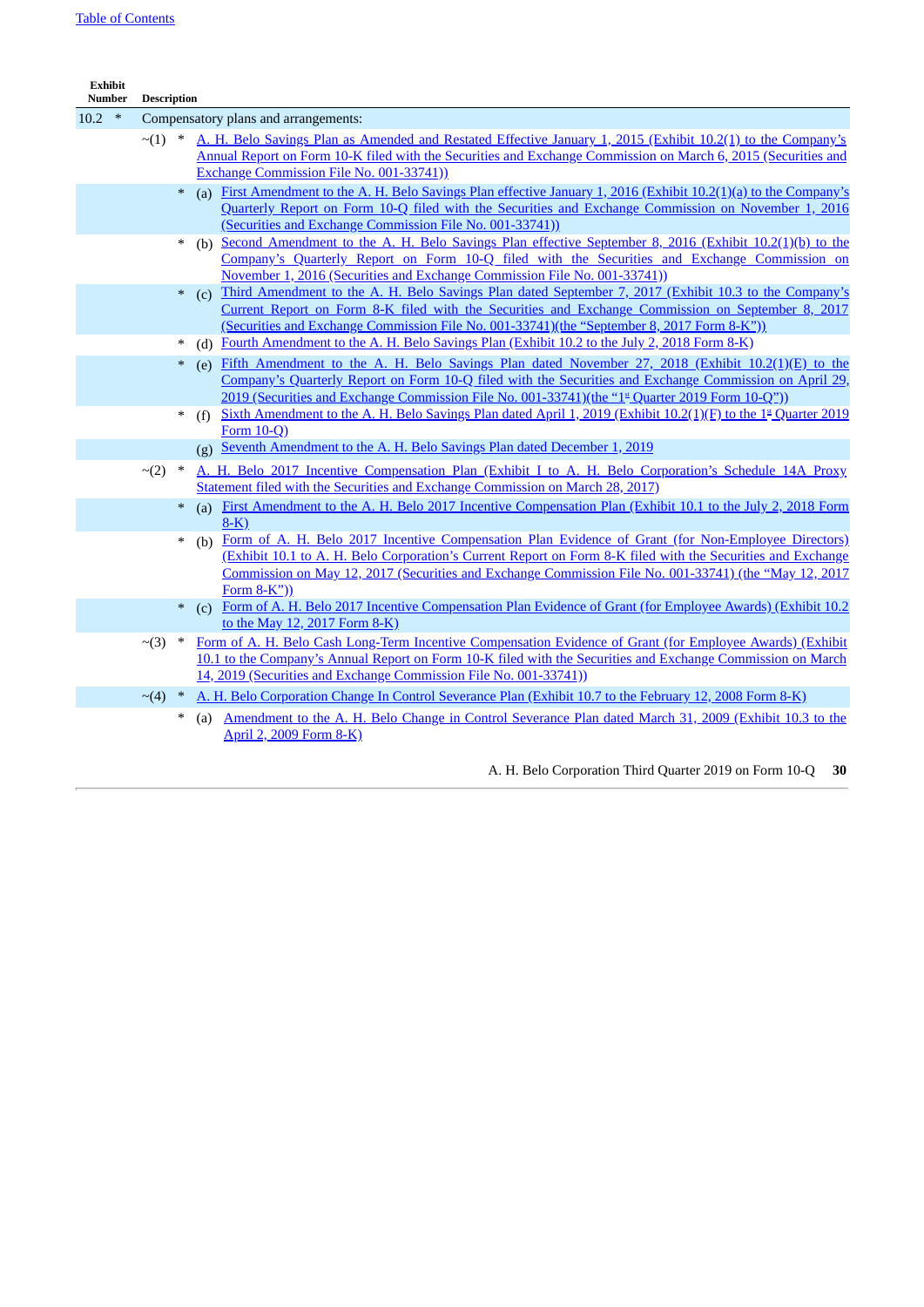| <b>Exhibit</b><br>Number | <b>Description</b> |        |                                                                                                                                                                                                                                                                                                                                                  |
|--------------------------|--------------------|--------|--------------------------------------------------------------------------------------------------------------------------------------------------------------------------------------------------------------------------------------------------------------------------------------------------------------------------------------------------|
| $10.2$ *                 |                    |        | Compensatory plans and arrangements:                                                                                                                                                                                                                                                                                                             |
|                          |                    |        | $\sim$ (1) * A. H. Belo Savings Plan as Amended and Restated Effective January 1, 2015 (Exhibit 10.2(1) to the Company's<br>Annual Report on Form 10-K filed with the Securities and Exchange Commission on March 6, 2015 (Securities and<br><b>Exchange Commission File No. 001-33741)</b>                                                      |
|                          |                    | $\ast$ | First Amendment to the A. H. Belo Savings Plan effective January 1, 2016 (Exhibit 10.2(1)(a) to the Company's<br>(a)<br>Quarterly Report on Form 10-Q filed with the Securities and Exchange Commission on November 1, 2016<br>(Securities and Exchange Commission File No. 001-33741))                                                          |
|                          |                    | $\ast$ | (b) Second Amendment to the A. H. Belo Savings Plan effective September 8, 2016 (Exhibit 10.2(1)(b) to the<br>Company's Quarterly Report on Form 10-Q filed with the Securities and Exchange Commission on<br>November 1, 2016 (Securities and Exchange Commission File No. 001-33741))                                                          |
|                          |                    |        | Third Amendment to the A. H. Belo Savings Plan dated September 7, 2017 (Exhibit 10.3 to the Company's<br>(c)<br>Current Report on Form 8-K filed with the Securities and Exchange Commission on September 8, 2017<br>(Securities and Exchange Commission File No. 001-33741)(the "September 8, 2017 Form 8-K")).                                 |
|                          |                    |        | Fourth Amendment to the A. H. Belo Savings Plan (Exhibit 10.2 to the July 2, 2018 Form 8-K)<br>(d)                                                                                                                                                                                                                                               |
|                          |                    | $\ast$ | Fifth Amendment to the A. H. Belo Savings Plan dated November 27, 2018 (Exhibit 10.2(1)(E) to the<br>(e)<br>Company's Quarterly Report on Form 10-Q filed with the Securities and Exchange Commission on April 29,<br>2019 (Securities and Exchange Commission File No. 001-33741)(the "1ª Quarter 2019 Form 10-Q")).                            |
|                          |                    | $\ast$ | Sixth Amendment to the A. H. Belo Savings Plan dated April 1, 2019 (Exhibit 10.2(1)(F) to the 1 <sup>st</sup> Quarter 2019<br>(f)<br>Form $10-Q$ )<br>(g) Seventh Amendment to the A. H. Belo Savings Plan dated December 1, 2019                                                                                                                |
|                          | $\sim$ (2)         | $\ast$ | A. H. Belo 2017 Incentive Compensation Plan (Exhibit I to A. H. Belo Corporation's Schedule 14A Proxy<br>Statement filed with the Securities and Exchange Commission on March 28, 2017)                                                                                                                                                          |
|                          |                    | $\ast$ | (a) First Amendment to the A. H. Belo 2017 Incentive Compensation Plan (Exhibit 10.1 to the July 2, 2018 Form<br>$8-K$ )                                                                                                                                                                                                                         |
|                          |                    |        | (b) Form of A. H. Belo 2017 Incentive Compensation Plan Evidence of Grant (for Non-Employee Directors)<br>(Exhibit 10.1 to A. H. Belo Corporation's Current Report on Form 8-K filed with the Securities and Exchange<br>Commission on May 12, 2017 (Securities and Exchange Commission File No. 001-33741) (the "May 12, 2017<br>Form $8-K$ ")) |
|                          |                    | $\ast$ | Form of A. H. Belo 2017 Incentive Compensation Plan Evidence of Grant (for Employee Awards) (Exhibit 10.2<br>(c)<br>to the May 12, 2017 Form 8-K)                                                                                                                                                                                                |
|                          | $\sim$ (3)         |        | Form of A. H. Belo Cash Long-Term Incentive Compensation Evidence of Grant (for Employee Awards) (Exhibit<br>10.1 to the Company's Annual Report on Form 10-K filed with the Securities and Exchange Commission on March<br>14, 2019 (Securities and Exchange Commission File No. 001-33741))                                                    |
|                          | $\sim$ (4)         |        | A. H. Belo Corporation Change In Control Severance Plan (Exhibit 10.7 to the February 12, 2008 Form 8-K)                                                                                                                                                                                                                                         |
|                          |                    | $\ast$ | (a) Amendment to the A. H. Belo Change in Control Severance Plan dated March 31, 2009 (Exhibit 10.3 to the<br>April 2, 2009 Form 8-K)                                                                                                                                                                                                            |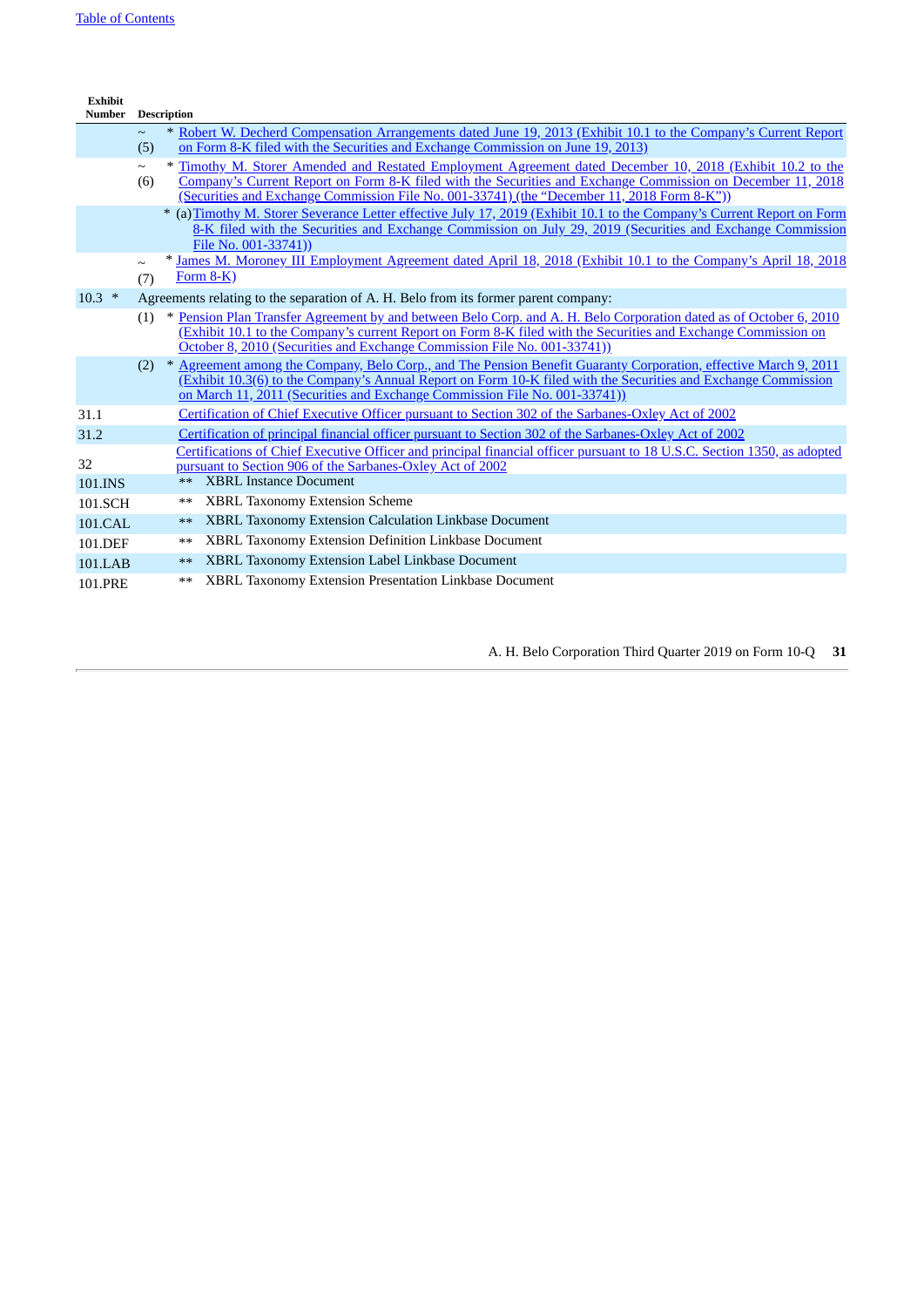| <b>Exhibit</b><br><b>Number</b> |               | <b>Description</b>                                                                                                                                                                                                                                                                                                       |
|---------------------------------|---------------|--------------------------------------------------------------------------------------------------------------------------------------------------------------------------------------------------------------------------------------------------------------------------------------------------------------------------|
|                                 | $\sim$<br>(5) | * Robert W. Decherd Compensation Arrangements dated June 19, 2013 (Exhibit 10.1 to the Company's Current Report<br>on Form 8-K filed with the Securities and Exchange Commission on June 19, 2013)                                                                                                                       |
|                                 | $\sim$<br>(6) | * Timothy M. Storer Amended and Restated Employment Agreement dated December 10, 2018 (Exhibit 10.2 to the<br>Company's Current Report on Form 8-K filed with the Securities and Exchange Commission on December 11, 2018<br>(Securities and Exchange Commission File No. 001-33741) (the "December 11, 2018 Form 8-K")) |
|                                 |               | * (a) Timothy M. Storer Severance Letter effective July 17, 2019 (Exhibit 10.1 to the Company's Current Report on Form<br>8-K filed with the Securities and Exchange Commission on July 29, 2019 (Securities and Exchange Commission<br>File No. 001-33741))                                                             |
|                                 | $\sim$<br>(7) | * James M. Moroney III Employment Agreement dated April 18, 2018 (Exhibit 10.1 to the Company's April 18, 2018<br>Form $8-K$ )                                                                                                                                                                                           |
| $10.3$ *                        |               | Agreements relating to the separation of A, H, Belo from its former parent company:                                                                                                                                                                                                                                      |
|                                 | (1)           | * Pension Plan Transfer Agreement by and between Belo Corp. and A. H. Belo Corporation dated as of October 6, 2010<br>(Exhibit 10.1 to the Company's current Report on Form 8-K filed with the Securities and Exchange Commission on<br>October 8, 2010 (Securities and Exchange Commission File No. 001-33741))         |
|                                 |               | (2) * Agreement among the Company, Belo Corp., and The Pension Benefit Guaranty Corporation, effective March 9, 2011<br>(Exhibit 10.3(6) to the Company's Annual Report on Form 10-K filed with the Securities and Exchange Commission<br>on March 11, 2011 (Securities and Exchange Commission File No. 001-33741))     |
| 31.1                            |               | Certification of Chief Executive Officer pursuant to Section 302 of the Sarbanes-Oxley Act of 2002                                                                                                                                                                                                                       |
| 31.2                            |               | Certification of principal financial officer pursuant to Section 302 of the Sarbanes-Oxley Act of 2002                                                                                                                                                                                                                   |
| 32                              |               | Certifications of Chief Executive Officer and principal financial officer pursuant to 18 U.S.C. Section 1350, as adopted<br>pursuant to Section 906 of the Sarbanes-Oxley Act of 2002                                                                                                                                    |
| 101.INS                         |               | <b>XBRL Instance Document</b><br>$***$                                                                                                                                                                                                                                                                                   |
| 101.SCH                         |               | <b>XBRL Taxonomy Extension Scheme</b><br>**                                                                                                                                                                                                                                                                              |
| 101.CAL                         |               | <b>XBRL Taxonomy Extension Calculation Linkbase Document</b><br>$***$                                                                                                                                                                                                                                                    |
| 101.DEF                         |               | XBRL Taxonomy Extension Definition Linkbase Document<br>$***$                                                                                                                                                                                                                                                            |
| 101.LAB                         |               | <b>XBRL Taxonomy Extension Label Linkbase Document</b><br>$***$                                                                                                                                                                                                                                                          |
| 101.PRE                         |               | XBRL Taxonomy Extension Presentation Linkbase Document<br>**                                                                                                                                                                                                                                                             |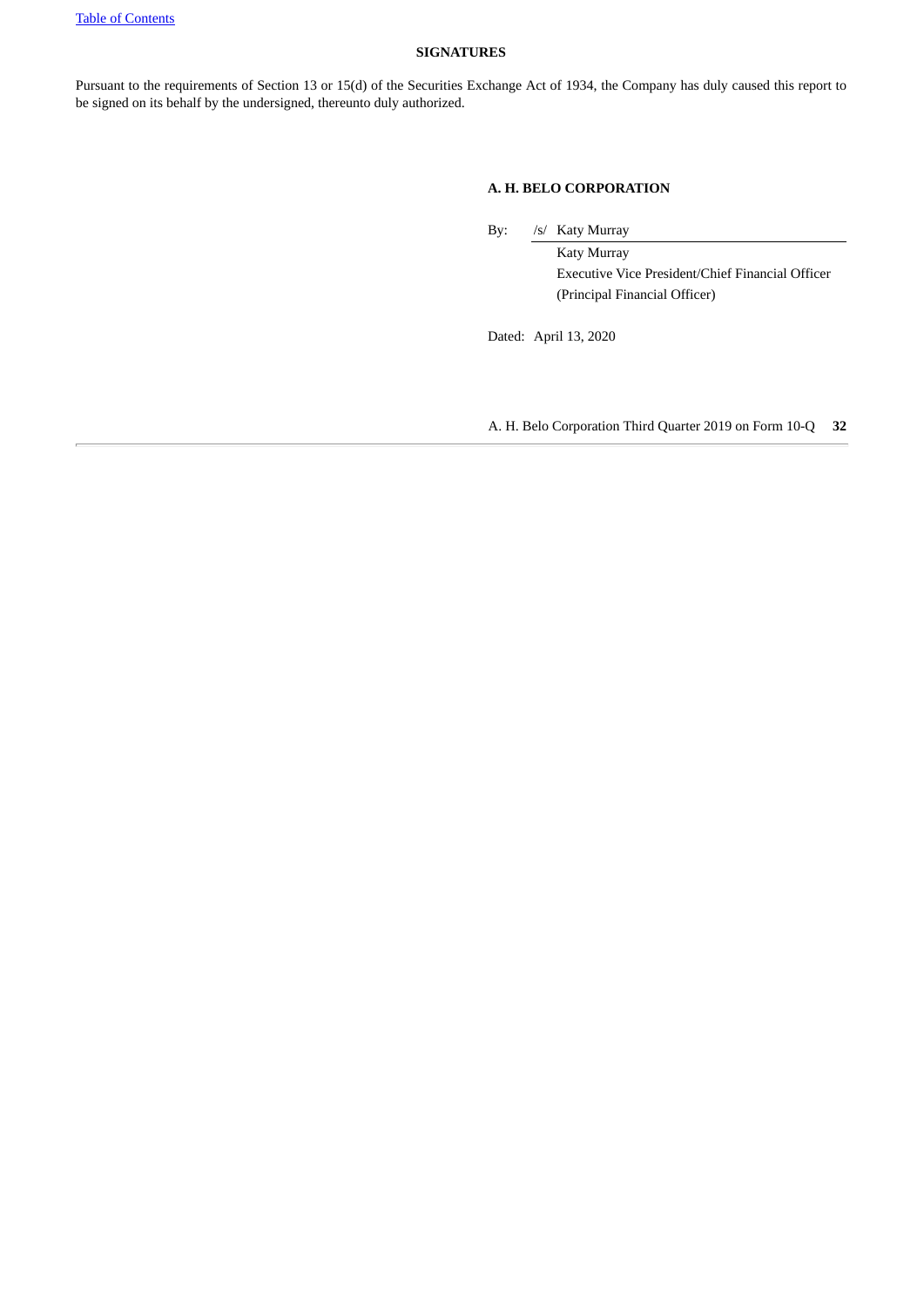#### <span id="page-31-0"></span>**SIGNATURES**

Pursuant to the requirements of Section 13 or 15(d) of the Securities Exchange Act of 1934, the Company has duly caused this report to be signed on its behalf by the undersigned, thereunto duly authorized.

#### **A. H. BELO CORPORATION**

By: /s/ Katy Murray

Katy Murray Executive Vice President/Chief Financial Officer (Principal Financial Officer)

Dated: April 13, 2020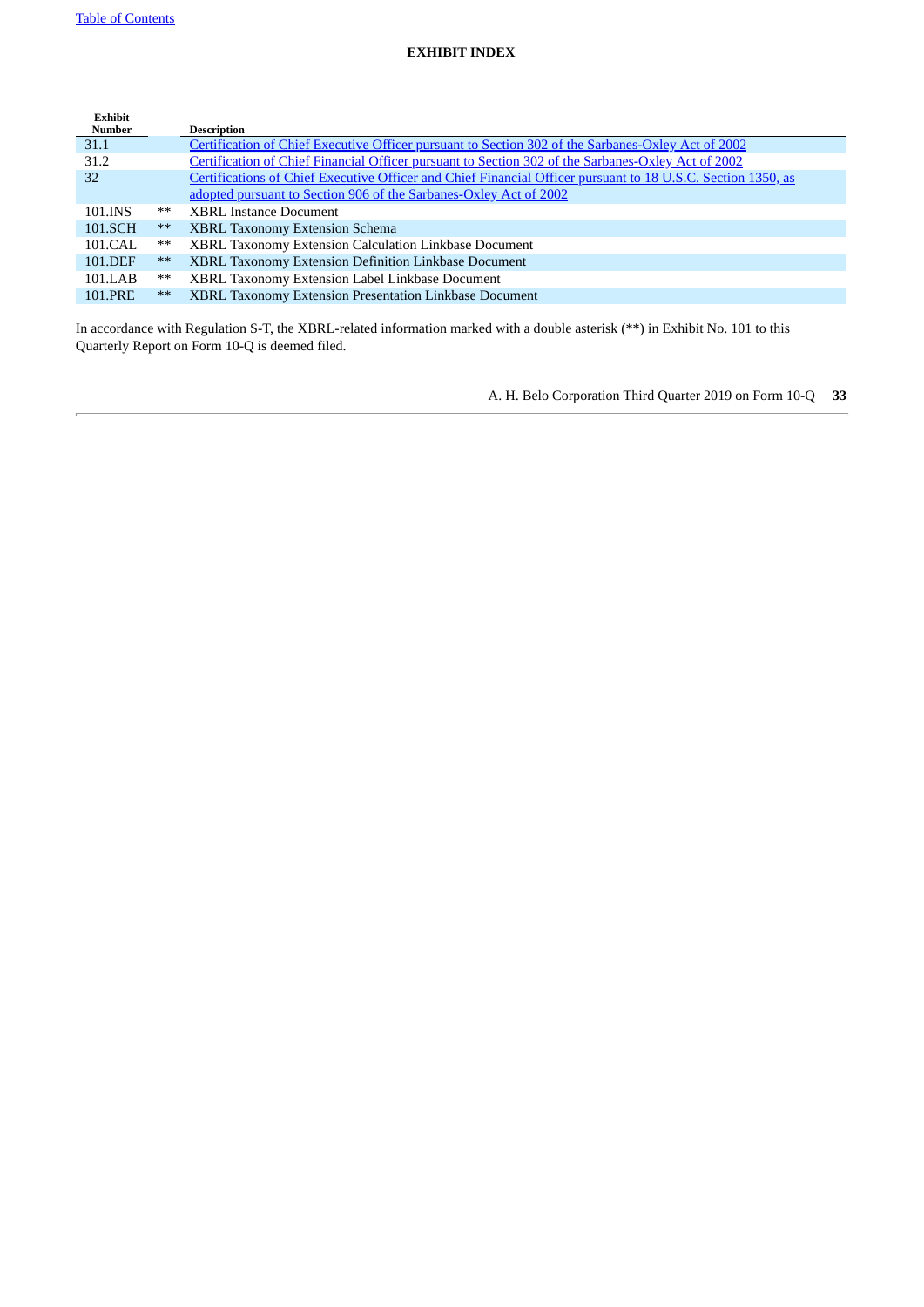<span id="page-32-0"></span>

| <b>Exhibit</b><br><b>Number</b> |       | <b>Description</b>                                                                                           |
|---------------------------------|-------|--------------------------------------------------------------------------------------------------------------|
| 31.1                            |       | Certification of Chief Executive Officer pursuant to Section 302 of the Sarbanes-Oxley Act of 2002           |
| 31.2                            |       | Certification of Chief Financial Officer pursuant to Section 302 of the Sarbanes-Oxley Act of 2002           |
| 32                              |       | Certifications of Chief Executive Officer and Chief Financial Officer pursuant to 18 U.S.C. Section 1350, as |
|                                 |       | adopted pursuant to Section 906 of the Sarbanes-Oxley Act of 2002                                            |
| 101.INS                         | **    | <b>XBRL Instance Document</b>                                                                                |
| 101.SCH                         | $***$ | <b>XBRL Taxonomy Extension Schema</b>                                                                        |
| 101.CAL                         | $***$ | XBRL Taxonomy Extension Calculation Linkbase Document                                                        |
| 101.DEF                         | $***$ | XBRL Taxonomy Extension Definition Linkbase Document                                                         |
| 101.LAB                         | $***$ | XBRL Taxonomy Extension Label Linkbase Document                                                              |
| 101.PRE                         | $***$ | XBRL Taxonomy Extension Presentation Linkbase Document                                                       |

In accordance with Regulation S-T, the XBRL-related information marked with a double asterisk (\*\*) in Exhibit No. 101 to this Quarterly Report on Form 10-Q is deemed filed.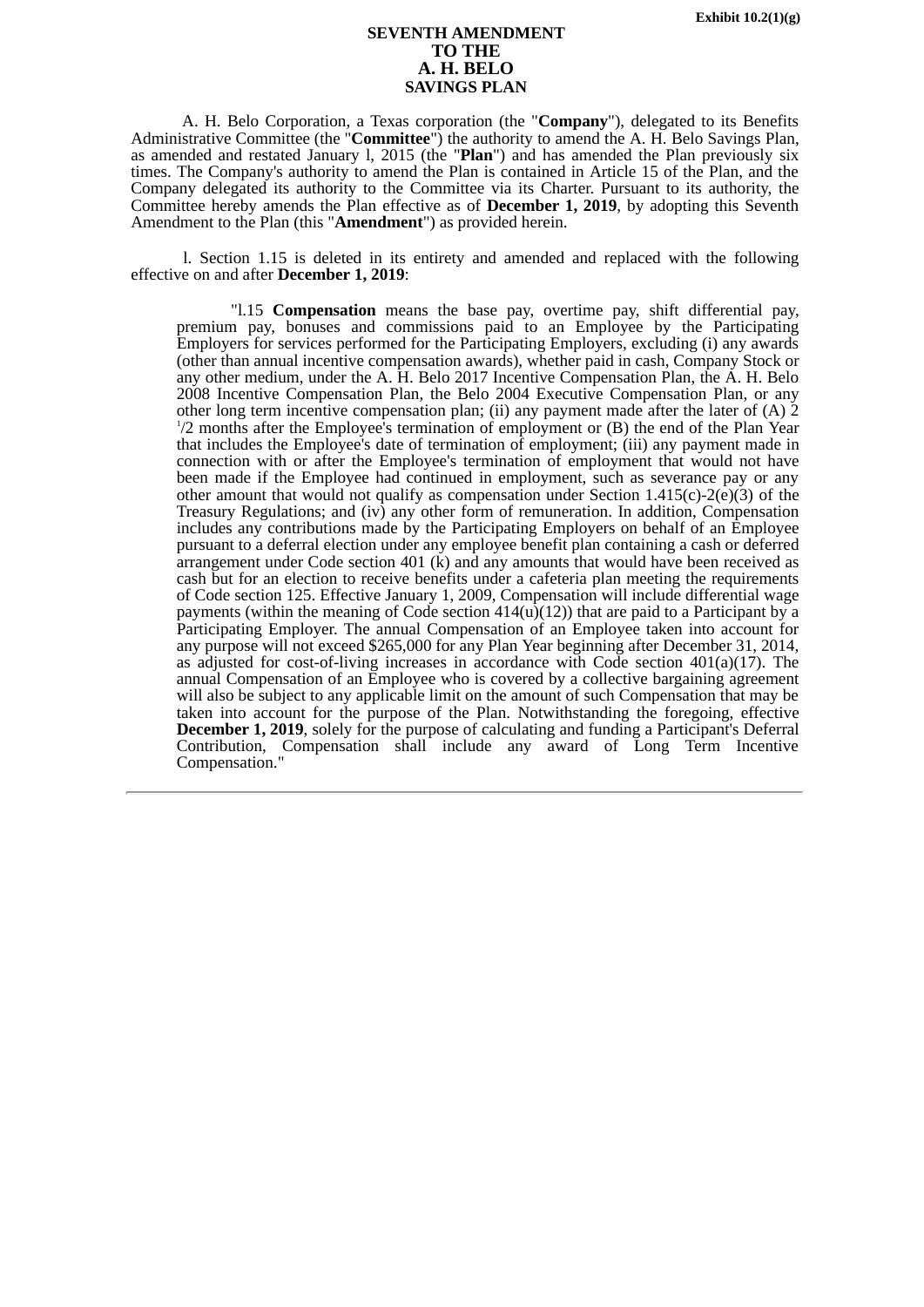#### **SEVENTH AMENDMENT TO THE A. H. BELO SAVINGS PLAN**

<span id="page-33-0"></span>A. H. Belo Corporation, a Texas corporation (the "**Company**"), delegated to its Benefits Administrative Committee (the "**Committee**") the authority to amend the A. H. Belo Savings Plan, as amended and restated January l, 2015 (the "**Plan**") and has amended the Plan previously six times. The Company's authority to amend the Plan is contained in Article 15 of the Plan, and the Company delegated its authority to the Committee via its Charter. Pursuant to its authority, the Committee hereby amends the Plan effective as of **December 1, 2019**, by adopting this Seventh Amendment to the Plan (this "**Amendment**") as provided herein.

l. Section 1.15 is deleted in its entirety and amended and replaced with the following effective on and after **December 1, 2019**:

"l.15 **Compensation** means the base pay, overtime pay, shift differential pay, premium pay, bonuses and commissions paid to an Employee by the Participating Employers for services performed for the Participating Employers, excluding (i) any awards (other than annual incentive compensation awards), whether paid in cash, Company Stock or any other medium, under the A. H. Belo 2017 Incentive Compensation Plan, the A. H. Belo 2008 Incentive Compensation Plan, the Belo 2004 Executive Compensation Plan, or any other long term incentive compensation plan; (ii) any payment made after the later of (A) 2 1 /2 months after the Employee's termination of employment or (B) the end of the Plan Year that includes the Employee's date of termination of employment; (iii) any payment made in connection with or after the Employee's termination of employment that would not have been made if the Employee had continued in employment, such as severance pay or any other amount that would not qualify as compensation under Section 1.415(c)-2(e)(3) of the Treasury Regulations; and (iv) any other form of remuneration. In addition, Compensation includes any contributions made by the Participating Employers on behalf of an Employee pursuant to a deferral election under any employee benefit plan containing a cash or deferred arrangement under Code section 401 (k) and any amounts that would have been received as cash but for an election to receive benefits under a cafeteria plan meeting the requirements of Code section 125. Effective January 1, 2009, Compensation will include differential wage payments (within the meaning of Code section  $414(u)(12)$ ) that are paid to a Participant by a Participating Employer. The annual Compensation of an Employee taken into account for any purpose will not exceed \$265,000 for any Plan Year beginning after December 31, 2014, as adjusted for cost-of-living increases in accordance with Code section 401(a)(17). The annual Compensation of an Employee who is covered by a collective bargaining agreement will also be subject to any applicable limit on the amount of such Compensation that may be taken into account for the purpose of the Plan. Notwithstanding the foregoing, effective **December 1, 2019**, solely for the purpose of calculating and funding a Participant's Deferral Contribution, Compensation shall include any award of Long Term Incentive Compensation."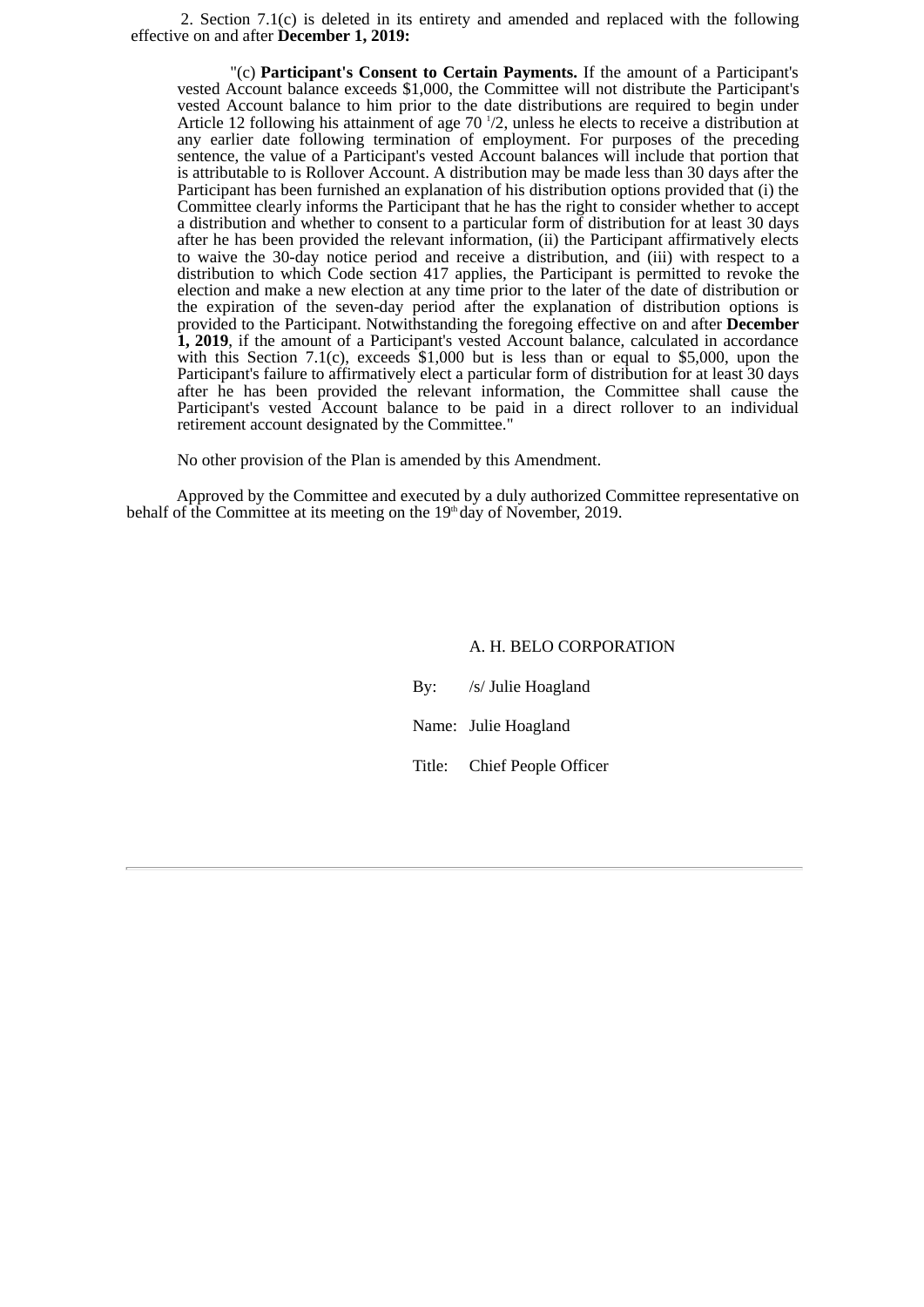2. Section  $7.1(c)$  is deleted in its entirety and amended and replaced with the following effective on and after **December 1, 2019:**

"(c) **Participant's Consent to Certain Payments.** If the amount of a Participant's vested Account balance exceeds \$1,000, the Committee will not distribute the Participant's vested Account balance to him prior to the date distributions are required to begin under Article 12 following his attainment of age 70<sup>1</sup>/2, unless he elects to receive a distribution at any earlier date following termination of employment. For purposes of the preceding sentence, the value of a Participant's vested Account balances will include that portion that is attributable to is Rollover Account. A distribution may be made less than 30 days after the Participant has been furnished an explanation of his distribution options provided that (i) the Committee clearly informs the Participant that he has the right to consider whether to accept a distribution and whether to consent to a particular form of distribution for at least 30 days after he has been provided the relevant information, (ii) the Participant affirmatively elects to waive the 30-day notice period and receive a distribution, and (iii) with respect to a distribution to which Code section 417 applies, the Participant is permitted to revoke the election and make a new election at any time prior to the later of the date of distribution or the expiration of the seven-day period after the explanation of distribution options is provided to the Participant. Notwithstanding the foregoing effective on and after **December 1, 2019**, if the amount of a Participant's vested Account balance, calculated in accordance with this Section 7.1(c), exceeds \$1,000 but is less than or equal to \$5,000, upon the Participant's failure to affirmatively elect a particular form of distribution for at least 30 days after he has been provided the relevant information, the Committee shall cause the Participant's vested Account balance to be paid in a direct rollover to an individual retirement account designated by the Committee."

No other provision of the Plan is amended by this Amendment.

Approved by the Committee and executed by a duly authorized Committee representative on behalf of the Committee at its meeting on the  $19<sup>th</sup>$  day of November, 2019.

#### A. H. BELO CORPORATION

| By: | /s/ Julie Hoagland          |
|-----|-----------------------------|
|     | Name: Julie Hoagland        |
|     | Title: Chief People Officer |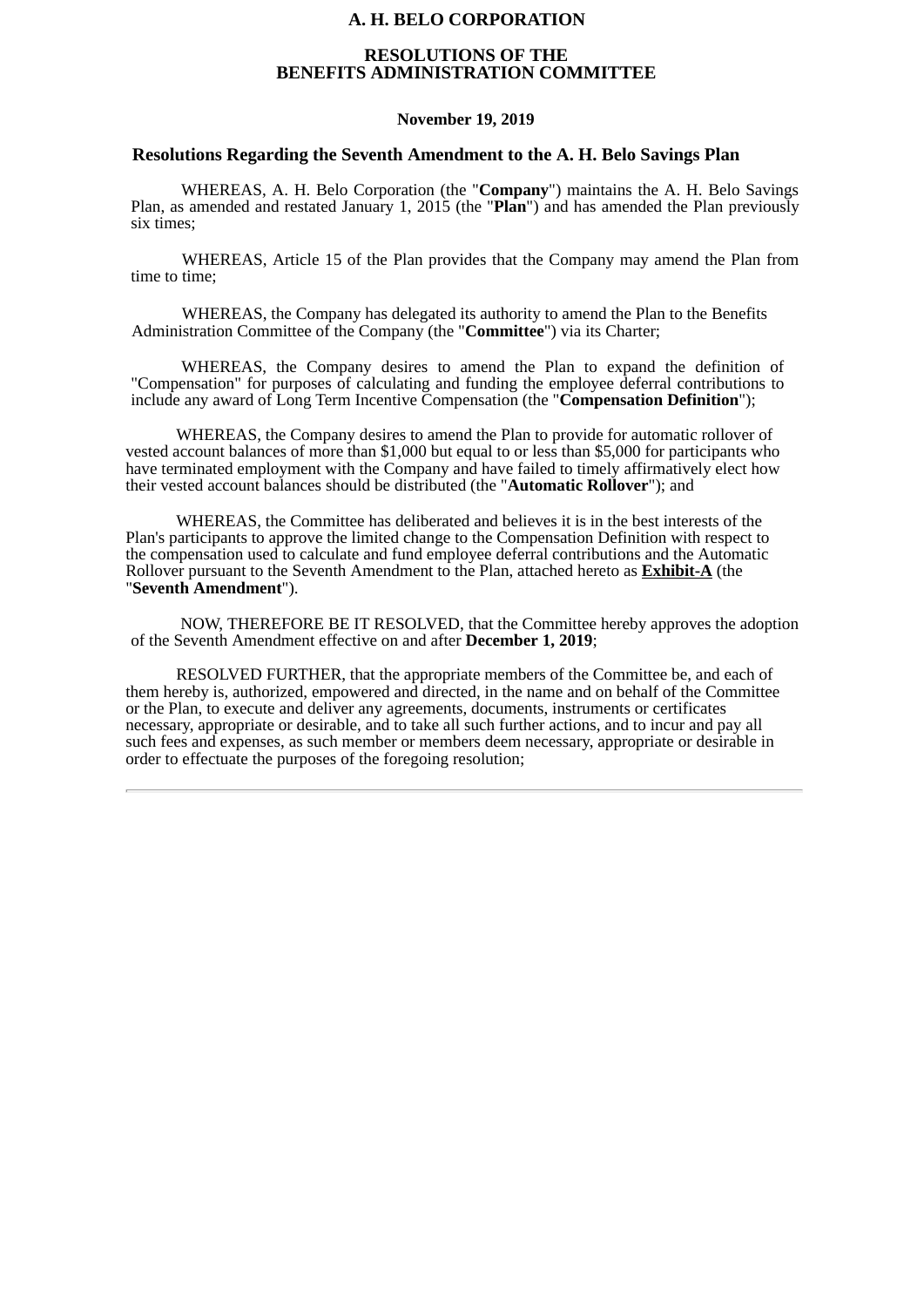#### **A. H. BELO CORPORATION**

#### **RESOLUTIONS OF THE BENEFITS ADMINISTRATION COMMITTEE**

#### **November 19, 2019**

#### **Resolutions Regarding the Seventh Amendment to the A. H. Belo Savings Plan**

WHEREAS, A. H. Belo Corporation (the "**Company**") maintains the A. H. Belo Savings Plan, as amended and restated January 1, 2015 (the "**Plan**") and has amended the Plan previously six times;

WHEREAS, Article 15 of the Plan provides that the Company may amend the Plan from time to time;

WHEREAS, the Company has delegated its authority to amend the Plan to the Benefits Administration Committee of the Company (the "**Committee**") via its Charter;

WHEREAS, the Company desires to amend the Plan to expand the definition of "Compensation" for purposes of calculating and funding the employee deferral contributions to include any award of Long Term Incentive Compensation (the "**Compensation Definition**");

WHEREAS, the Company desires to amend the Plan to provide for automatic rollover of vested account balances of more than \$1,000 but equal to or less than \$5,000 for participants who have terminated employment with the Company and have failed to timely affirmatively elect how their vested account balances should be distributed (the "**Automatic Rollover**"); and

WHEREAS, the Committee has deliberated and believes it is in the best interests of the Plan's participants to approve the limited change to the Compensation Definition with respect to the compensation used to calculate and fund employee deferral contributions and the Automatic Rollover pursuant to the Seventh Amendment to the Plan, attached hereto as **Exhibit-A** (the "**Seventh Amendment**").

NOW, THEREFORE BE IT RESOLVED, that the Committee hereby approves the adoption of the Seventh Amendment effective on and after **December 1, 2019**;

RESOLVED FURTHER, that the appropriate members of the Committee be, and each of them hereby is, authorized, empowered and directed, in the name and on behalf of the Committee or the Plan, to execute and deliver any agreements, documents, instruments or certificates necessary, appropriate or desirable, and to take all such further actions, and to incur and pay all such fees and expenses, as such member or members deem necessary, appropriate or desirable in order to effectuate the purposes of the foregoing resolution;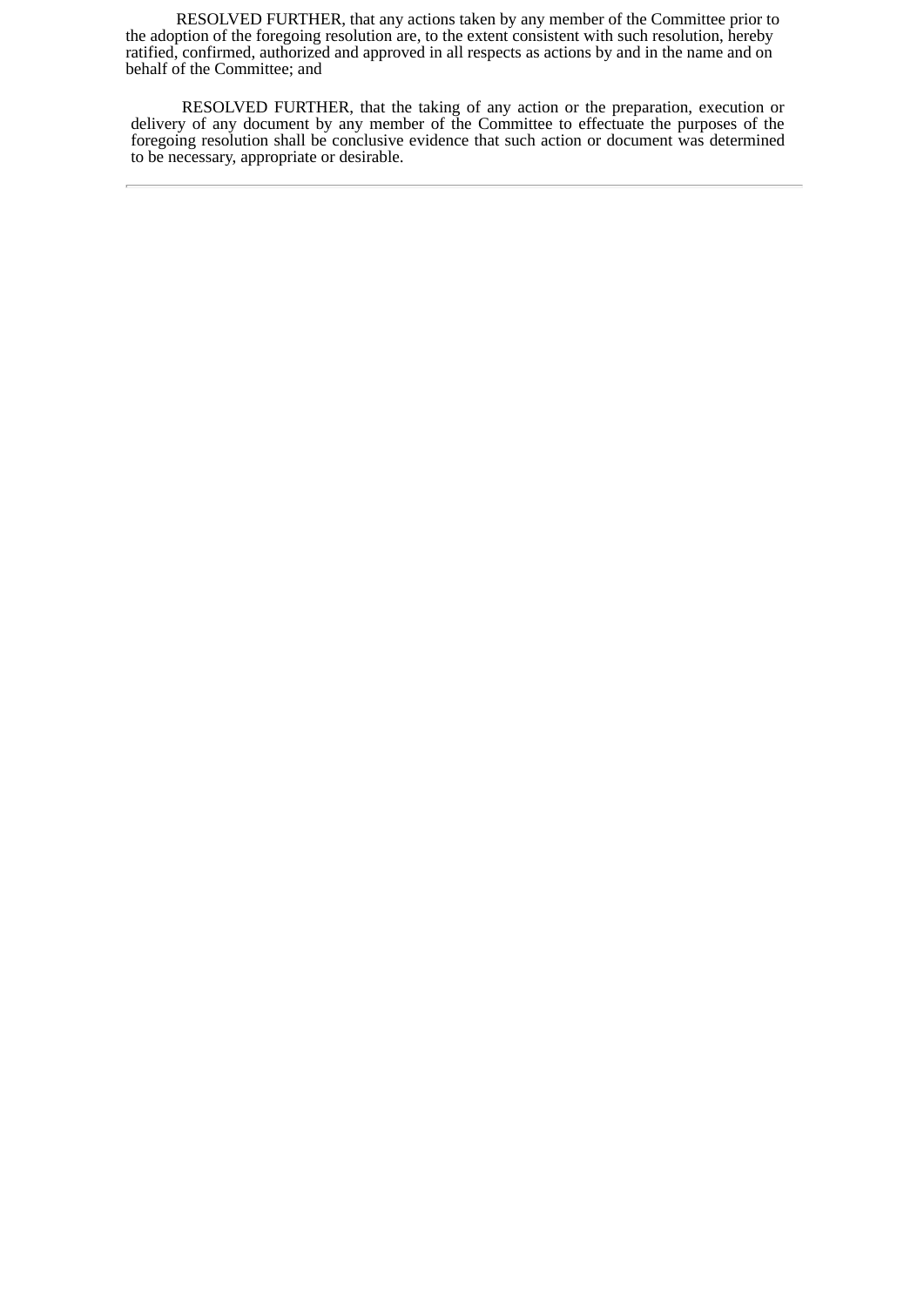RESOLVED FURTHER, that any actions taken by any member of the Committee prior to the adoption of the foregoing resolution are, to the extent consistent with such resolution, hereby ratified, confirmed, authorized and approved in all respects as actions by and in the name and on behalf of the Committee; and

RESOLVED FURTHER, that the taking of any action or the preparation, execution or delivery of any document by any member of the Committee to effectuate the purposes of the foregoing resolution shall be conclusive evidence that such action or document was determined to be necessary, appropriate or desirable.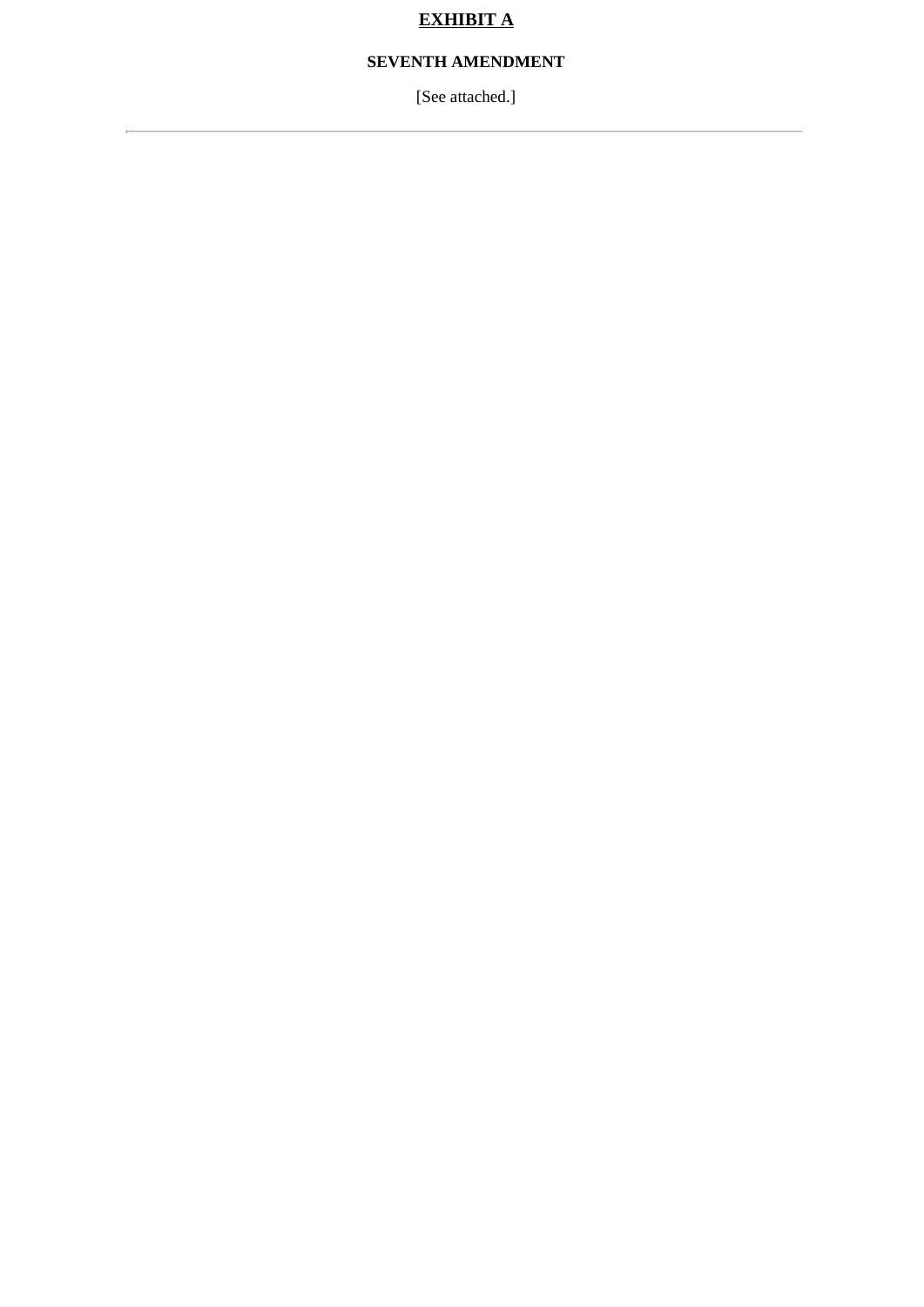## **EXHIBIT A**

### **SEVENTH AMENDMENT**

[See attached.]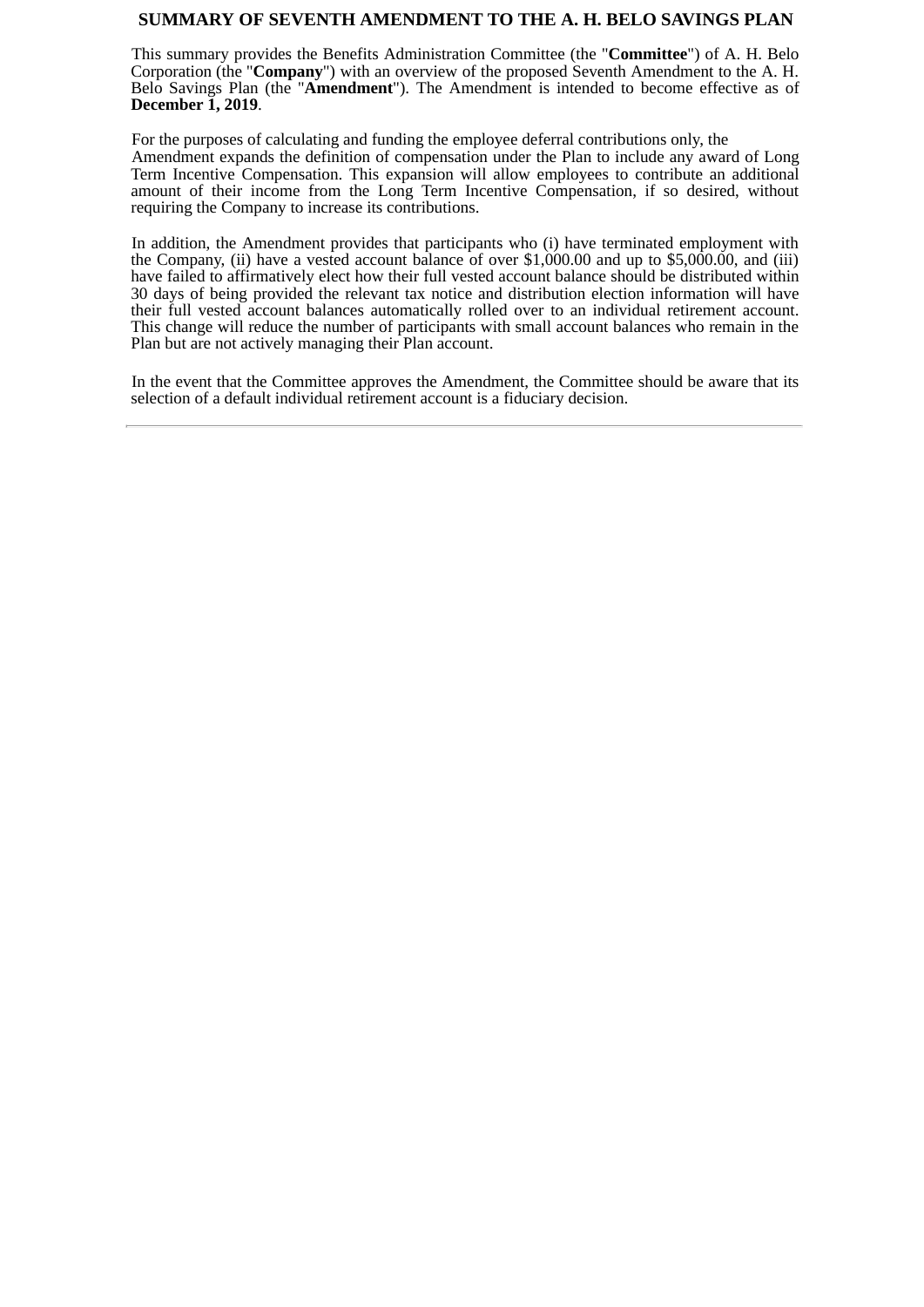#### **SUMMARY OF SEVENTH AMENDMENT TO THE A. H. BELO SAVINGS PLAN**

This summary provides the Benefits Administration Committee (the "**Committee**") of A. H. Belo Corporation (the "**Company**") with an overview of the proposed Seventh Amendment to the A. H. Belo Savings Plan (the "**Amendment**"). The Amendment is intended to become effective as of **December 1, 2019**.

For the purposes of calculating and funding the employee deferral contributions only, the Amendment expands the definition of compensation under the Plan to include any award of Long Term Incentive Compensation. This expansion will allow employees to contribute an additional amount of their income from the Long Term Incentive Compensation, if so desired, without requiring the Company to increase its contributions.

In addition, the Amendment provides that participants who (i) have terminated employment with the Company, (ii) have a vested account balance of over \$1,000.00 and up to \$5,000.00, and (iii) have failed to affirmatively elect how their full vested account balance should be distributed within 30 days of being provided the relevant tax notice and distribution election information will have their full vested account balances automatically rolled over to an individual retirement account. This change will reduce the number of participants with small account balances who remain in the Plan but are not actively managing their Plan account.

In the event that the Committee approves the Amendment, the Committee should be aware that its selection of a default individual retirement account is a fiduciary decision.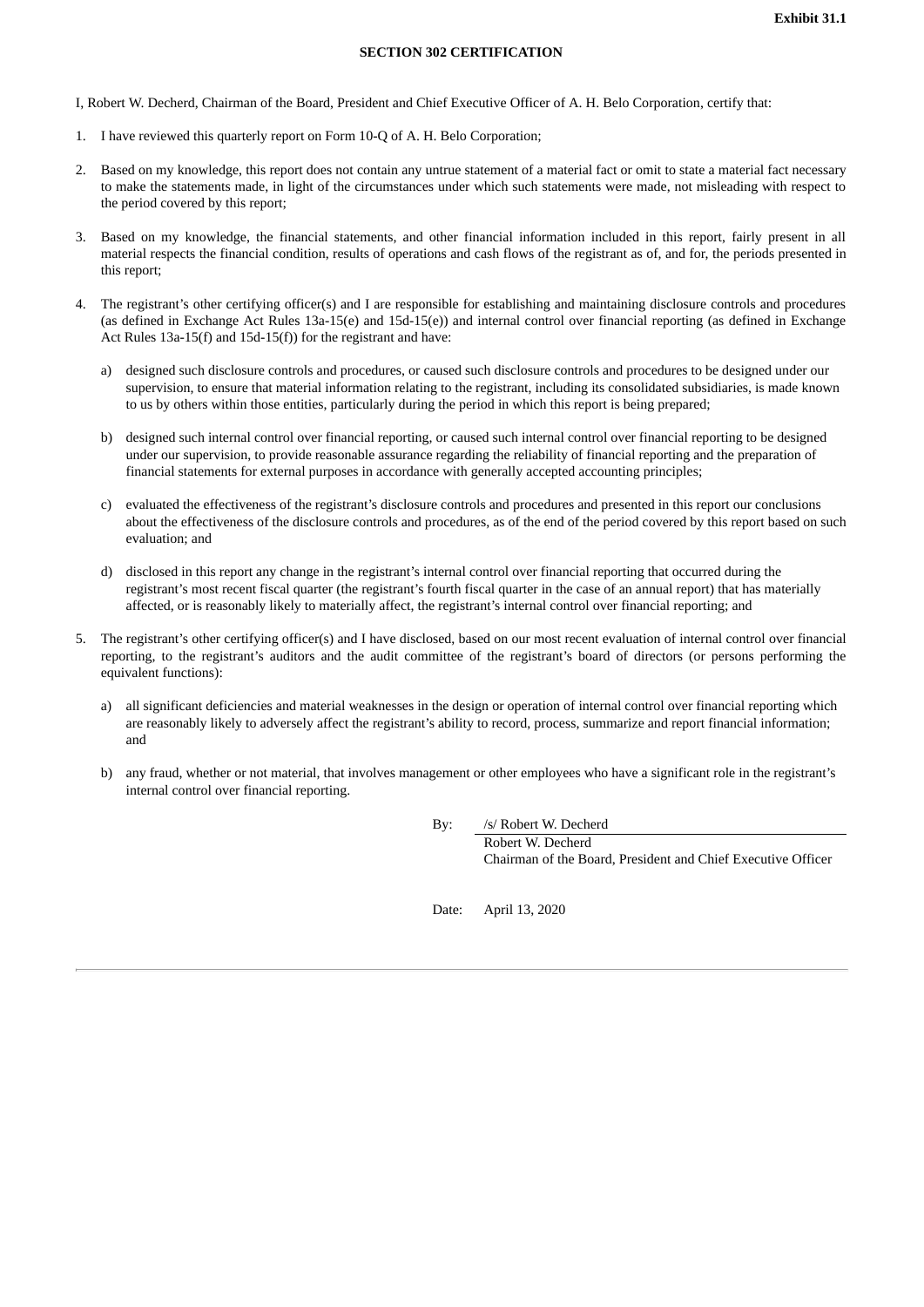#### **SECTION 302 CERTIFICATION**

<span id="page-39-0"></span>I, Robert W. Decherd, Chairman of the Board, President and Chief Executive Officer of A. H. Belo Corporation, certify that:

- 1. I have reviewed this quarterly report on Form 10-Q of A. H. Belo Corporation;
- 2. Based on my knowledge, this report does not contain any untrue statement of a material fact or omit to state a material fact necessary to make the statements made, in light of the circumstances under which such statements were made, not misleading with respect to the period covered by this report;
- 3. Based on my knowledge, the financial statements, and other financial information included in this report, fairly present in all material respects the financial condition, results of operations and cash flows of the registrant as of, and for, the periods presented in this report;
- 4. The registrant's other certifying officer(s) and I are responsible for establishing and maintaining disclosure controls and procedures (as defined in Exchange Act Rules 13a-15(e) and 15d-15(e)) and internal control over financial reporting (as defined in Exchange Act Rules 13a-15(f) and 15d-15(f)) for the registrant and have:
	- a) designed such disclosure controls and procedures, or caused such disclosure controls and procedures to be designed under our supervision, to ensure that material information relating to the registrant, including its consolidated subsidiaries, is made known to us by others within those entities, particularly during the period in which this report is being prepared;
	- b) designed such internal control over financial reporting, or caused such internal control over financial reporting to be designed under our supervision, to provide reasonable assurance regarding the reliability of financial reporting and the preparation of financial statements for external purposes in accordance with generally accepted accounting principles;
	- c) evaluated the effectiveness of the registrant's disclosure controls and procedures and presented in this report our conclusions about the effectiveness of the disclosure controls and procedures, as of the end of the period covered by this report based on such evaluation; and
	- d) disclosed in this report any change in the registrant's internal control over financial reporting that occurred during the registrant's most recent fiscal quarter (the registrant's fourth fiscal quarter in the case of an annual report) that has materially affected, or is reasonably likely to materially affect, the registrant's internal control over financial reporting; and
- 5. The registrant's other certifying officer(s) and I have disclosed, based on our most recent evaluation of internal control over financial reporting, to the registrant's auditors and the audit committee of the registrant's board of directors (or persons performing the equivalent functions):
	- a) all significant deficiencies and material weaknesses in the design or operation of internal control over financial reporting which are reasonably likely to adversely affect the registrant's ability to record, process, summarize and report financial information; and
	- b) any fraud, whether or not material, that involves management or other employees who have a significant role in the registrant's internal control over financial reporting.

By: /s/ Robert W. Decherd

Robert W. Decherd Chairman of the Board, President and Chief Executive Officer

Date: April 13, 2020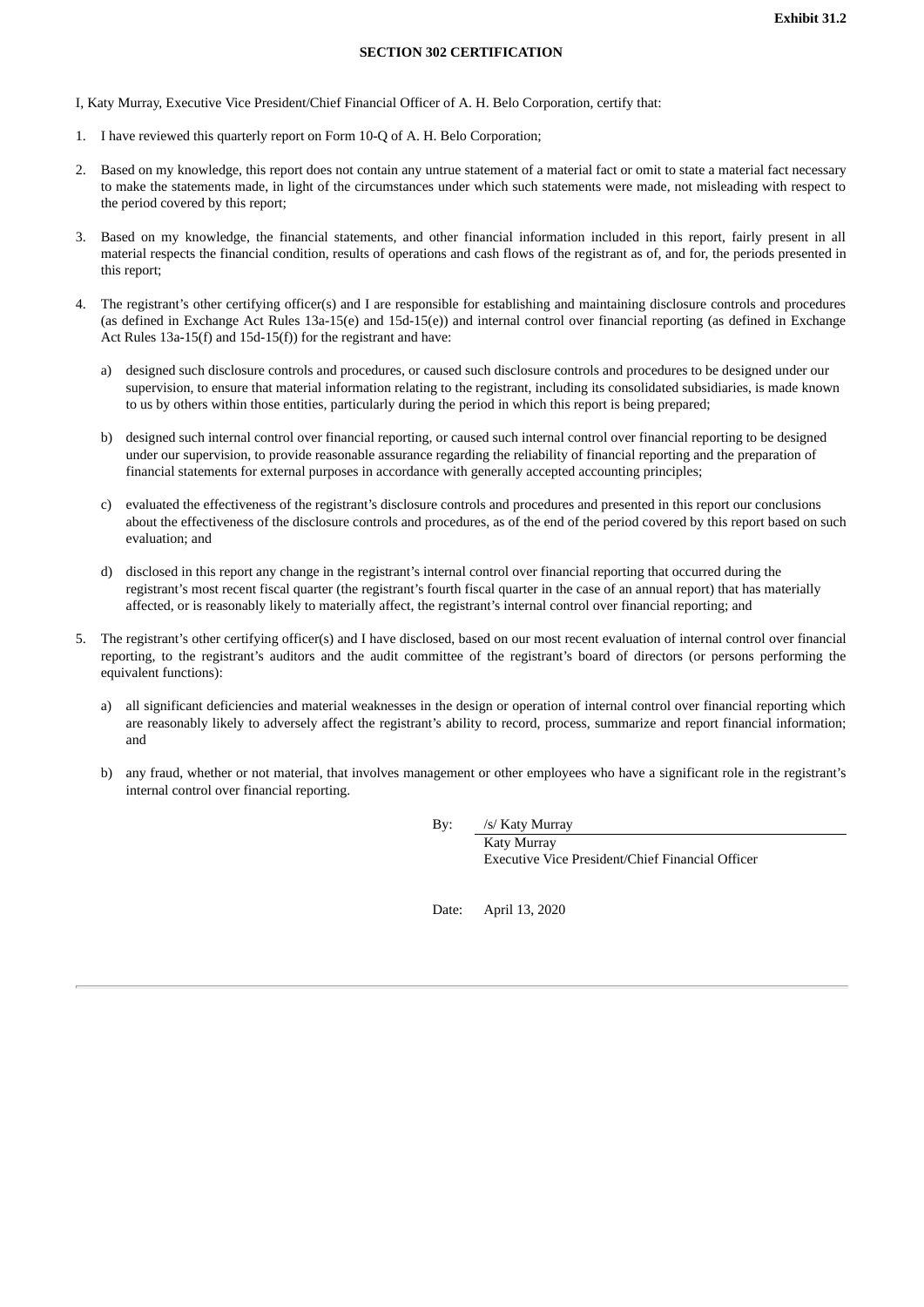#### **SECTION 302 CERTIFICATION**

<span id="page-40-0"></span>I, Katy Murray, Executive Vice President/Chief Financial Officer of A. H. Belo Corporation, certify that:

- 1. I have reviewed this quarterly report on Form 10-Q of A. H. Belo Corporation;
- 2. Based on my knowledge, this report does not contain any untrue statement of a material fact or omit to state a material fact necessary to make the statements made, in light of the circumstances under which such statements were made, not misleading with respect to the period covered by this report;
- 3. Based on my knowledge, the financial statements, and other financial information included in this report, fairly present in all material respects the financial condition, results of operations and cash flows of the registrant as of, and for, the periods presented in this report;
- 4. The registrant's other certifying officer(s) and I are responsible for establishing and maintaining disclosure controls and procedures (as defined in Exchange Act Rules 13a-15(e) and 15d-15(e)) and internal control over financial reporting (as defined in Exchange Act Rules 13a-15(f) and 15d-15(f)) for the registrant and have:
	- a) designed such disclosure controls and procedures, or caused such disclosure controls and procedures to be designed under our supervision, to ensure that material information relating to the registrant, including its consolidated subsidiaries, is made known to us by others within those entities, particularly during the period in which this report is being prepared;
	- b) designed such internal control over financial reporting, or caused such internal control over financial reporting to be designed under our supervision, to provide reasonable assurance regarding the reliability of financial reporting and the preparation of financial statements for external purposes in accordance with generally accepted accounting principles;
	- c) evaluated the effectiveness of the registrant's disclosure controls and procedures and presented in this report our conclusions about the effectiveness of the disclosure controls and procedures, as of the end of the period covered by this report based on such evaluation; and
	- d) disclosed in this report any change in the registrant's internal control over financial reporting that occurred during the registrant's most recent fiscal quarter (the registrant's fourth fiscal quarter in the case of an annual report) that has materially affected, or is reasonably likely to materially affect, the registrant's internal control over financial reporting; and
- 5. The registrant's other certifying officer(s) and I have disclosed, based on our most recent evaluation of internal control over financial reporting, to the registrant's auditors and the audit committee of the registrant's board of directors (or persons performing the equivalent functions):
	- a) all significant deficiencies and material weaknesses in the design or operation of internal control over financial reporting which are reasonably likely to adversely affect the registrant's ability to record, process, summarize and report financial information; and
	- b) any fraud, whether or not material, that involves management or other employees who have a significant role in the registrant's internal control over financial reporting.

By: /s/ Katy Murray

Katy Murray Executive Vice President/Chief Financial Officer

Date: April 13, 2020